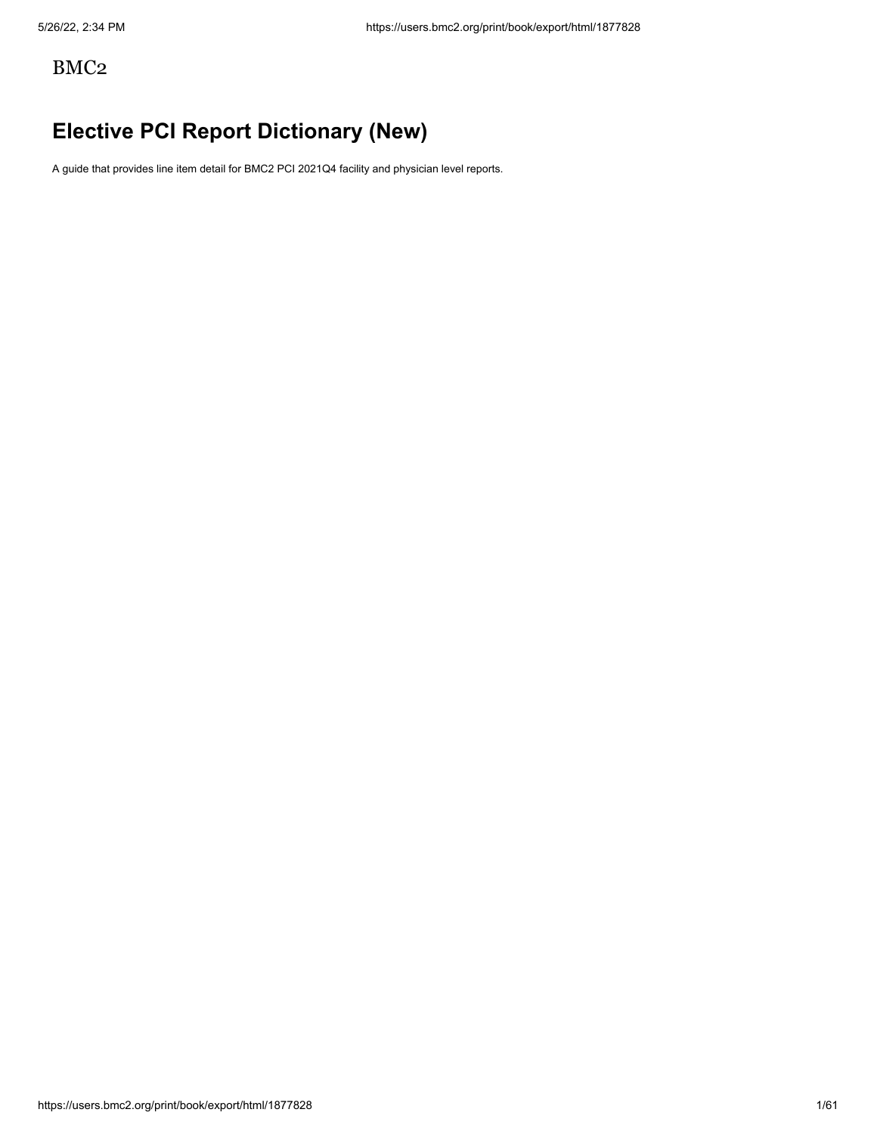# BMC2

# **Elective PCI Report Dictionary (New)**

A guide that provides line item detail for BMC2 PCI 2021Q4 facility and physician level reports.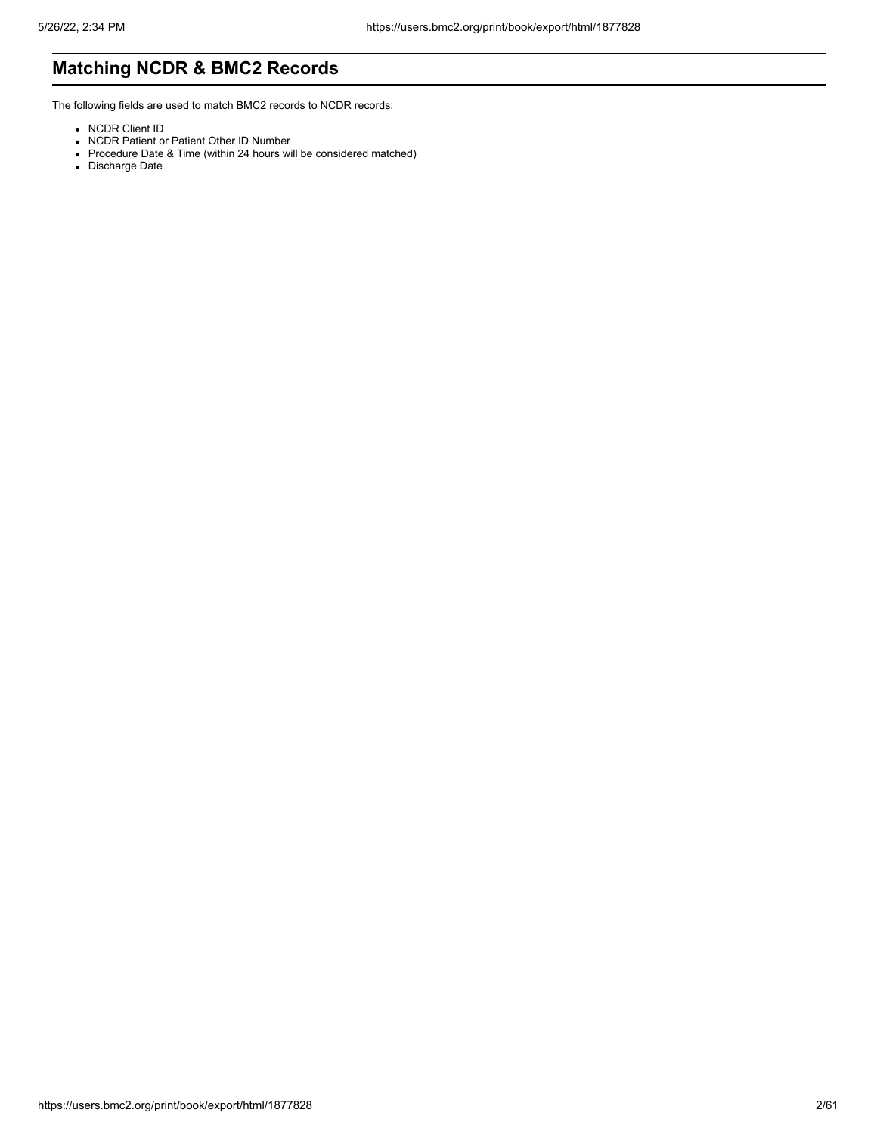# **Matching NCDR & BMC2 Records**

The following fields are used to match BMC2 records to NCDR records:

- NCDR Client ID
- NCDR Patient or Patient Other ID Number
- Procedure Date & Time (within 24 hours will be considered matched)
- Discharge Date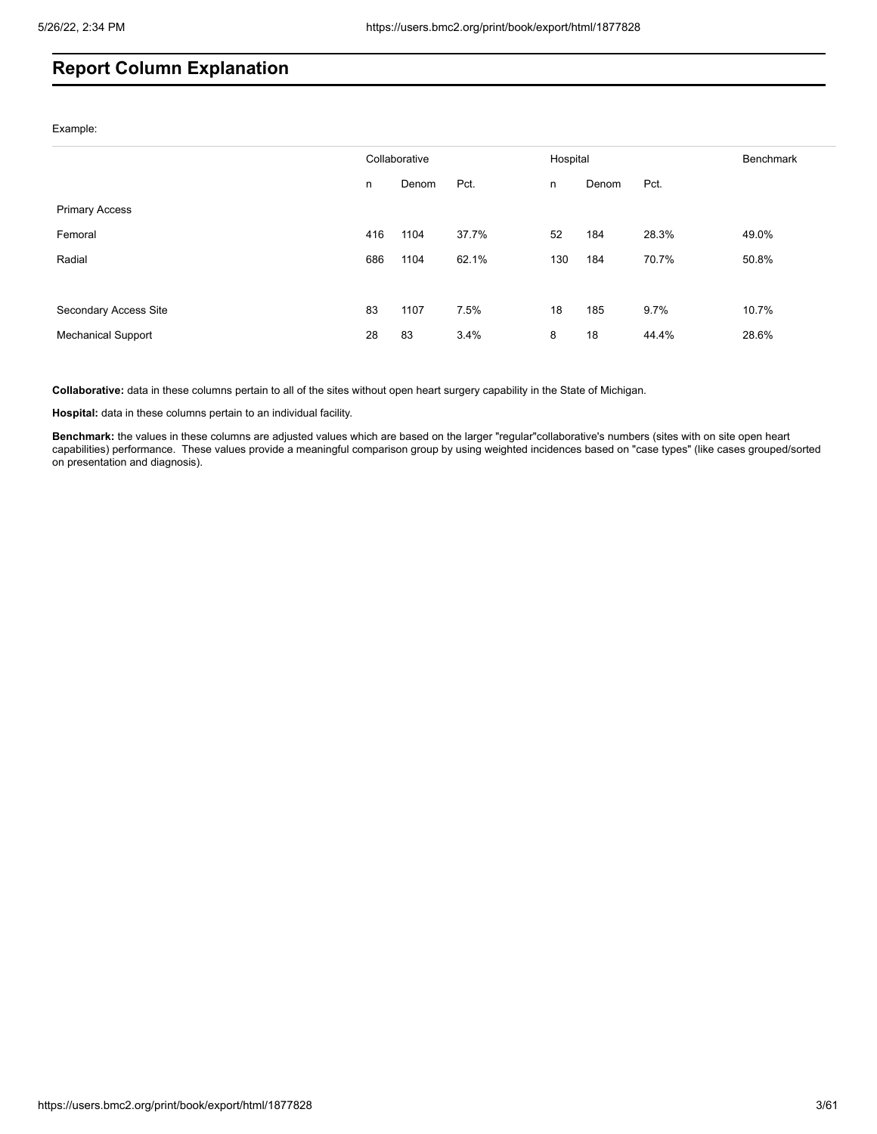# **Report Column Explanation**

Example:

|                           | Collaborative |       | Hospital |     | <b>Benchmark</b> |       |       |
|---------------------------|---------------|-------|----------|-----|------------------|-------|-------|
|                           | n             | Denom | Pct.     | n   | Denom            | Pct.  |       |
| <b>Primary Access</b>     |               |       |          |     |                  |       |       |
| Femoral                   | 416           | 1104  | 37.7%    | 52  | 184              | 28.3% | 49.0% |
| Radial                    | 686           | 1104  | 62.1%    | 130 | 184              | 70.7% | 50.8% |
|                           |               |       |          |     |                  |       |       |
| Secondary Access Site     | 83            | 1107  | 7.5%     | 18  | 185              | 9.7%  | 10.7% |
| <b>Mechanical Support</b> | 28            | 83    | 3.4%     | 8   | 18               | 44.4% | 28.6% |

**Collaborative:** data in these columns pertain to all of the sites without open heart surgery capability in the State of Michigan.

**Hospital:** data in these columns pertain to an individual facility.

**Benchmark:** the values in these columns are adjusted values which are based on the larger "regular"collaborative's numbers (sites with on site open heart capabilities) performance. These values provide a meaningful comparison group by using weighted incidences based on "case types" (like cases grouped/sorted on presentation and diagnosis).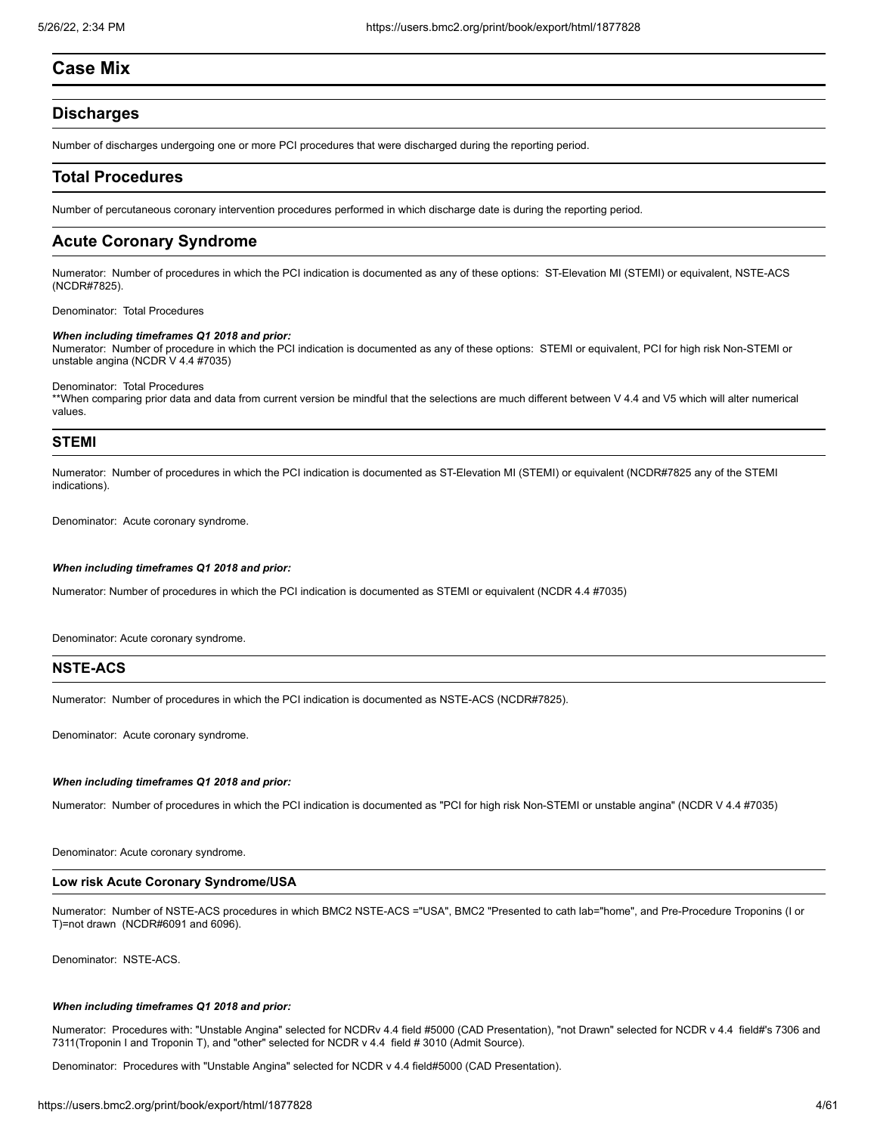# **Case Mix**

# **Discharges**

Number of discharges undergoing one or more PCI procedures that were discharged during the reporting period.

# **Total Procedures**

Number of percutaneous coronary intervention procedures performed in which discharge date is during the reporting period.

# **Acute Coronary Syndrome**

Numerator: Number of procedures in which the PCI indication is documented as any of these options: ST-Elevation MI (STEMI) or equivalent, NSTE-ACS (NCDR#7825).

Denominator: Total Procedures

## *When including timeframes Q1 2018 and prior:*

Numerator: Number of procedure in which the PCI indication is documented as any of these options: STEMI or equivalent, PCI for high risk Non-STEMI or unstable angina (NCDR V 4.4 #7035)

Denominator: Total Procedures

\*\*When comparing prior data and data from current version be mindful that the selections are much different between V 4.4 and V5 which will alter numerical values.

# **STEMI**

Numerator: Number of procedures in which the PCI indication is documented as ST-Elevation MI (STEMI) or equivalent (NCDR#7825 any of the STEMI indications).

Denominator: Acute coronary syndrome.

#### *When including timeframes Q1 2018 and prior:*

Numerator: Number of procedures in which the PCI indication is documented as STEMI or equivalent (NCDR 4.4 #7035)

Denominator: Acute coronary syndrome.

# **NSTE-ACS**

Numerator: Number of procedures in which the PCI indication is documented as NSTE-ACS (NCDR#7825).

Denominator: Acute coronary syndrome.

## *When including timeframes Q1 2018 and prior:*

Numerator: Number of procedures in which the PCI indication is documented as "PCI for high risk Non-STEMI or unstable angina" (NCDR V 4.4 #7035)

Denominator: Acute coronary syndrome.

# **Low risk Acute Coronary Syndrome/USA**

Numerator: Number of NSTE-ACS procedures in which BMC2 NSTE-ACS ="USA", BMC2 "Presented to cath lab="home", and Pre-Procedure Troponins (I or T)=not drawn (NCDR#6091 and 6096).

Denominator: NSTE-ACS.

#### *When including timeframes Q1 2018 and prior:*

Numerator: Procedures with: "Unstable Angina" selected for NCDRv 4.4 field #5000 (CAD Presentation), "not Drawn" selected for NCDR v 4.4 field#'s 7306 and 7311(Troponin I and Troponin T), and "other" selected for NCDR v 4.4 field # 3010 (Admit Source).

Denominator: Procedures with "Unstable Angina" selected for NCDR v 4.4 field#5000 (CAD Presentation).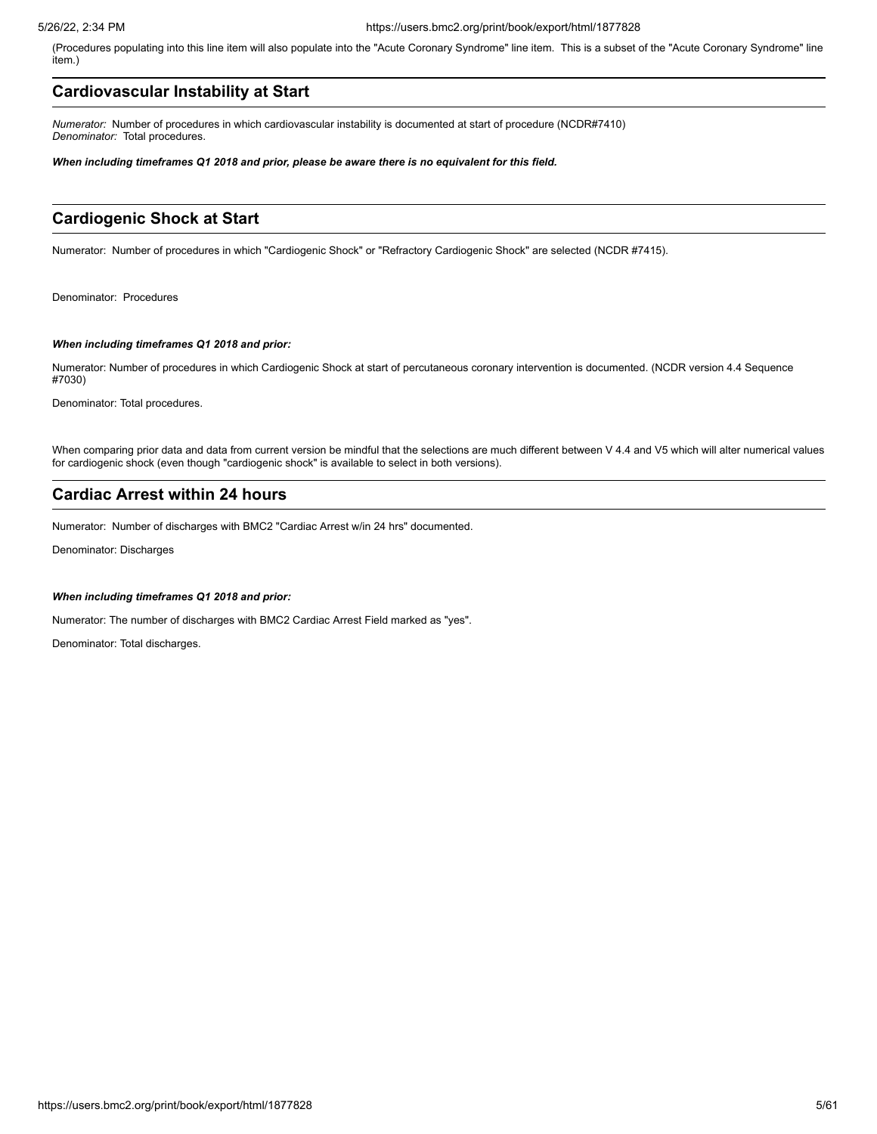(Procedures populating into this line item will also populate into the "Acute Coronary Syndrome" line item. This is a subset of the "Acute Coronary Syndrome" line item.)

# **Cardiovascular Instability at Start**

*Numerator:* Number of procedures in which cardiovascular instability is documented at start of procedure (NCDR#7410) *Denominator:* Total procedures.

*When including timeframes Q1 2018 and prior, please be aware there is no equivalent for this field.* 

# **Cardiogenic Shock at Start**

Numerator: Number of procedures in which "Cardiogenic Shock" or "Refractory Cardiogenic Shock" are selected (NCDR #7415).

Denominator: Procedures

## *When including timeframes Q1 2018 and prior:*

Numerator: Number of procedures in which Cardiogenic Shock at start of percutaneous coronary intervention is documented. (NCDR version 4.4 Sequence #7030)

Denominator: Total procedures.

When comparing prior data and data from current version be mindful that the selections are much different between V 4.4 and V5 which will alter numerical values for cardiogenic shock (even though "cardiogenic shock" is available to select in both versions).

# **Cardiac Arrest within 24 hours**

Numerator: Number of discharges with BMC2 "Cardiac Arrest w/in 24 hrs" documented.

Denominator: Discharges

### *When including timeframes Q1 2018 and prior:*

Numerator: The number of discharges with BMC2 Cardiac Arrest Field marked as "yes".

Denominator: Total discharges.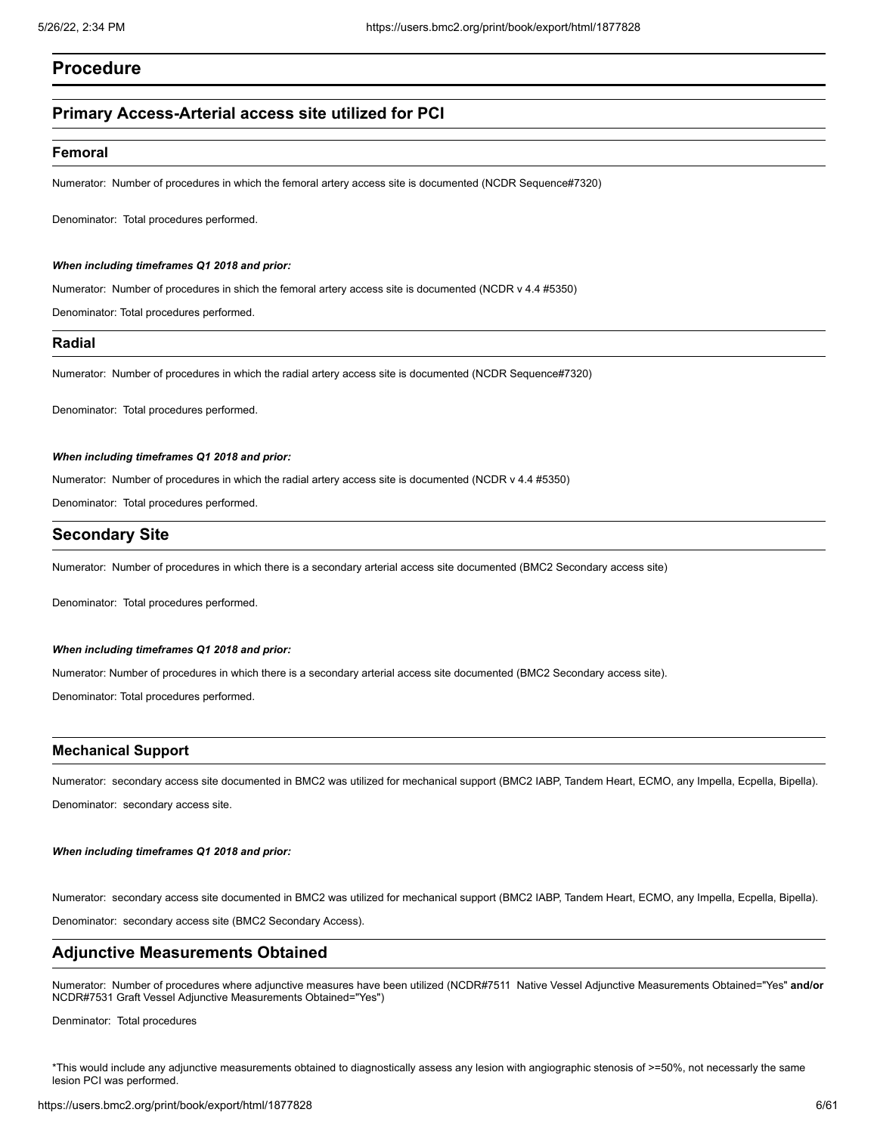# **Procedure**

# **Primary Access-Arterial access site utilized for PCI**

## **Femoral**

Numerator: Number of procedures in which the femoral artery access site is documented (NCDR Sequence#7320)

Denominator: Total procedures performed.

### *When including timeframes Q1 2018 and prior:*

Numerator: Number of procedures in shich the femoral artery access site is documented (NCDR v 4.4 #5350)

Denominator: Total procedures performed.

# **Radial**

Numerator: Number of procedures in which the radial artery access site is documented (NCDR Sequence#7320)

Denominator: Total procedures performed.

### *When including timeframes Q1 2018 and prior:*

Numerator: Number of procedures in which the radial artery access site is documented (NCDR v 4.4 #5350)

Denominator: Total procedures performed.

# **Secondary Site**

Numerator: Number of procedures in which there is a secondary arterial access site documented (BMC2 Secondary access site)

Denominator: Total procedures performed.

### *When including timeframes Q1 2018 and prior:*

Numerator: Number of procedures in which there is a secondary arterial access site documented (BMC2 Secondary access site).

Denominator: Total procedures performed.

# **Mechanical Support**

Numerator: secondary access site documented in BMC2 was utilized for mechanical support (BMC2 IABP, Tandem Heart, ECMO, any Impella, Ecpella, Bipella). Denominator: secondary access site.

## *When including timeframes Q1 2018 and prior:*

Numerator: secondary access site documented in BMC2 was utilized for mechanical support (BMC2 IABP, Tandem Heart, ECMO, any Impella, Ecpella, Bipella). Denominator: secondary access site (BMC2 Secondary Access).

# **Adjunctive Measurements Obtained**

Numerator: Number of procedures where adjunctive measures have been utilized (NCDR#7511 Native Vessel Adjunctive Measurements Obtained="Yes" **and/or** NCDR#7531 Graft Vessel Adjunctive Measurements Obtained="Yes")

Denminator: Total procedures

\*This would include any adjunctive measurements obtained to diagnostically assess any lesion with angiographic stenosis of >=50%, not necessarly the same lesion PCI was performed.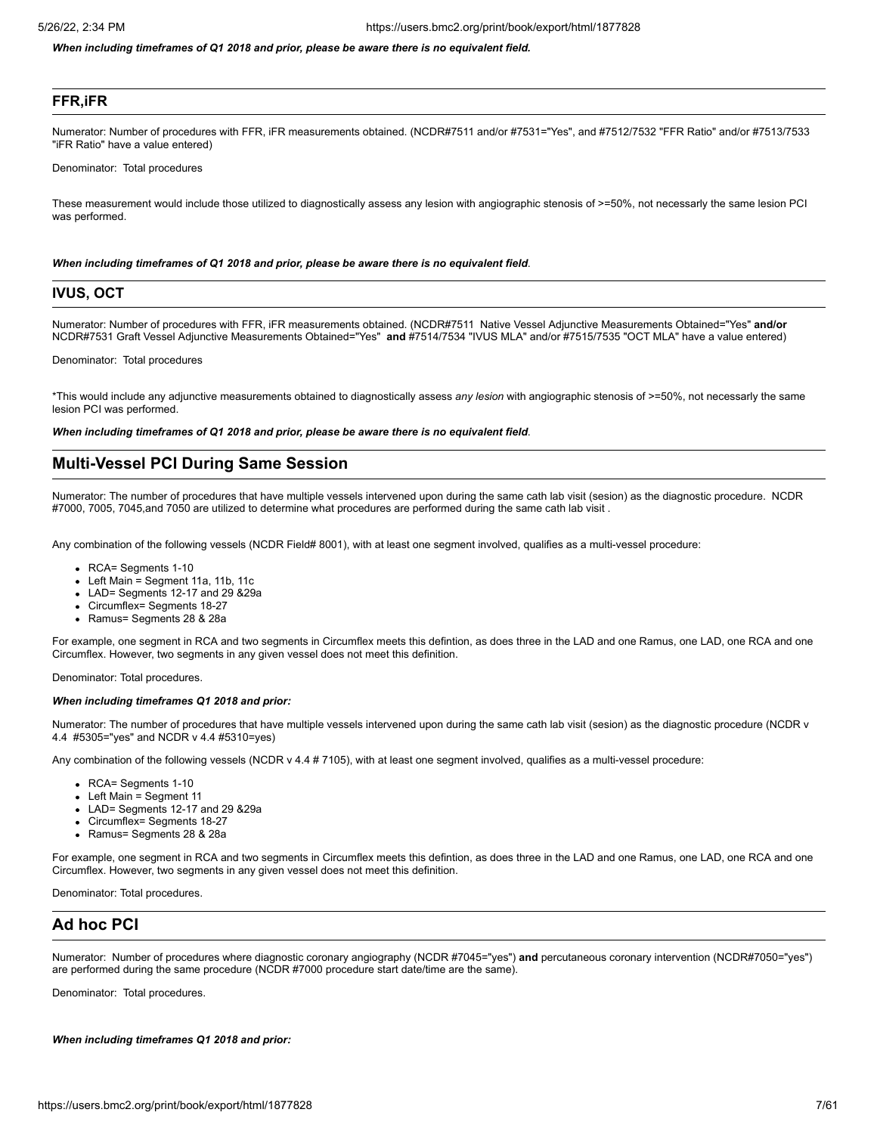*When including timeframes of Q1 2018 and prior, please be aware there is no equivalent field.*

# **FFR,iFR**

Numerator: Number of procedures with FFR, iFR measurements obtained. (NCDR#7511 and/or #7531="Yes", and #7512/7532 "FFR Ratio" and/or #7513/7533 "iFR Ratio" have a value entered)

Denominator: Total procedures

These measurement would include those utilized to diagnostically assess any lesion with angiographic stenosis of >=50%, not necessarly the same lesion PCI was performed.

#### *When including timeframes of Q1 2018 and prior, please be aware there is no equivalent field*.

# **IVUS, OCT**

Numerator: Number of procedures with FFR, iFR measurements obtained. (NCDR#7511 Native Vessel Adjunctive Measurements Obtained="Yes" **and/or** NCDR#7531 Graft Vessel Adjunctive Measurements Obtained="Yes" **and** #7514/7534 "IVUS MLA" and/or #7515/7535 "OCT MLA" have a value entered)

Denominator: Total procedures

\*This would include any adjunctive measurements obtained to diagnostically assess *any lesion* with angiographic stenosis of >=50%, not necessarly the same lesion PCI was performed.

*When including timeframes of Q1 2018 and prior, please be aware there is no equivalent field*.

# **Multi-Vessel PCI During Same Session**

Numerator: The number of procedures that have multiple vessels intervened upon during the same cath lab visit (sesion) as the diagnostic procedure. NCDR #7000, 7005, 7045,and 7050 are utilized to determine what procedures are performed during the same cath lab visit .

Any combination of the following vessels (NCDR Field# 8001), with at least one segment involved, qualifies as a multi-vessel procedure:

- RCA= Segments 1-10
- Left Main = Segment 11a, 11b, 11c
- LAD= Segments 12-17 and 29 &29a
- Circumflex= Segments 18-27
- Ramus= Segments 28 & 28a

For example, one segment in RCA and two segments in Circumflex meets this defintion, as does three in the LAD and one Ramus, one LAD, one RCA and one Circumflex. However, two segments in any given vessel does not meet this definition.

Denominator: Total procedures.

#### *When including timeframes Q1 2018 and prior:*

Numerator: The number of procedures that have multiple vessels intervened upon during the same cath lab visit (sesion) as the diagnostic procedure (NCDR v 4.4 #5305="yes" and NCDR v 4.4 #5310=yes)

Any combination of the following vessels (NCDR v 4.4 # 7105), with at least one segment involved, qualifies as a multi-vessel procedure:

- RCA= Segments 1-10
- Left Main = Segment 11
- LAD= Segments 12-17 and 29 &29a
- Circumflex= Segments 18-27
- Ramus= Segments 28 & 28a

For example, one segment in RCA and two segments in Circumflex meets this defintion, as does three in the LAD and one Ramus, one LAD, one RCA and one Circumflex. However, two segments in any given vessel does not meet this definition.

Denominator: Total procedures.

# **Ad hoc PCI**

Numerator: Number of procedures where diagnostic coronary angiography (NCDR #7045="yes") **and** percutaneous coronary intervention (NCDR#7050="yes") are performed during the same procedure (NCDR #7000 procedure start date/time are the same).

Denominator: Total procedures.

*When including timeframes Q1 2018 and prior:*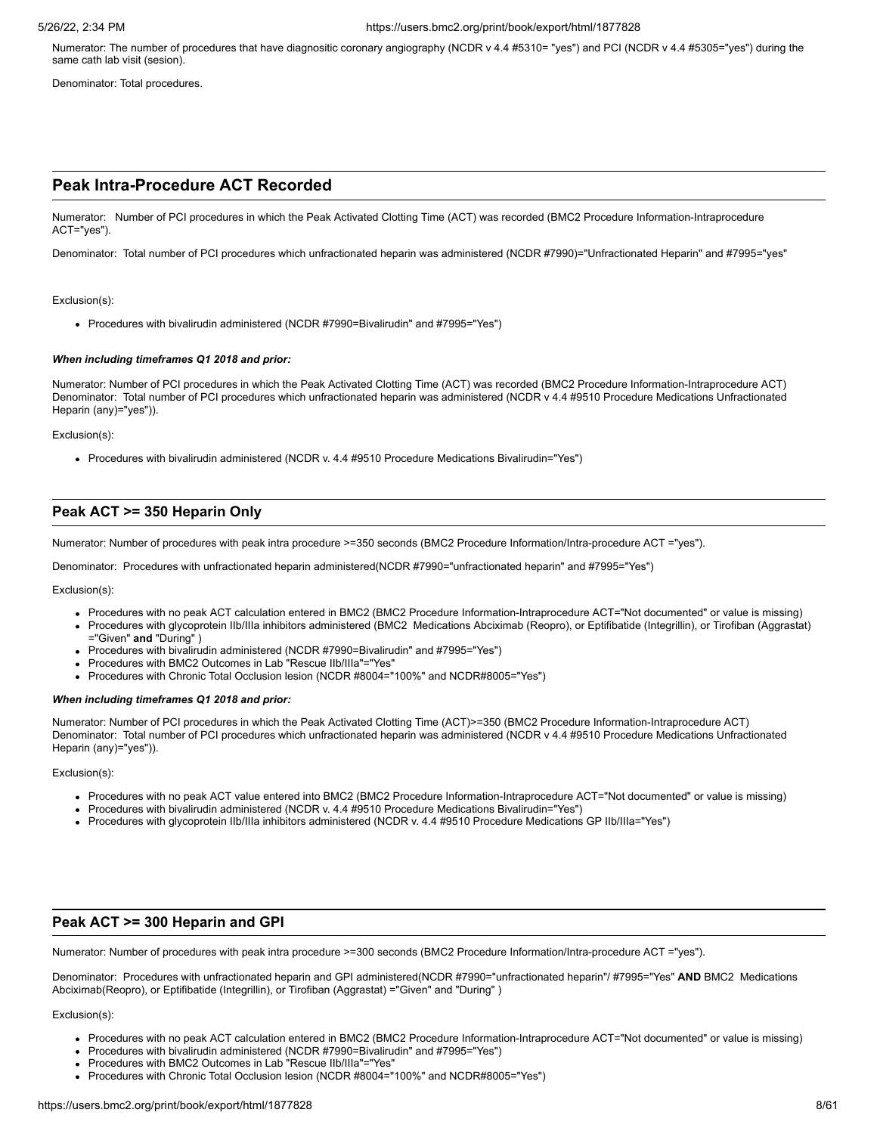Numerator: The number of procedures that have diagnositic coronary angiography (NCDR v 4.4 #5310= "yes") and PCI (NCDR v 4.4 #5305="yes") during the same cath lab visit (sesion).

Denominator: Total procedures.

# **Peak Intra-Procedure ACT Recorded**

Numerator: Number of PCI procedures in which the Peak Activated Clotting Time (ACT) was recorded (BMC2 Procedure Information-Intraprocedure ACT="yes").

Denominator: Total number of PCI procedures which unfractionated heparin was administered (NCDR #7990)="Unfractionated Heparin" and #7995="yes"

#### Exclusion(s):

Procedures with bivalirudin administered (NCDR #7990=Bivalirudin" and #7995="Yes")

#### *When including timeframes Q1 2018 and prior:*

Numerator: Number of PCI procedures in which the Peak Activated Clotting Time (ACT) was recorded (BMC2 Procedure Information-Intraprocedure ACT) Denominator: Total number of PCI procedures which unfractionated heparin was administered (NCDR v 4.4 #9510 Procedure Medications Unfractionated Heparin (any)="yes")).

#### Exclusion(s):

Procedures with bivalirudin administered (NCDR v. 4.4 #9510 Procedure Medications Bivalirudin="Yes")

# **Peak ACT >= 350 Heparin Only**

Numerator: Number of procedures with peak intra procedure >=350 seconds (BMC2 Procedure Information/Intra-procedure ACT ="yes").

Denominator: Procedures with unfractionated heparin administered(NCDR #7990="unfractionated heparin" and #7995="Yes")

Exclusion(s):

- Procedures with no peak ACT calculation entered in BMC2 (BMC2 Procedure Information-Intraprocedure ACT="Not documented" or value is missing)
- Procedures with glycoprotein IIb/IIIa inhibitors administered (BMC2 Medications Abciximab (Reopro), or Eptifibatide (Integrillin), or Tirofiban (Aggrastat) ="Given" **and** "During" )
- Procedures with bivalirudin administered (NCDR #7990=Bivalirudin" and #7995="Yes")
- Procedures with BMC2 Outcomes in Lab "Rescue IIb/IIIa"="Yes"
- Procedures with Chronic Total Occlusion lesion (NCDR #8004="100%" and NCDR#8005="Yes")

#### *When including timeframes Q1 2018 and prior:*

Numerator: Number of PCI procedures in which the Peak Activated Clotting Time (ACT)>=350 (BMC2 Procedure Information-Intraprocedure ACT) Denominator: Total number of PCI procedures which unfractionated heparin was administered (NCDR v 4.4 #9510 Procedure Medications Unfractionated Heparin (any)="yes")).

#### Exclusion(s):

- Procedures with no peak ACT value entered into BMC2 (BMC2 Procedure Information-Intraprocedure ACT="Not documented" or value is missing)
- Procedures with bivalirudin administered (NCDR v. 4.4 #9510 Procedure Medications Bivalirudin="Yes")
- Procedures with glycoprotein IIb/IIIa inhibitors administered (NCDR v. 4.4 #9510 Procedure Medications GP IIb/IIIa="Yes")

# **Peak ACT >= 300 Heparin and GPI**

Numerator: Number of procedures with peak intra procedure >=300 seconds (BMC2 Procedure Information/Intra-procedure ACT ="yes").

Denominator: Procedures with unfractionated heparin and GPI administered(NCDR #7990="unfractionated heparin"/ #7995="Yes" **AND** BMC2 Medications Abciximab(Reopro), or Eptifibatide (Integrillin), or Tirofiban (Aggrastat) ="Given" and "During" )

- Procedures with no peak ACT calculation entered in BMC2 (BMC2 Procedure Information-Intraprocedure ACT="Not documented" or value is missing)
- Procedures with bivalirudin administered (NCDR #7990=Bivalirudin" and #7995="Yes")
- Procedures with BMC2 Outcomes in Lab "Rescue IIb/IIIa"="Yes"
- Procedures with Chronic Total Occlusion lesion (NCDR #8004="100%" and NCDR#8005="Yes")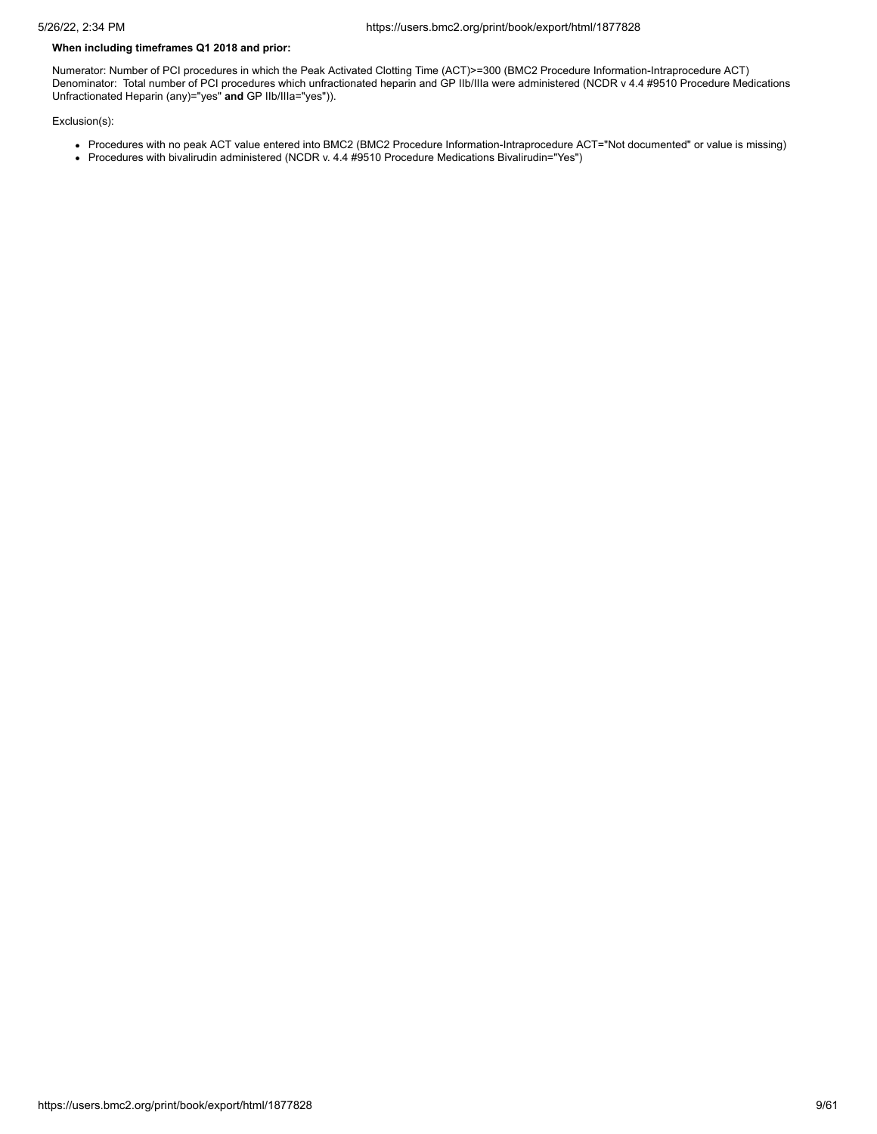# **When including timeframes Q1 2018 and prior:**

Numerator: Number of PCI procedures in which the Peak Activated Clotting Time (ACT)>=300 (BMC2 Procedure Information-Intraprocedure ACT) Denominator: Total number of PCI procedures which unfractionated heparin and GP IIb/IIIa were administered (NCDR v 4.4 #9510 Procedure Medications Unfractionated Heparin (any)="yes" **and** GP IIb/IIIa="yes")).

- Procedures with no peak ACT value entered into BMC2 (BMC2 Procedure Information-Intraprocedure ACT="Not documented" or value is missing)
- Procedures with bivalirudin administered (NCDR v. 4.4 #9510 Procedure Medications Bivalirudin="Yes")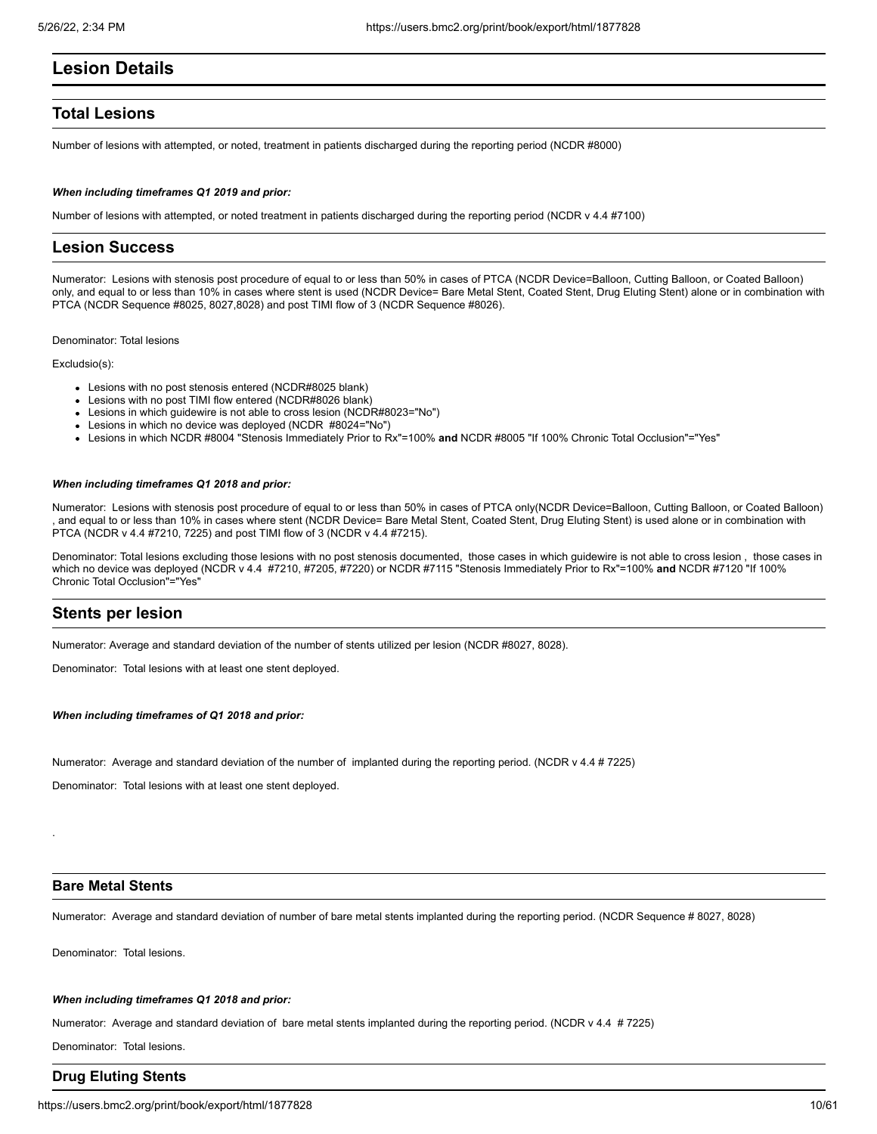# **Lesion Details**

# **Total Lesions**

Number of lesions with attempted, or noted, treatment in patients discharged during the reporting period (NCDR #8000)

#### *When including timeframes Q1 2019 and prior:*

Number of lesions with attempted, or noted treatment in patients discharged during the reporting period (NCDR v 4.4 #7100)

# **Lesion Success**

Numerator: Lesions with stenosis post procedure of equal to or less than 50% in cases of PTCA (NCDR Device=Balloon, Cutting Balloon, or Coated Balloon) only, and equal to or less than 10% in cases where stent is used (NCDR Device= Bare Metal Stent, Coated Stent, Drug Eluting Stent) alone or in combination with PTCA (NCDR Sequence #8025, 8027,8028) and post TIMI flow of 3 (NCDR Sequence #8026).

Denominator: Total lesions

Excludsio(s):

- Lesions with no post stenosis entered (NCDR#8025 blank)
- Lesions with no post TIMI flow entered (NCDR#8026 blank)
- Lesions in which guidewire is not able to cross lesion (NCDR#8023="No")
- Lesions in which no device was deployed (NCDR #8024="No")
- Lesions in which NCDR #8004 "Stenosis Immediately Prior to Rx"=100% **and** NCDR #8005 "If 100% Chronic Total Occlusion"="Yes"

#### *When including timeframes Q1 2018 and prior:*

Numerator: Lesions with stenosis post procedure of equal to or less than 50% in cases of PTCA only(NCDR Device=Balloon, Cutting Balloon, or Coated Balloon) , and equal to or less than 10% in cases where stent (NCDR Device= Bare Metal Stent, Coated Stent, Drug Eluting Stent) is used alone or in combination with PTCA (NCDR v 4.4 #7210, 7225) and post TIMI flow of 3 (NCDR v 4.4 #7215).

Denominator: Total lesions excluding those lesions with no post stenosis documented, those cases in which guidewire is not able to cross lesion , those cases in which no device was deployed (NCDR v 4.4 #7210, #7205, #7220) or NCDR #7115 "Stenosis Immediately Prior to Rx"=100% **and** NCDR #7120 "If 100% Chronic Total Occlusion"="Yes"

# **Stents per lesion**

Numerator: Average and standard deviation of the number of stents utilized per lesion (NCDR #8027, 8028).

Denominator: Total lesions with at least one stent deployed.

*When including timeframes of Q1 2018 and prior:*

Numerator: Average and standard deviation of the number of implanted during the reporting period. (NCDR v 4.4 # 7225)

Denominator: Total lesions with at least one stent deployed.

# **Bare Metal Stents**

.

Numerator: Average and standard deviation of number of bare metal stents implanted during the reporting period. (NCDR Sequence # 8027, 8028)

Denominator: Total lesions.

#### *When including timeframes Q1 2018 and prior:*

Numerator: Average and standard deviation of bare metal stents implanted during the reporting period. (NCDR v 4.4 # 7225)

Denominator: Total lesions.

# **Drug Eluting Stents**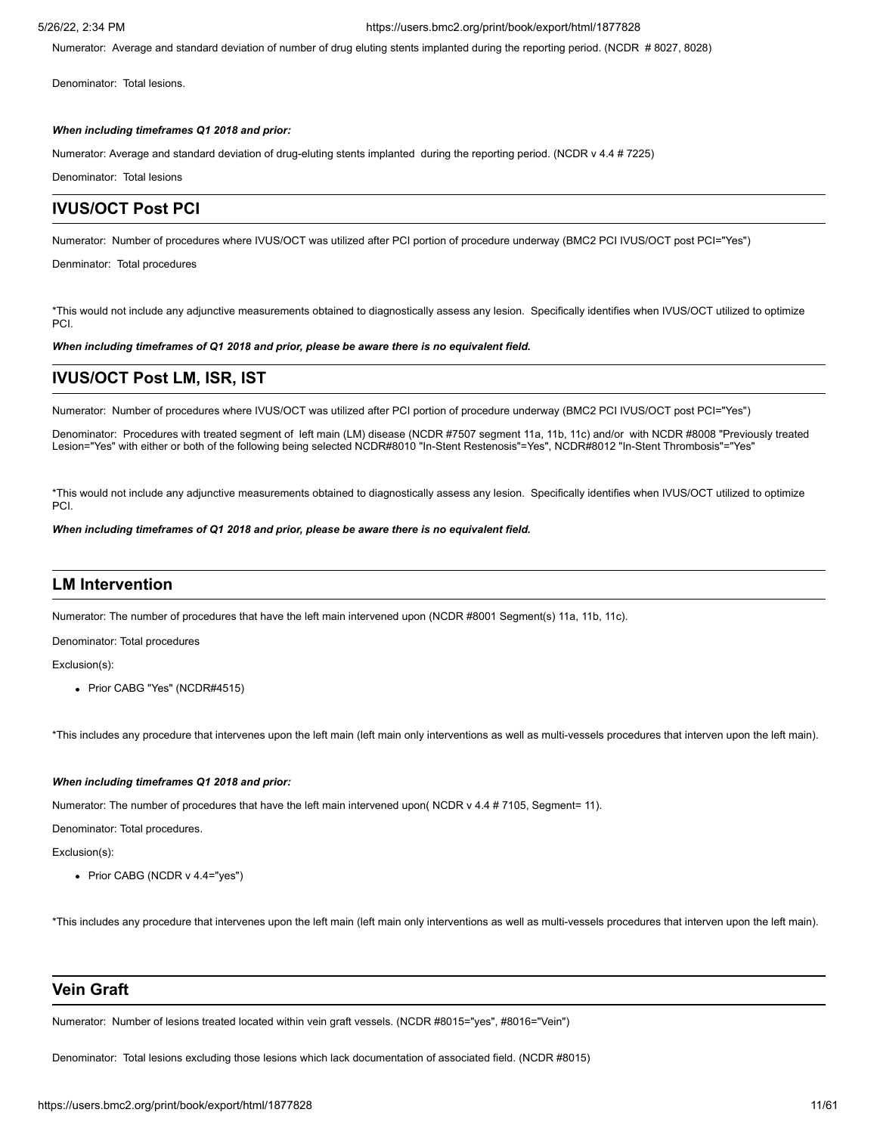Numerator: Average and standard deviation of number of drug eluting stents implanted during the reporting period. (NCDR # 8027, 8028)

Denominator: Total lesions.

# *When including timeframes Q1 2018 and prior:*

Numerator: Average and standard deviation of drug-eluting stents implanted during the reporting period. (NCDR v 4.4 # 7225)

Denominator: Total lesions

# **IVUS/OCT Post PCI**

Numerator: Number of procedures where IVUS/OCT was utilized after PCI portion of procedure underway (BMC2 PCI IVUS/OCT post PCI="Yes")

Denminator: Total procedures

\*This would not include any adjunctive measurements obtained to diagnostically assess any lesion. Specifically identifies when IVUS/OCT utilized to optimize PCI.

*When including timeframes of Q1 2018 and prior, please be aware there is no equivalent field.*

# **IVUS/OCT Post LM, ISR, IST**

Numerator: Number of procedures where IVUS/OCT was utilized after PCI portion of procedure underway (BMC2 PCI IVUS/OCT post PCI="Yes")

Denominator: Procedures with treated segment of left main (LM) disease (NCDR #7507 segment 11a, 11b, 11c) and/or with NCDR #8008 "Previously treated Lesion="Yes" with either or both of the following being selected NCDR#8010 "In-Stent Restenosis"=Yes", NCDR#8012 "In-Stent Thrombosis"="Yes"

\*This would not include any adjunctive measurements obtained to diagnostically assess any lesion. Specifically identifies when IVUS/OCT utilized to optimize PCI.

*When including timeframes of Q1 2018 and prior, please be aware there is no equivalent field.*

# **LM Intervention**

Numerator: The number of procedures that have the left main intervened upon (NCDR #8001 Segment(s) 11a, 11b, 11c).

Denominator: Total procedures

Exclusion(s):

• Prior CABG "Yes" (NCDR#4515)

\*This includes any procedure that intervenes upon the left main (left main only interventions as well as multi-vessels procedures that interven upon the left main).

# *When including timeframes Q1 2018 and prior:*

Numerator: The number of procedures that have the left main intervened upon( NCDR v 4.4 # 7105, Segment= 11).

Denominator: Total procedures.

Exclusion(s):

• Prior CABG (NCDR v 4.4="yes")

\*This includes any procedure that intervenes upon the left main (left main only interventions as well as multi-vessels procedures that interven upon the left main).

# **Vein Graft**

Numerator: Number of lesions treated located within vein graft vessels. (NCDR #8015="yes", #8016="Vein")

Denominator: Total lesions excluding those lesions which lack documentation of associated field. (NCDR #8015)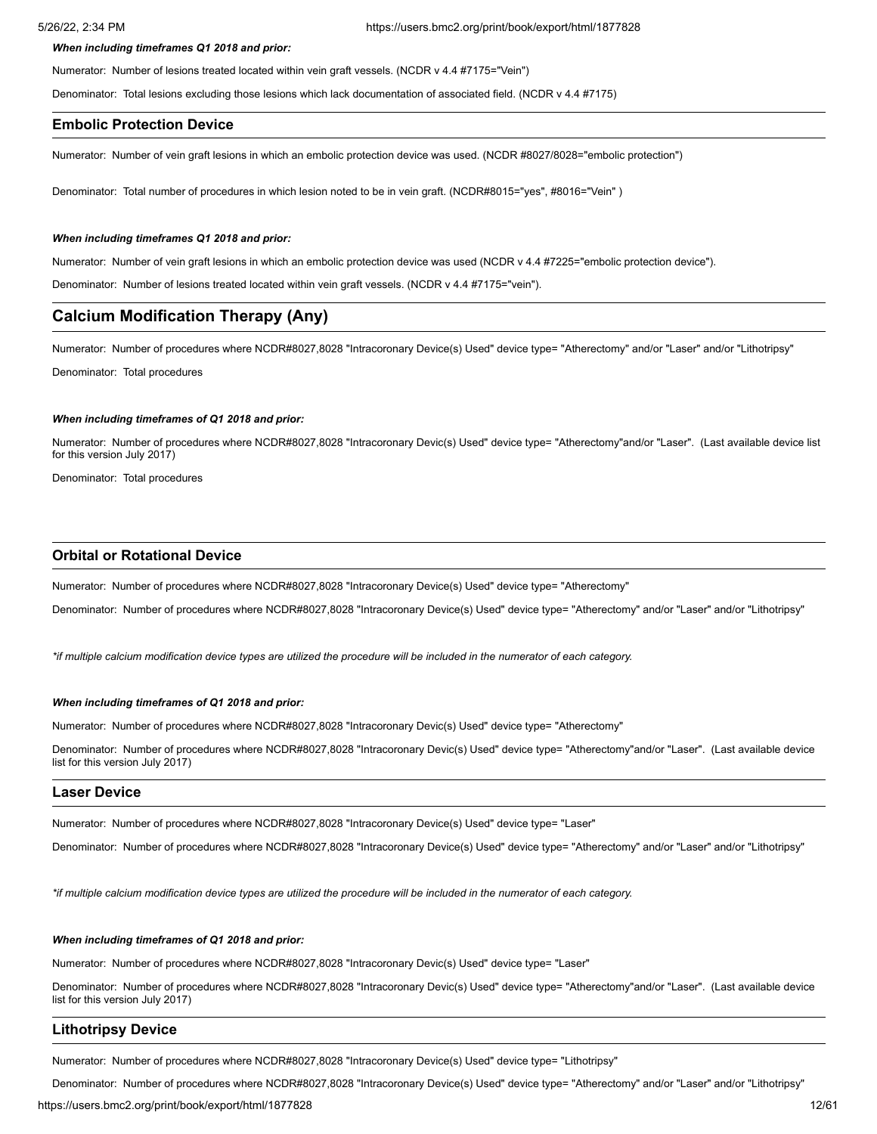#### *When including timeframes Q1 2018 and prior:*

Numerator: Number of lesions treated located within vein graft vessels. (NCDR v 4.4 #7175="Vein")

Denominator: Total lesions excluding those lesions which lack documentation of associated field. (NCDR v 4.4 #7175)

# **Embolic Protection Device**

Numerator: Number of vein graft lesions in which an embolic protection device was used. (NCDR #8027/8028="embolic protection")

Denominator: Total number of procedures in which lesion noted to be in vein graft. (NCDR#8015="yes", #8016="Vein" )

### *When including timeframes Q1 2018 and prior:*

Numerator: Number of vein graft lesions in which an embolic protection device was used (NCDR v 4.4 #7225="embolic protection device").

Denominator: Number of lesions treated located within vein graft vessels. (NCDR v 4.4 #7175="vein").

# **Calcium Modification Therapy (Any)**

Numerator: Number of procedures where NCDR#8027,8028 "Intracoronary Device(s) Used" device type= "Atherectomy" and/or "Laser" and/or "Lithotripsy"

Denominator: Total procedures

## *When including timeframes of Q1 2018 and prior:*

Numerator: Number of procedures where NCDR#8027,8028 "Intracoronary Devic(s) Used" device type= "Atherectomy"and/or "Laser". (Last available device list for this version July 2017)

Denominator: Total procedures

# **Orbital or Rotational Device**

Numerator: Number of procedures where NCDR#8027,8028 "Intracoronary Device(s) Used" device type= "Atherectomy"

Denominator: Number of procedures where NCDR#8027,8028 "Intracoronary Device(s) Used" device type= "Atherectomy" and/or "Laser" and/or "Lithotripsy"

*\*if multiple calcium modification device types are utilized the procedure will be included in the numerator of each category.*

### *When including timeframes of Q1 2018 and prior:*

Numerator: Number of procedures where NCDR#8027,8028 "Intracoronary Devic(s) Used" device type= "Atherectomy"

Denominator: Number of procedures where NCDR#8027,8028 "Intracoronary Devic(s) Used" device type= "Atherectomy"and/or "Laser". (Last available device list for this version July 2017)

# **Laser Device**

Numerator: Number of procedures where NCDR#8027,8028 "Intracoronary Device(s) Used" device type= "Laser"

Denominator: Number of procedures where NCDR#8027,8028 "Intracoronary Device(s) Used" device type= "Atherectomy" and/or "Laser" and/or "Lithotripsy"

*\*if multiple calcium modification device types are utilized the procedure will be included in the numerator of each category.*

#### *When including timeframes of Q1 2018 and prior:*

Numerator: Number of procedures where NCDR#8027,8028 "Intracoronary Devic(s) Used" device type= "Laser"

Denominator: Number of procedures where NCDR#8027,8028 "Intracoronary Devic(s) Used" device type= "Atherectomy"and/or "Laser". (Last available device list for this version July 2017)

### **Lithotripsy Device**

Numerator: Number of procedures where NCDR#8027,8028 "Intracoronary Device(s) Used" device type= "Lithotripsy"

Denominator: Number of procedures where NCDR#8027,8028 "Intracoronary Device(s) Used" device type= "Atherectomy" and/or "Laser" and/or "Lithotripsy"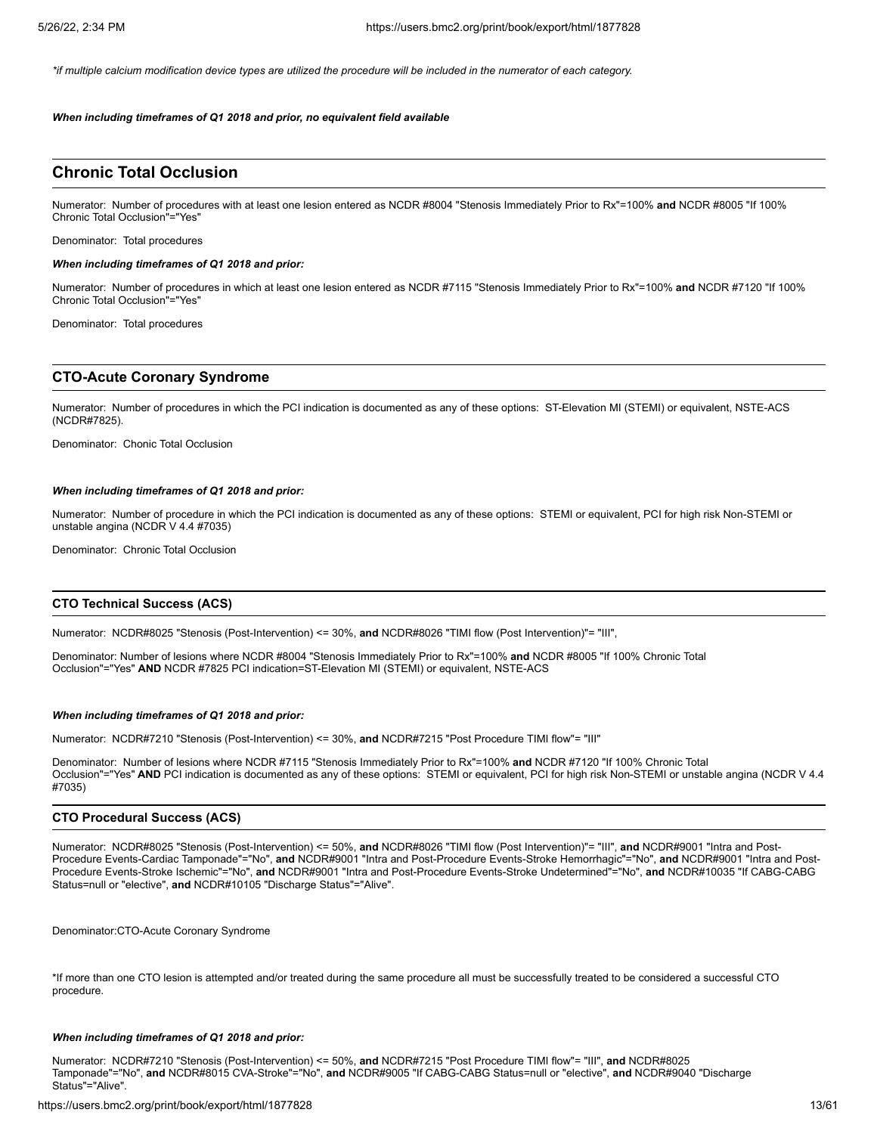*\*if multiple calcium modification device types are utilized the procedure will be included in the numerator of each category.*

*When including timeframes of Q1 2018 and prior, no equivalent field available*

# **Chronic Total Occlusion**

Numerator: Number of procedures with at least one lesion entered as NCDR #8004 "Stenosis Immediately Prior to Rx"=100% **and** NCDR #8005 "If 100% Chronic Total Occlusion"="Yes"

Denominator: Total procedures

#### *When including timeframes of Q1 2018 and prior:*

Numerator: Number of procedures in which at least one lesion entered as NCDR #7115 "Stenosis Immediately Prior to Rx"=100% **and** NCDR #7120 "If 100% Chronic Total Occlusion"="Yes"

Denominator: Total procedures

# **CTO-Acute Coronary Syndrome**

Numerator: Number of procedures in which the PCI indication is documented as any of these options: ST-Elevation MI (STEMI) or equivalent, NSTE-ACS (NCDR#7825).

Denominator: Chonic Total Occlusion

#### *When including timeframes of Q1 2018 and prior:*

Numerator: Number of procedure in which the PCI indication is documented as any of these options: STEMI or equivalent, PCI for high risk Non-STEMI or unstable angina (NCDR V 4.4 #7035)

Denominator: Chronic Total Occlusion

## **CTO Technical Success (ACS)**

Numerator: NCDR#8025 "Stenosis (Post-Intervention) <= 30%, **and** NCDR#8026 "TIMI flow (Post Intervention)"= "III",

Denominator: Number of lesions where NCDR #8004 "Stenosis Immediately Prior to Rx"=100% **and** NCDR #8005 "If 100% Chronic Total Occlusion"="Yes" **AND** NCDR #7825 PCI indication=ST-Elevation MI (STEMI) or equivalent, NSTE-ACS

#### *When including timeframes of Q1 2018 and prior:*

Numerator: NCDR#7210 "Stenosis (Post-Intervention) <= 30%, **and** NCDR#7215 "Post Procedure TIMI flow"= "III"

Denominator: Number of lesions where NCDR #7115 "Stenosis Immediately Prior to Rx"=100% **and** NCDR #7120 "If 100% Chronic Total Occlusion"="Yes" **AND** PCI indication is documented as any of these options: STEMI or equivalent, PCI for high risk Non-STEMI or unstable angina (NCDR V 4.4 #7035)

## **CTO Procedural Success (ACS)**

Numerator: NCDR#8025 "Stenosis (Post-Intervention) <= 50%, **and** NCDR#8026 "TIMI flow (Post Intervention)"= "III", **and** NCDR#9001 "Intra and Post-Procedure Events-Cardiac Tamponade"="No", **and** NCDR#9001 "Intra and Post-Procedure Events-Stroke Hemorrhagic"="No", **and** NCDR#9001 "Intra and Post-Procedure Events-Stroke Ischemic"="No", **and** NCDR#9001 "Intra and Post-Procedure Events-Stroke Undetermined"="No", **and** NCDR#10035 "If CABG-CABG Status=null or "elective", **and** NCDR#10105 "Discharge Status"="Alive".

Denominator:CTO-Acute Coronary Syndrome

\*If more than one CTO lesion is attempted and/or treated during the same procedure all must be successfully treated to be considered a successful CTO procedure.

#### *When including timeframes of Q1 2018 and prior:*

Numerator: NCDR#7210 "Stenosis (Post-Intervention) <= 50%, **and** NCDR#7215 "Post Procedure TIMI flow"= "III", **and** NCDR#8025 Tamponade"="No", **and** NCDR#8015 CVA-Stroke"="No", **and** NCDR#9005 "If CABG-CABG Status=null or "elective", **and** NCDR#9040 "Discharge Status"="Alive".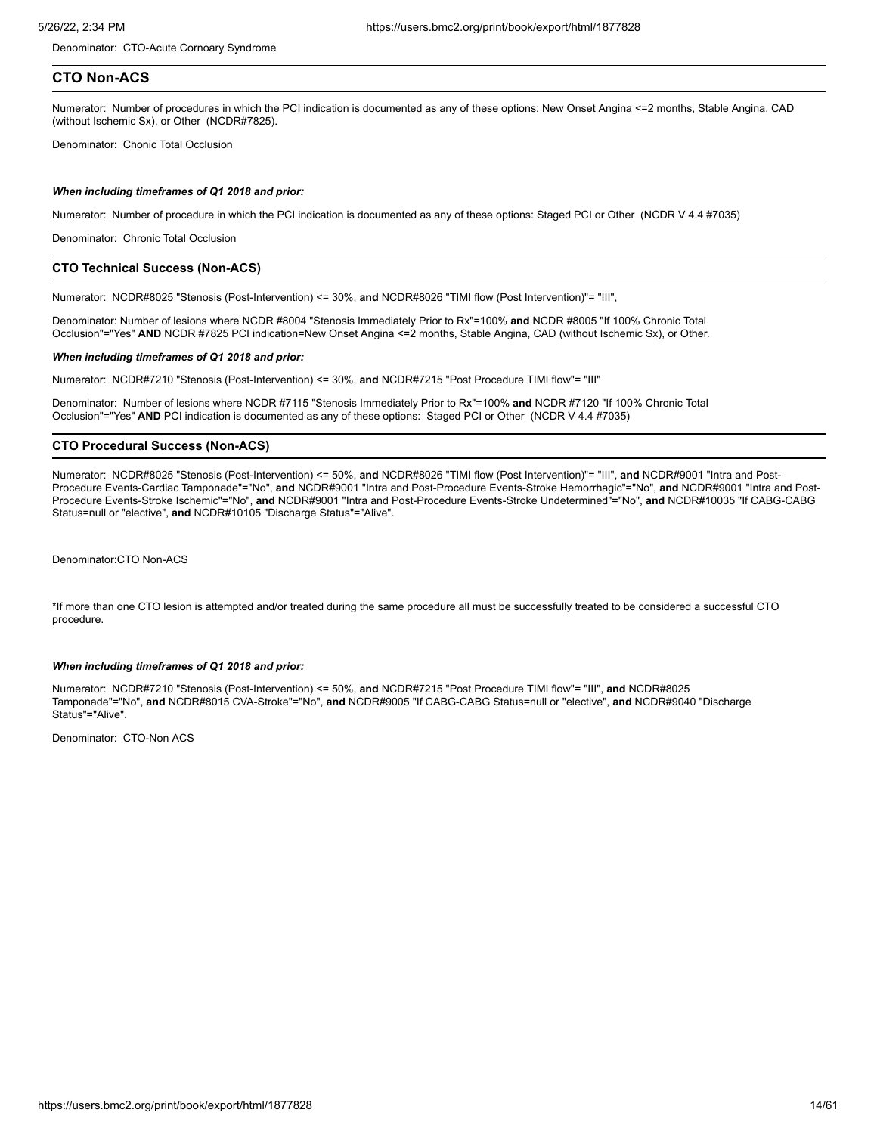Denominator: CTO-Acute Cornoary Syndrome

# **CTO Non-ACS**

Numerator: Number of procedures in which the PCI indication is documented as any of these options: New Onset Angina <=2 months, Stable Angina, CAD (without Ischemic Sx), or Other (NCDR#7825).

Denominator: Chonic Total Occlusion

#### *When including timeframes of Q1 2018 and prior:*

Numerator: Number of procedure in which the PCI indication is documented as any of these options: Staged PCI or Other (NCDR V 4.4 #7035)

Denominator: Chronic Total Occlusion

## **CTO Technical Success (Non-ACS)**

Numerator: NCDR#8025 "Stenosis (Post-Intervention) <= 30%, **and** NCDR#8026 "TIMI flow (Post Intervention)"= "III",

Denominator: Number of lesions where NCDR #8004 "Stenosis Immediately Prior to Rx"=100% **and** NCDR #8005 "If 100% Chronic Total Occlusion"="Yes" **AND** NCDR #7825 PCI indication=New Onset Angina <=2 months, Stable Angina, CAD (without Ischemic Sx), or Other.

#### *When including timeframes of Q1 2018 and prior:*

Numerator: NCDR#7210 "Stenosis (Post-Intervention) <= 30%, **and** NCDR#7215 "Post Procedure TIMI flow"= "III"

Denominator: Number of lesions where NCDR #7115 "Stenosis Immediately Prior to Rx"=100% **and** NCDR #7120 "If 100% Chronic Total Occlusion"="Yes" **AND** PCI indication is documented as any of these options: Staged PCI or Other (NCDR V 4.4 #7035)

# **CTO Procedural Success (Non-ACS)**

Numerator: NCDR#8025 "Stenosis (Post-Intervention) <= 50%, **and** NCDR#8026 "TIMI flow (Post Intervention)"= "III", **and** NCDR#9001 "Intra and Post-Procedure Events-Cardiac Tamponade"="No", **and** NCDR#9001 "Intra and Post-Procedure Events-Stroke Hemorrhagic"="No", **and** NCDR#9001 "Intra and Post-Procedure Events-Stroke Ischemic"="No", **and** NCDR#9001 "Intra and Post-Procedure Events-Stroke Undetermined"="No", **and** NCDR#10035 "If CABG-CABG Status=null or "elective", **and** NCDR#10105 "Discharge Status"="Alive".

Denominator:CTO Non-ACS

\*If more than one CTO lesion is attempted and/or treated during the same procedure all must be successfully treated to be considered a successful CTO procedure.

#### *When including timeframes of Q1 2018 and prior:*

Numerator: NCDR#7210 "Stenosis (Post-Intervention) <= 50%, **and** NCDR#7215 "Post Procedure TIMI flow"= "III", **and** NCDR#8025 Tamponade"="No", **and** NCDR#8015 CVA-Stroke"="No", **and** NCDR#9005 "If CABG-CABG Status=null or "elective", **and** NCDR#9040 "Discharge Status"="Alive".

Denominator: CTO-Non ACS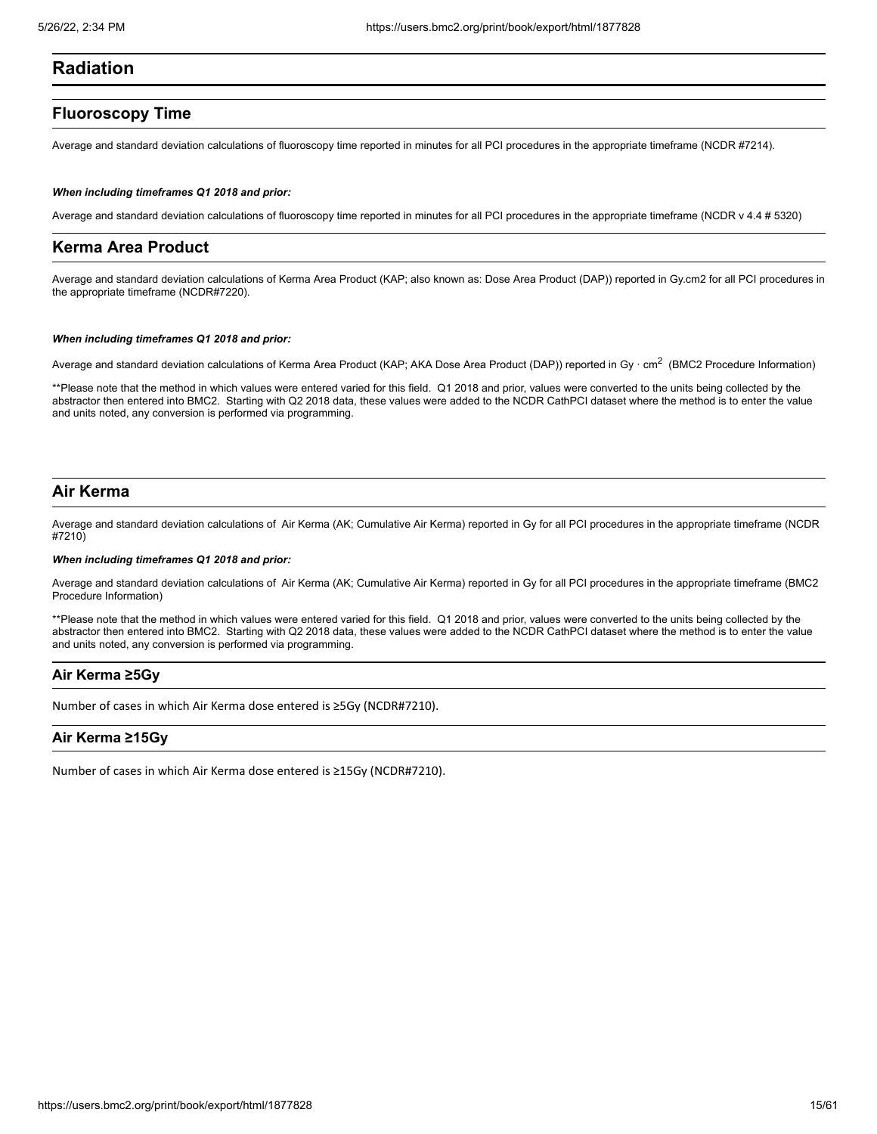# **Radiation**

# **Fluoroscopy Time**

Average and standard deviation calculations of fluoroscopy time reported in minutes for all PCI procedures in the appropriate timeframe (NCDR #7214).

#### *When including timeframes Q1 2018 and prior:*

Average and standard deviation calculations of fluoroscopy time reported in minutes for all PCI procedures in the appropriate timeframe (NCDR v 4.4 # 5320)

# **Kerma Area Product**

Average and standard deviation calculations of Kerma Area Product (KAP; also known as: Dose Area Product (DAP)) reported in Gy.cm2 for all PCI procedures in the appropriate timeframe (NCDR#7220).

#### *When including timeframes Q1 2018 and prior:*

Average and standard deviation calculations of Kerma Area Product (KAP; AKA Dose Area Product (DAP)) reported in Gy  $\cdot$  cm $^2$  (BMC2 Procedure Information)

\*\*Please note that the method in which values were entered varied for this field. Q1 2018 and prior, values were converted to the units being collected by the abstractor then entered into BMC2. Starting with Q2 2018 data, these values were added to the NCDR CathPCI dataset where the method is to enter the value and units noted, any conversion is performed via programming.

# **Air Kerma**

Average and standard deviation calculations of Air Kerma (AK; Cumulative Air Kerma) reported in Gy for all PCI procedures in the appropriate timeframe (NCDR #7210)

# *When including timeframes Q1 2018 and prior:*

Average and standard deviation calculations of Air Kerma (AK; Cumulative Air Kerma) reported in Gy for all PCI procedures in the appropriate timeframe (BMC2 Procedure Information)

\*\*Please note that the method in which values were entered varied for this field. Q1 2018 and prior, values were converted to the units being collected by the abstractor then entered into BMC2. Starting with Q2 2018 data, these values were added to the NCDR CathPCI dataset where the method is to enter the value and units noted, any conversion is performed via programming.

# **Air Kerma ≥5Gy**

Number of cases in which Air Kerma dose entered is ≥5Gy (NCDR#7210).

# **Air Kerma ≥15Gy**

Number of cases in which Air Kerma dose entered is ≥15Gy (NCDR#7210).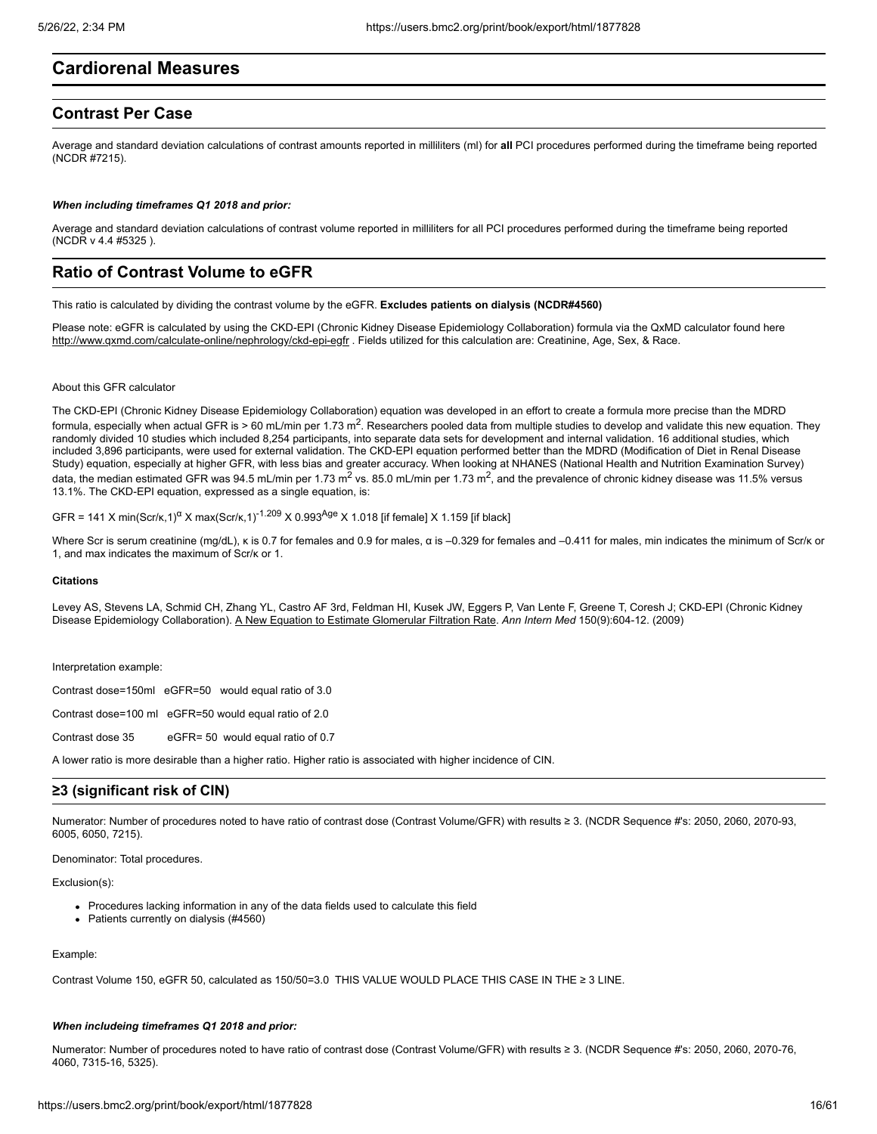# **Cardiorenal Measures**

# **Contrast Per Case**

Average and standard deviation calculations of contrast amounts reported in milliliters (ml) for **all** PCI procedures performed during the timeframe being reported (NCDR #7215).

#### *When including timeframes Q1 2018 and prior:*

Average and standard deviation calculations of contrast volume reported in milliliters for all PCI procedures performed during the timeframe being reported (NCDR v 4.4 #5325 ).

# **Ratio of Contrast Volume to eGFR**

This ratio is calculated by dividing the contrast volume by the eGFR. **Excludes patients on dialysis (NCDR#4560)**

Please note: eGFR is calculated by using the CKD-EPI (Chronic Kidney Disease Epidemiology Collaboration) formula via the QxMD calculator found here <http://www.qxmd.com/calculate-online/nephrology/ckd-epi-egfr>. Fields utilized for this calculation are: Creatinine, Age, Sex, & Race.

# About this GFR calculator

The CKD-EPI (Chronic Kidney Disease Epidemiology Collaboration) equation was developed in an effort to create a formula more precise than the MDRD formula, especially when actual GFR is > 60 mL/min per 1.73 m<sup>2</sup>. Researchers pooled data from multiple studies to develop and validate this new equation. They randomly divided 10 studies which included 8,254 participants, into separate data sets for development and internal validation. 16 additional studies, which included 3,896 participants, were used for external validation. The CKD-EPI equation performed better than the MDRD (Modification of Diet in Renal Disease Study) equation, especially at higher GFR, with less bias and greater accuracy. When looking at NHANES (National Health and Nutrition Examination Survey) data, the median estimated GFR was 94.5 mL/min per 1.73 m<sup>2</sup> vs. 85.0 mL/min per 1.73 m<sup>2</sup>, and the prevalence of chronic kidney disease was 11.5% versus 13.1%. The CKD-EPI equation, expressed as a single equation, is:

GFR = 141 X min(Scr/κ,1)<sup>α</sup> X max(Scr/κ,1)<sup>-1.209</sup> X 0.993<sup>Age</sup> X 1.018 [if female] X 1.159 [if black]

Where Scr is serum creatinine (mq/dL), κ is 0.7 for females and 0.9 for males, α is –0.329 for females and –0.411 for males, min indicates the minimum of Scr/κ or 1, and max indicates the maximum of Scr/κ or 1.

#### **Citations**

Levey AS, Stevens LA, Schmid CH, Zhang YL, Castro AF 3rd, Feldman HI, Kusek JW, Eggers P, Van Lente F, Greene T, Coresh J; CKD-EPI (Chronic Kidney Disease Epidemiology Collaboration). [A New Equation to Estimate Glomerular Filtration Rate.](http://qxmd.com/r/19414839) *Ann Intern Med* 150(9):604-12. (2009)

Interpretation example:

Contrast dose=150ml eGFR=50 would equal ratio of 3.0

Contrast dose=100 ml eGFR=50 would equal ratio of 2.0

Contrast dose 35 eGFR= 50 would equal ratio of 0.7

A lower ratio is more desirable than a higher ratio. Higher ratio is associated with higher incidence of CIN.

# **≥3 (significant risk of CIN)**

Numerator: Number of procedures noted to have ratio of contrast dose (Contrast Volume/GFR) with results ≥ 3. (NCDR Sequence #'s: 2050, 2060, 2070-93, 6005, 6050, 7215).

Denominator: Total procedures.

Exclusion(s):

- Procedures lacking information in any of the data fields used to calculate this field
- Patients currently on dialysis (#4560)

#### Example:

Contrast Volume 150, eGFR 50, calculated as 150/50=3.0 THIS VALUE WOULD PLACE THIS CASE IN THE ≥ 3 LINE.

#### *When includeing timeframes Q1 2018 and prior:*

Numerator: Number of procedures noted to have ratio of contrast dose (Contrast Volume/GFR) with results ≥ 3. (NCDR Sequence #'s: 2050, 2060, 2070-76, 4060, 7315-16, 5325).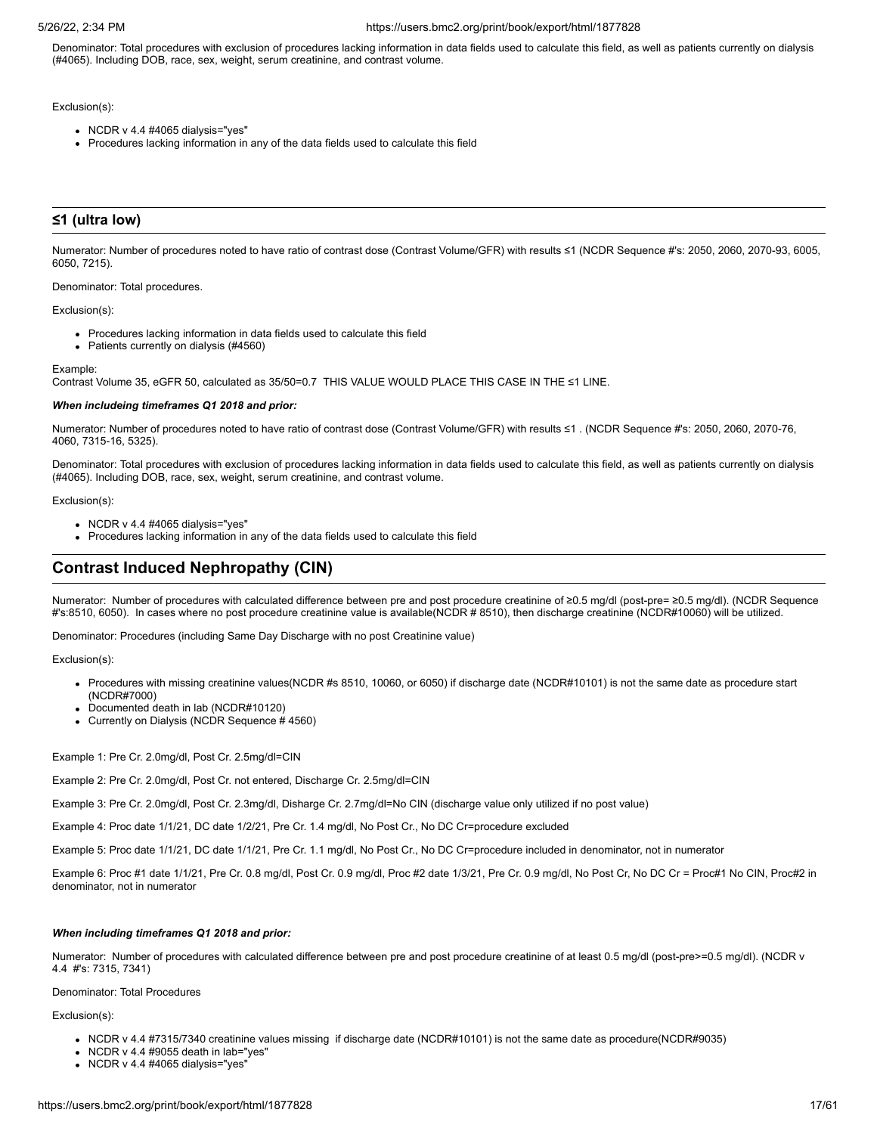Denominator: Total procedures with exclusion of procedures lacking information in data fields used to calculate this field, as well as patients currently on dialysis (#4065). Including DOB, race, sex, weight, serum creatinine, and contrast volume.

### Exclusion(s):

- NCDR v 4.4 #4065 dialysis="yes"
- Procedures lacking information in any of the data fields used to calculate this field

# **≤1 (ultra low)**

Numerator: Number of procedures noted to have ratio of contrast dose (Contrast Volume/GFR) with results ≤1 (NCDR Sequence #'s: 2050, 2060, 2070-93, 6005, 6050, 7215).

Denominator: Total procedures.

Exclusion(s):

- Procedures lacking information in data fields used to calculate this field
- Patients currently on dialysis (#4560)

Example:

Contrast Volume 35, eGFR 50, calculated as 35/50=0.7 THIS VALUE WOULD PLACE THIS CASE IN THE ≤1 LINE.

#### *When includeing timeframes Q1 2018 and prior:*

Numerator: Number of procedures noted to have ratio of contrast dose (Contrast Volume/GFR) with results ≤1 . (NCDR Sequence #'s: 2050, 2060, 2070-76, 4060, 7315-16, 5325).

Denominator: Total procedures with exclusion of procedures lacking information in data fields used to calculate this field, as well as patients currently on dialysis (#4065). Including DOB, race, sex, weight, serum creatinine, and contrast volume.

Exclusion(s):

- $\bullet$  NCDR v 4.4 #4065 dialysis="yes"
- Procedures lacking information in any of the data fields used to calculate this field

# **Contrast Induced Nephropathy (CIN)**

Numerator: Number of procedures with calculated difference between pre and post procedure creatinine of ≥0.5 mg/dl (post-pre= ≥0.5 mg/dl). (NCDR Sequence #'s:8510, 6050). In cases where no post procedure creatinine value is available(NCDR # 8510), then discharge creatinine (NCDR#10060) will be utilized.

Denominator: Procedures (including Same Day Discharge with no post Creatinine value)

Exclusion(s):

- Procedures with missing creatinine values(NCDR #s 8510, 10060, or 6050) if discharge date (NCDR#10101) is not the same date as procedure start (NCDR#7000)
- Documented death in lab (NCDR#10120)
- Currently on Dialysis (NCDR Sequence # 4560)

Example 1: Pre Cr. 2.0mg/dl, Post Cr. 2.5mg/dl=CIN

Example 2: Pre Cr. 2.0mg/dl, Post Cr. not entered, Discharge Cr. 2.5mg/dl=CIN

Example 3: Pre Cr. 2.0mg/dl, Post Cr. 2.3mg/dl, Disharge Cr. 2.7mg/dl=No CIN (discharge value only utilized if no post value)

Example 4: Proc date 1/1/21, DC date 1/2/21, Pre Cr. 1.4 mg/dl, No Post Cr., No DC Cr=procedure excluded

Example 5: Proc date 1/1/21, DC date 1/1/21, Pre Cr. 1.1 mg/dl, No Post Cr., No DC Cr=procedure included in denominator, not in numerator

Example 6: Proc #1 date 1/1/21, Pre Cr. 0.8 mg/dl, Post Cr. 0.9 mg/dl, Proc #2 date 1/3/21, Pre Cr. 0.9 mg/dl, No Post Cr, No DC Cr = Proc#1 No CIN, Proc#2 in denominator, not in numerator

#### *When including timeframes Q1 2018 and prior:*

Numerator: Number of procedures with calculated difference between pre and post procedure creatinine of at least 0.5 mg/dl (post-pre>=0.5 mg/dl). (NCDR v 4.4 #'s: 7315, 7341)

Denominator: Total Procedures

- NCDR v 4.4 #7315/7340 creatinine values missing if discharge date (NCDR#10101) is not the same date as procedure(NCDR#9035)
- $\bullet$  NCDR v 4.4 #9055 death in lab="yes"
- $\bullet$  NCDR v 4.4 #4065 dialysis="yes"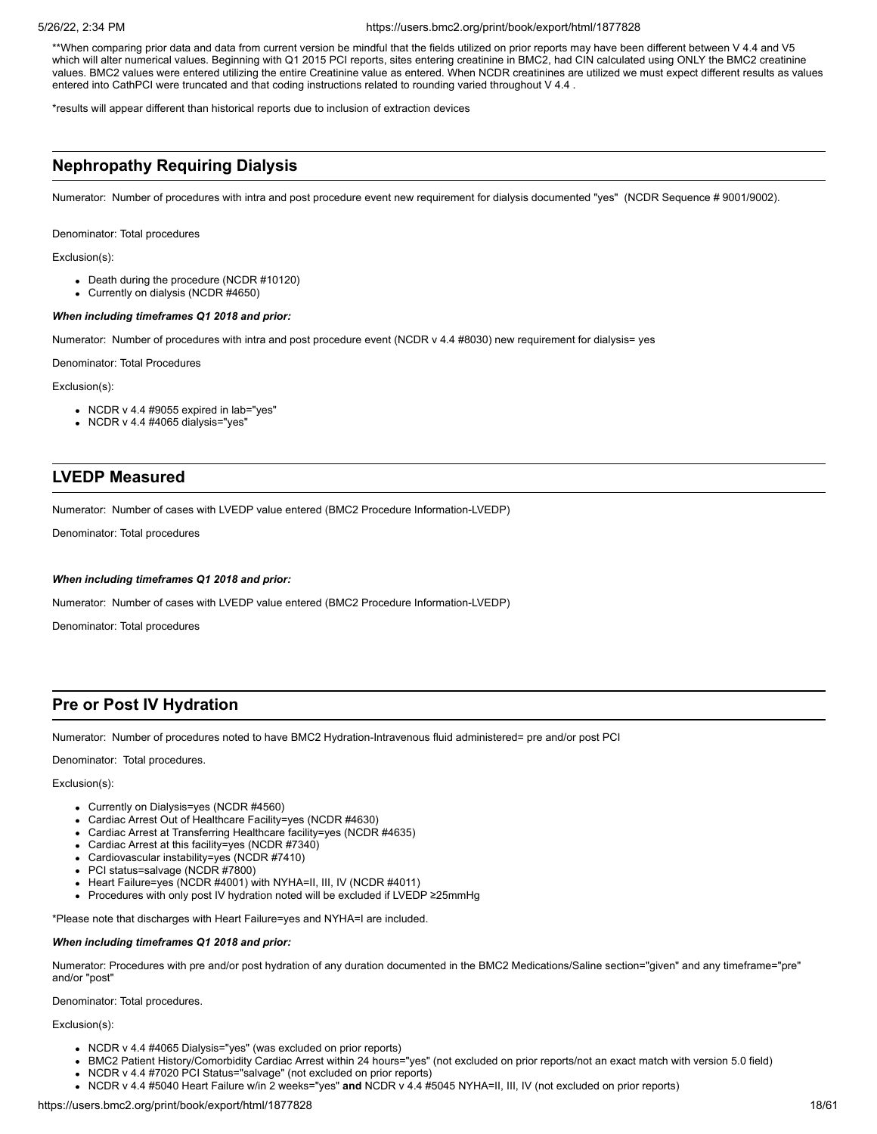\*\*When comparing prior data and data from current version be mindful that the fields utilized on prior reports may have been different between V 4.4 and V5 which will alter numerical values. Beginning with Q1 2015 PCI reports, sites entering creatinine in BMC2, had CIN calculated using ONLY the BMC2 creatinine values. BMC2 values were entered utilizing the entire Creatinine value as entered. When NCDR creatinines are utilized we must expect different results as values entered into CathPCI were truncated and that coding instructions related to rounding varied throughout V 4.4 .

\*results will appear different than historical reports due to inclusion of extraction devices

# **Nephropathy Requiring Dialysis**

Numerator: Number of procedures with intra and post procedure event new requirement for dialysis documented "yes" (NCDR Sequence # 9001/9002).

Denominator: Total procedures

Exclusion(s):

- Death during the procedure (NCDR #10120)
- Currently on dialysis (NCDR #4650)

#### *When including timeframes Q1 2018 and prior:*

Numerator: Number of procedures with intra and post procedure event (NCDR v 4.4 #8030) new requirement for dialysis= yes

Denominator: Total Procedures

Exclusion(s):

- NCDR v 4.4 #9055 expired in lab="yes"
- NCDR v 4.4 #4065 dialysis="yes"

# **LVEDP Measured**

Numerator: Number of cases with LVEDP value entered (BMC2 Procedure Information-LVEDP)

Denominator: Total procedures

#### *When including timeframes Q1 2018 and prior:*

Numerator: Number of cases with LVEDP value entered (BMC2 Procedure Information-LVEDP)

Denominator: Total procedures

# **Pre or Post IV Hydration**

Numerator: Number of procedures noted to have BMC2 Hydration-Intravenous fluid administered= pre and/or post PCI

Denominator: Total procedures.

#### Exclusion(s):

- Currently on Dialysis=yes (NCDR #4560)
- Cardiac Arrest Out of Healthcare Facility=yes (NCDR #4630)
- Cardiac Arrest at Transferring Healthcare facility=yes (NCDR #4635)
- Cardiac Arrest at this facility=yes (NCDR #7340)
- Cardiovascular instability=yes (NCDR #7410)
- PCI status=salvage (NCDR #7800)
- Heart Failure=yes (NCDR #4001) with NYHA=II, III, IV (NCDR #4011)
- Procedures with only post IV hydration noted will be excluded if LVEDP ≥25mmHg

\*Please note that discharges with Heart Failure=yes and NYHA=I are included.

# *When including timeframes Q1 2018 and prior:*

Numerator: Procedures with pre and/or post hydration of any duration documented in the BMC2 Medications/Saline section="given" and any timeframe="pre" and/or "post"

Denominator: Total procedures.

- NCDR v 4.4 #4065 Dialysis="yes" (was excluded on prior reports)
- BMC2 Patient History/Comorbidity Cardiac Arrest within 24 hours="yes" (not excluded on prior reports/not an exact match with version 5.0 field)
- NCDR v 4.4 #7020 PCI Status="salvage" (not excluded on prior reports)
- NCDR v 4.4 #5040 Heart Failure w/in 2 weeks="yes" **and** NCDR v 4.4 #5045 NYHA=II, III, IV (not excluded on prior reports)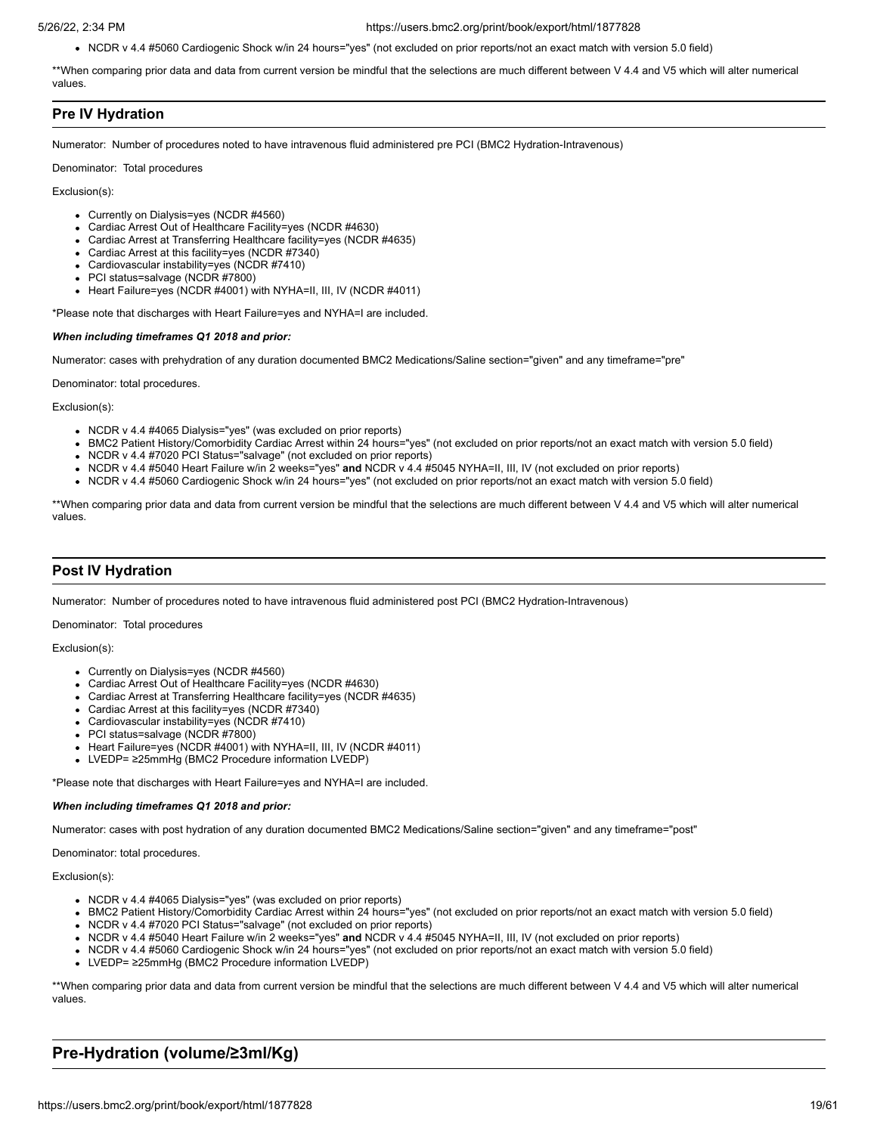NCDR v 4.4 #5060 Cardiogenic Shock w/in 24 hours="yes" (not excluded on prior reports/not an exact match with version 5.0 field)

\*\*When comparing prior data and data from current version be mindful that the selections are much different between V 4.4 and V5 which will alter numerical values.

# **Pre IV Hydration**

Numerator: Number of procedures noted to have intravenous fluid administered pre PCI (BMC2 Hydration-Intravenous)

Denominator: Total procedures

Exclusion(s):

- Currently on Dialysis=yes (NCDR #4560)
- Cardiac Arrest Out of Healthcare Facility=yes (NCDR #4630)
- Cardiac Arrest at Transferring Healthcare facility=yes (NCDR #4635)
- Cardiac Arrest at this facility=yes (NCDR #7340)
- Cardiovascular instability=yes (NCDR #7410)
- PCI status=salvage (NCDR #7800)
- Heart Failure=yes (NCDR #4001) with NYHA=II, III, IV (NCDR #4011)

\*Please note that discharges with Heart Failure=yes and NYHA=I are included.

#### *When including timeframes Q1 2018 and prior:*

Numerator: cases with prehydration of any duration documented BMC2 Medications/Saline section="given" and any timeframe="pre"

Denominator: total procedures.

Exclusion(s):

- NCDR v 4.4 #4065 Dialysis="yes" (was excluded on prior reports)
- BMC2 Patient History/Comorbidity Cardiac Arrest within 24 hours="yes" (not excluded on prior reports/not an exact match with version 5.0 field)
- NCDR v 4.4 #7020 PCI Status="salvage" (not excluded on prior reports)
- NCDR v 4.4 #5040 Heart Failure w/in 2 weeks="yes" **and** NCDR v 4.4 #5045 NYHA=II, III, IV (not excluded on prior reports)
- NCDR v 4.4 #5060 Cardiogenic Shock w/in 24 hours="yes" (not excluded on prior reports/not an exact match with version 5.0 field)

\*\*When comparing prior data and data from current version be mindful that the selections are much different between V 4.4 and V5 which will alter numerical values.

# **Post IV Hydration**

Numerator: Number of procedures noted to have intravenous fluid administered post PCI (BMC2 Hydration-Intravenous)

Denominator: Total procedures

Exclusion(s):

- Currently on Dialysis=yes (NCDR #4560)
- Cardiac Arrest Out of Healthcare Facility=yes (NCDR #4630)
- Cardiac Arrest at Transferring Healthcare facility=yes (NCDR #4635)
- Cardiac Arrest at this facility=yes (NCDR #7340)
- Cardiovascular instability=yes (NCDR #7410)
- PCI status=salvage (NCDR #7800)
- Heart Failure=yes (NCDR #4001) with NYHA=II, III, IV (NCDR #4011)
- LVEDP= ≥25mmHg (BMC2 Procedure information LVEDP)

\*Please note that discharges with Heart Failure=yes and NYHA=I are included.

#### *When including timeframes Q1 2018 and prior:*

Numerator: cases with post hydration of any duration documented BMC2 Medications/Saline section="given" and any timeframe="post"

Denominator: total procedures.

Exclusion(s):

- NCDR v 4.4 #4065 Dialysis="yes" (was excluded on prior reports)
- BMC2 Patient History/Comorbidity Cardiac Arrest within 24 hours="yes" (not excluded on prior reports/not an exact match with version 5.0 field)
- NCDR v 4.4 #7020 PCI Status="salvage" (not excluded on prior reports)
- NCDR v 4.4 #5040 Heart Failure w/in 2 weeks="yes" **and** NCDR v 4.4 #5045 NYHA=II, III, IV (not excluded on prior reports)
- NCDR v 4.4 #5060 Cardiogenic Shock w/in 24 hours="yes" (not excluded on prior reports/not an exact match with version 5.0 field)
- LVEDP= ≥25mmHg (BMC2 Procedure information LVEDP)

\*\*When comparing prior data and data from current version be mindful that the selections are much different between V 4.4 and V5 which will alter numerical values.

# **Pre-Hydration (volume/≥3ml/Kg)**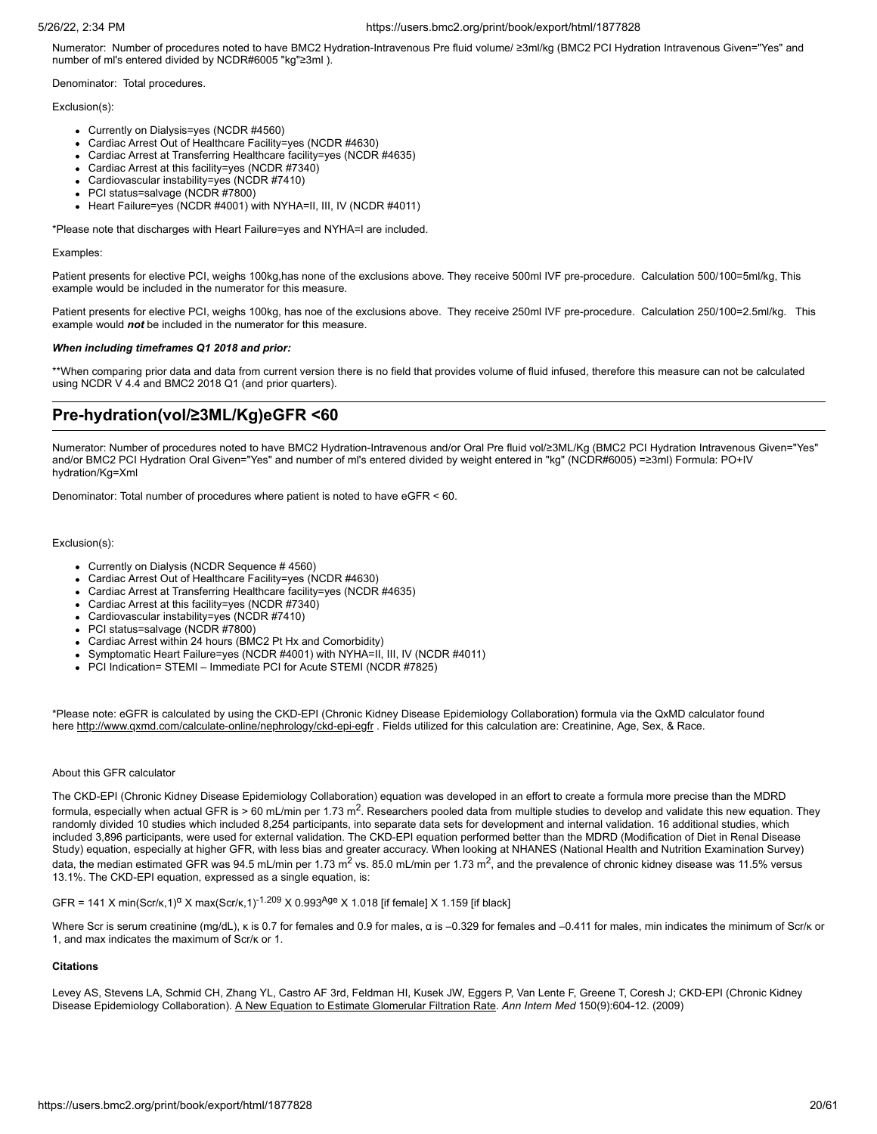Numerator: Number of procedures noted to have BMC2 Hydration-Intravenous Pre fluid volume/ ≥3ml/kg (BMC2 PCI Hydration Intravenous Given="Yes" and number of ml's entered divided by NCDR#6005 "kg"≥3ml ).

Denominator: Total procedures.

# Exclusion(s):

- Currently on Dialysis=yes (NCDR #4560)
- Cardiac Arrest Out of Healthcare Facility=yes (NCDR #4630)
- Cardiac Arrest at Transferring Healthcare facility=yes (NCDR #4635)
- Cardiac Arrest at this facility=yes (NCDR #7340)
- Cardiovascular instability=yes (NCDR #7410)
- $\bullet$  PCI status=salvage (NCDR #7800)
- Heart Failure=yes (NCDR #4001) with NYHA=II, III, IV (NCDR #4011)

\*Please note that discharges with Heart Failure=yes and NYHA=I are included.

# Examples:

Patient presents for elective PCI, weighs 100kg,has none of the exclusions above. They receive 500ml IVF pre-procedure. Calculation 500/100=5ml/kg, This example would be included in the numerator for this measure.

Patient presents for elective PCI, weighs 100kg, has noe of the exclusions above. They receive 250ml IVF pre-procedure. Calculation 250/100=2.5ml/kg. This example would *not* be included in the numerator for this measure.

# *When including timeframes Q1 2018 and prior:*

\*\*When comparing prior data and data from current version there is no field that provides volume of fluid infused, therefore this measure can not be calculated using NCDR V 4.4 and BMC2 2018 Q1 (and prior quarters).

# **Pre-hydration(vol/≥3ML/Kg)eGFR <60**

Numerator: Number of procedures noted to have BMC2 Hydration-Intravenous and/or Oral Pre fluid vol/≥3ML/Kg (BMC2 PCI Hydration Intravenous Given="Yes" and/or BMC2 PCI Hydration Oral Given="Yes" and number of ml's entered divided by weight entered in "kg" (NCDR#6005) =≥3ml) Formula: PO+IV hydration/Kg=Xml

Denominator: Total number of procedures where patient is noted to have eGFR < 60.

# Exclusion(s):

- Currently on Dialysis (NCDR Sequence # 4560)
- Cardiac Arrest Out of Healthcare Facility=yes (NCDR #4630)
- Cardiac Arrest at Transferring Healthcare facility=yes (NCDR #4635)
- Cardiac Arrest at this facility=yes (NCDR #7340)
- Cardiovascular instability=yes (NCDR #7410)
- PCI status=salvage (NCDR #7800)
- Cardiac Arrest within 24 hours (BMC2 Pt Hx and Comorbidity)
- Symptomatic Heart Failure=yes (NCDR #4001) with NYHA=II, III, IV (NCDR #4011)
- PCI Indication= STEMI Immediate PCI for Acute STEMI (NCDR #7825)

\*Please note: eGFR is calculated by using the CKD-EPI (Chronic Kidney Disease Epidemiology Collaboration) formula via the QxMD calculator found here <http://www.qxmd.com/calculate-online/nephrology/ckd-epi-egfr> . Fields utilized for this calculation are: Creatinine, Age, Sex, & Race.

# About this GFR calculator

The CKD-EPI (Chronic Kidney Disease Epidemiology Collaboration) equation was developed in an effort to create a formula more precise than the MDRD formula, especially when actual GFR is > 60 mL/min per 1.73 m<sup>2</sup>. Researchers pooled data from multiple studies to develop and validate this new equation. They randomly divided 10 studies which included 8,254 participants, into separate data sets for development and internal validation. 16 additional studies, which included 3,896 participants, were used for external validation. The CKD-EPI equation performed better than the MDRD (Modification of Diet in Renal Disease Study) equation, especially at higher GFR, with less bias and greater accuracy. When looking at NHANES (National Health and Nutrition Examination Survey) data, the median estimated GFR was 94.5 mL/min per 1.73 m $^2$  vs. 85.0 mL/min per 1.73 m $^2$ , and the prevalence of chronic kidney disease was 11.5% versus 13.1%. The CKD-EPI equation, expressed as a single equation, is:

GFR = 141 X min(Scr/k,1)<sup>a</sup> X max(Scr/k,1)<sup>-1.209</sup> X 0.993<sup>Age</sup> X 1.018 [if female] X 1.159 [if black]

Where Scr is serum creatinine (mg/dL), κ is 0.7 for females and 0.9 for males, α is –0.329 for females and –0.411 for males, min indicates the minimum of Scr/κ or 1, and max indicates the maximum of Scr/κ or 1.

# **Citations**

Levey AS, Stevens LA, Schmid CH, Zhang YL, Castro AF 3rd, Feldman HI, Kusek JW, Eggers P, Van Lente F, Greene T, Coresh J; CKD-EPI (Chronic Kidney Disease Epidemiology Collaboration). [A New Equation to Estimate Glomerular Filtration Rate.](http://qxmd.com/r/19414839) *Ann Intern Med* 150(9):604-12. (2009)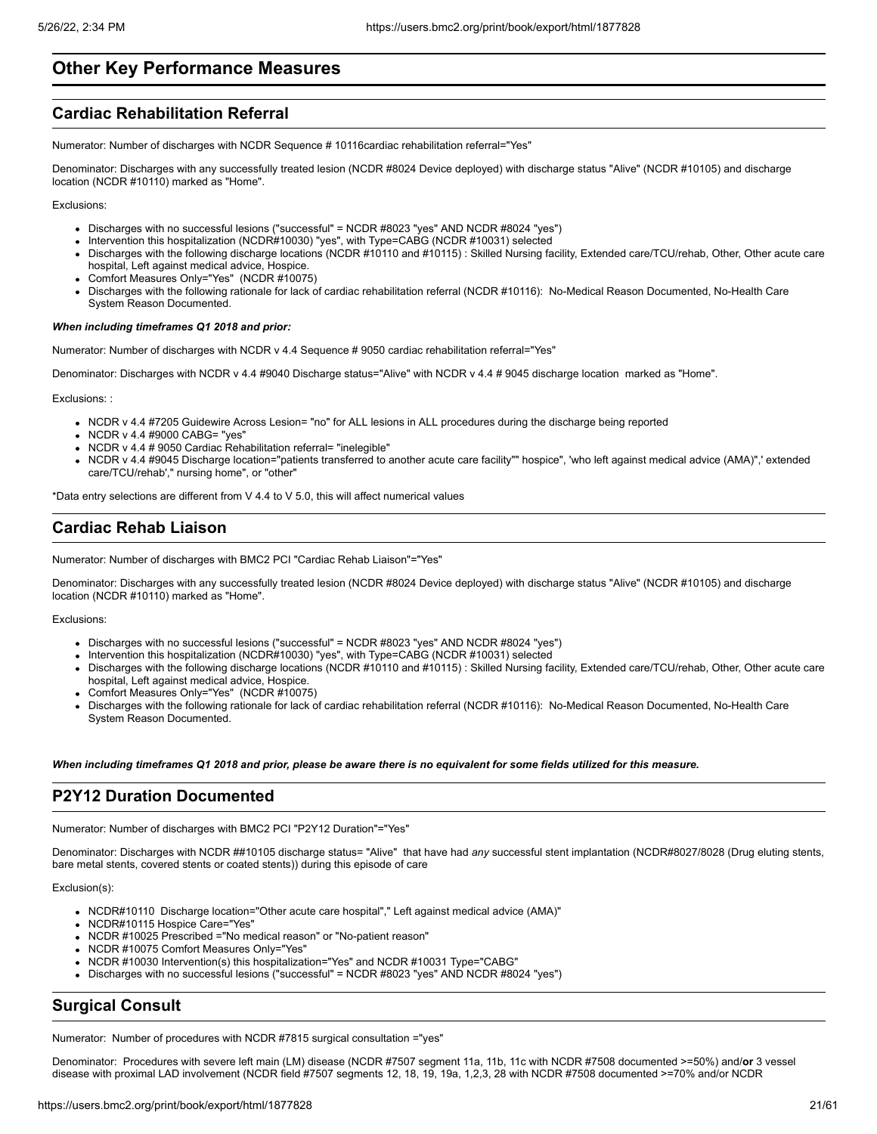# **Other Key Performance Measures**

# **Cardiac Rehabilitation Referral**

Numerator: Number of discharges with NCDR Sequence # 10116cardiac rehabilitation referral="Yes"

Denominator: Discharges with any successfully treated lesion (NCDR #8024 Device deployed) with discharge status "Alive" (NCDR #10105) and discharge location (NCDR #10110) marked as "Home".

Exclusions:

- Discharges with no successful lesions ("successful" = NCDR #8023 "yes" AND NCDR #8024 "yes")
- Intervention this hospitalization (NCDR#10030) "yes", with Type=CABG (NCDR #10031) selected
- Discharges with the following discharge locations (NCDR #10110 and #10115) : Skilled Nursing facility, Extended care/TCU/rehab, Other, Other acute care hospital, Left against medical advice, Hospice.
- Comfort Measures Only="Yes" (NCDR #10075)
- Discharges with the following rationale for lack of cardiac rehabilitation referral (NCDR #10116): No-Medical Reason Documented, No-Health Care System Reason Documented.

#### *When including timeframes Q1 2018 and prior:*

Numerator: Number of discharges with NCDR v 4.4 Sequence # 9050 cardiac rehabilitation referral="Yes"

Denominator: Discharges with NCDR v 4.4 #9040 Discharge status="Alive" with NCDR v 4.4 # 9045 discharge location marked as "Home".

Exclusions: :

- NCDR v 4.4 #7205 Guidewire Across Lesion= "no" for ALL lesions in ALL procedures during the discharge being reported
- NCDR v 4.4 #9000 CABG= "yes"
- NCDR v 4.4 # 9050 Cardiac Rehabilitation referral= "inelegible"
- NCDR v 4.4 #9045 Discharge location="patients transferred to another acute care facility"" hospice", 'who left against medical advice (AMA)",' extended care/TCU/rehab'," nursing home", or "other"

\*Data entry selections are different from V 4.4 to V 5.0, this will affect numerical values

# **Cardiac Rehab Liaison**

Numerator: Number of discharges with BMC2 PCI "Cardiac Rehab Liaison"="Yes"

Denominator: Discharges with any successfully treated lesion (NCDR #8024 Device deployed) with discharge status "Alive" (NCDR #10105) and discharge location (NCDR #10110) marked as "Home".

Exclusions:

- Discharges with no successful lesions ("successful" = NCDR #8023 "yes" AND NCDR #8024 "yes")
- Intervention this hospitalization (NCDR#10030) "yes", with Type=CABG (NCDR #10031) selected
- Discharges with the following discharge locations (NCDR #10110 and #10115) : Skilled Nursing facility, Extended care/TCU/rehab, Other, Other acute care hospital, Left against medical advice, Hospice.
- Comfort Measures Only="Yes" (NCDR #10075)
- Discharges with the following rationale for lack of cardiac rehabilitation referral (NCDR #10116): No-Medical Reason Documented, No-Health Care System Reason Documented.

*When including timeframes Q1 2018 and prior, please be aware there is no equivalent for some fields utilized for this measure.*

# **P2Y12 Duration Documented**

Numerator: Number of discharges with BMC2 PCI "P2Y12 Duration"="Yes"

Denominator: Discharges with NCDR ##10105 discharge status= "Alive" that have had *any* successful stent implantation (NCDR#8027/8028 (Drug eluting stents, bare metal stents, covered stents or coated stents)) during this episode of care

Exclusion(s):

- NCDR#10110 Discharge location="Other acute care hospital"," Left against medical advice (AMA)"
- NCDR#10115 Hospice Care="Yes"
- NCDR #10025 Prescribed ="No medical reason" or "No-patient reason"
- NCDR #10075 Comfort Measures Only="Yes"
- NCDR #10030 Intervention(s) this hospitalization="Yes" and NCDR #10031 Type="CABG"
- Discharges with no successful lesions ("successful" = NCDR #8023 "yes" AND NCDR #8024 "yes")

# **Surgical Consult**

Numerator: Number of procedures with NCDR #7815 surgical consultation ="yes"

Denominator: Procedures with severe left main (LM) disease (NCDR #7507 segment 11a, 11b, 11c with NCDR #7508 documented >=50%) and/**or** 3 vessel disease with proximal LAD involvement (NCDR field #7507 segments 12, 18, 19, 19a, 1,2,3, 28 with NCDR #7508 documented >=70% and/or NCDR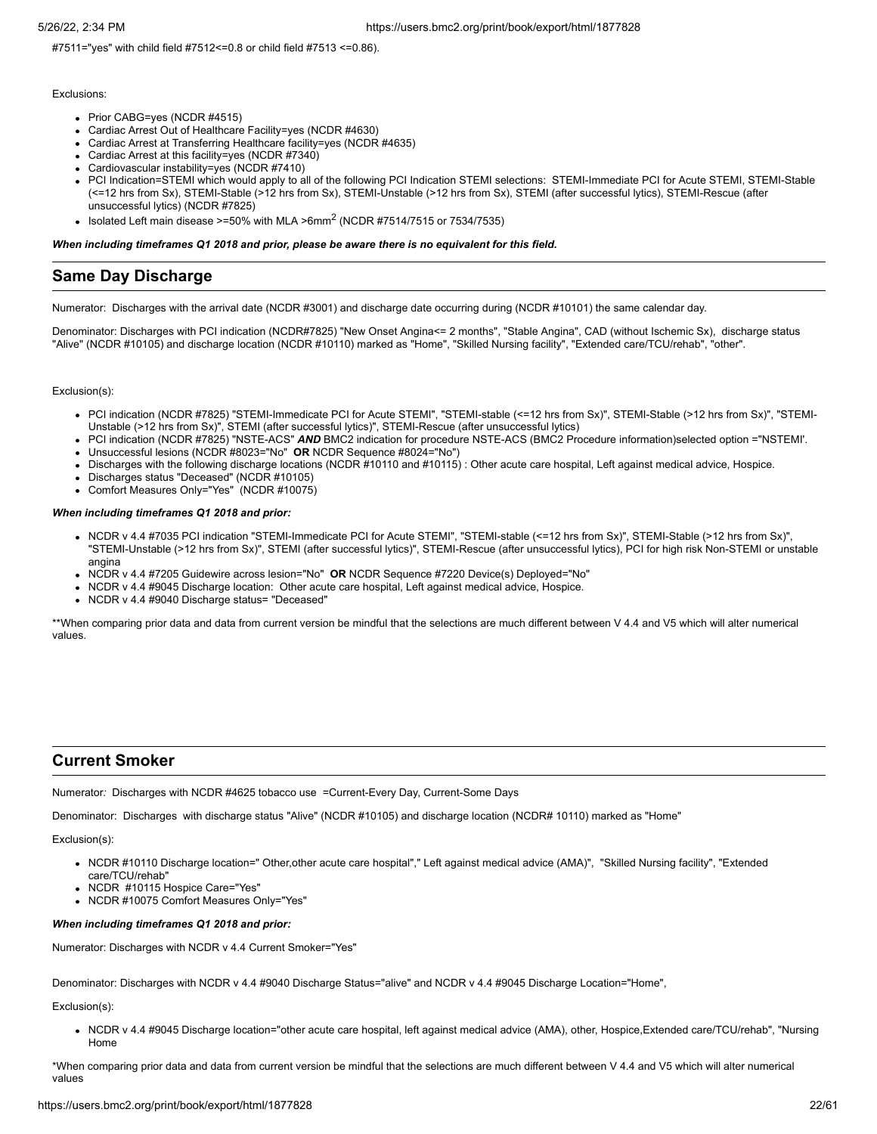#7511="yes" with child field #7512<=0.8 or child field #7513 <=0.86).

### Exclusions:

- Prior CABG=yes (NCDR #4515)
- Cardiac Arrest Out of Healthcare Facility=yes (NCDR #4630)
- Cardiac Arrest at Transferring Healthcare facility=yes (NCDR #4635)
- Cardiac Arrest at this facility=yes (NCDR #7340)
- Cardiovascular instability=yes (NCDR #7410)
- PCI Indication=STEMI which would apply to all of the following PCI Indication STEMI selections: STEMI-Immediate PCI for Acute STEMI, STEMI-Stable (<=12 hrs from Sx), STEMI-Stable (>12 hrs from Sx), STEMI-Unstable (>12 hrs from Sx), STEMI (after successful lytics), STEMI-Rescue (after unsuccessful lytics) (NCDR #7825)
- Isolated Left main disease >=50% with MLA >6mm<sup>2</sup> (NCDR #7514/7515 or 7534/7535)

#### *When including timeframes Q1 2018 and prior, please be aware there is no equivalent for this field.*

# **Same Day Discharge**

Numerator: Discharges with the arrival date (NCDR #3001) and discharge date occurring during (NCDR #10101) the same calendar day.

Denominator: Discharges with PCI indication (NCDR#7825) "New Onset Angina<= 2 months", "Stable Angina", CAD (without Ischemic Sx), discharge status "Alive" (NCDR #10105) and discharge location (NCDR #10110) marked as "Home", "Skilled Nursing facility", "Extended care/TCU/rehab", "other".

#### Exclusion(s):

- PCI indication (NCDR #7825) "STEMI-Immedicate PCI for Acute STEMI", "STEMI-stable (<=12 hrs from Sx)", STEMI-Stable (>12 hrs from Sx)", "STEMI-Unstable (>12 hrs from Sx)", STEMI (after successful lytics)", STEMI-Rescue (after unsuccessful lytics)
- PCI indication (NCDR #7825) "NSTE-ACS" *AND* BMC2 indication for procedure NSTE-ACS (BMC2 Procedure information)selected option ="NSTEMI'.
- Unsuccessful lesions (NCDR #8023="No" **OR** NCDR Sequence #8024="No")
- Discharges with the following discharge locations (NCDR #10110 and #10115) : Other acute care hospital, Left against medical advice, Hospice.
- Discharges status "Deceased" (NCDR #10105)
- Comfort Measures Only="Yes" (NCDR #10075)

#### *When including timeframes Q1 2018 and prior:*

- NCDR v 4.4 #7035 PCI indication "STEMI-Immedicate PCI for Acute STEMI", "STEMI-stable (<=12 hrs from Sx)", STEMI-Stable (>12 hrs from Sx)", "STEMI-Unstable (>12 hrs from Sx)", STEMI (after successful lytics)", STEMI-Rescue (after unsuccessful lytics), PCI for high risk Non-STEMI or unstable angina
- NCDR v 4.4 #7205 Guidewire across lesion="No" **OR** NCDR Sequence #7220 Device(s) Deployed="No"
- NCDR v 4.4 #9045 Discharge location: Other acute care hospital, Left against medical advice, Hospice.
- NCDR v 4.4 #9040 Discharge status= "Deceased"

\*\*When comparing prior data and data from current version be mindful that the selections are much different between V 4.4 and V5 which will alter numerical values.

# **Current Smoker**

Numerator*:* Discharges with NCDR #4625 tobacco use =Current-Every Day, Current-Some Days

Denominator: Discharges with discharge status "Alive" (NCDR #10105) and discharge location (NCDR# 10110) marked as "Home"

# Exclusion(s):

- NCDR #10110 Discharge location=" Other,other acute care hospital"," Left against medical advice (AMA)", "Skilled Nursing facility", "Extended care/TCU/rehab"
- NCDR #10115 Hospice Care="Yes"
- NCDR #10075 Comfort Measures Only="Yes"

## *When including timeframes Q1 2018 and prior:*

Numerator: Discharges with NCDR v 4.4 Current Smoker="Yes"

Denominator: Discharges with NCDR v 4.4 #9040 Discharge Status="alive" and NCDR v 4.4 #9045 Discharge Location="Home",

# Exclusion(s):

• NCDR v 4.4 #9045 Discharge location="other acute care hospital, left against medical advice (AMA), other, Hospice,Extended care/TCU/rehab", "Nursing Home

\*When comparing prior data and data from current version be mindful that the selections are much different between V 4.4 and V5 which will alter numerical values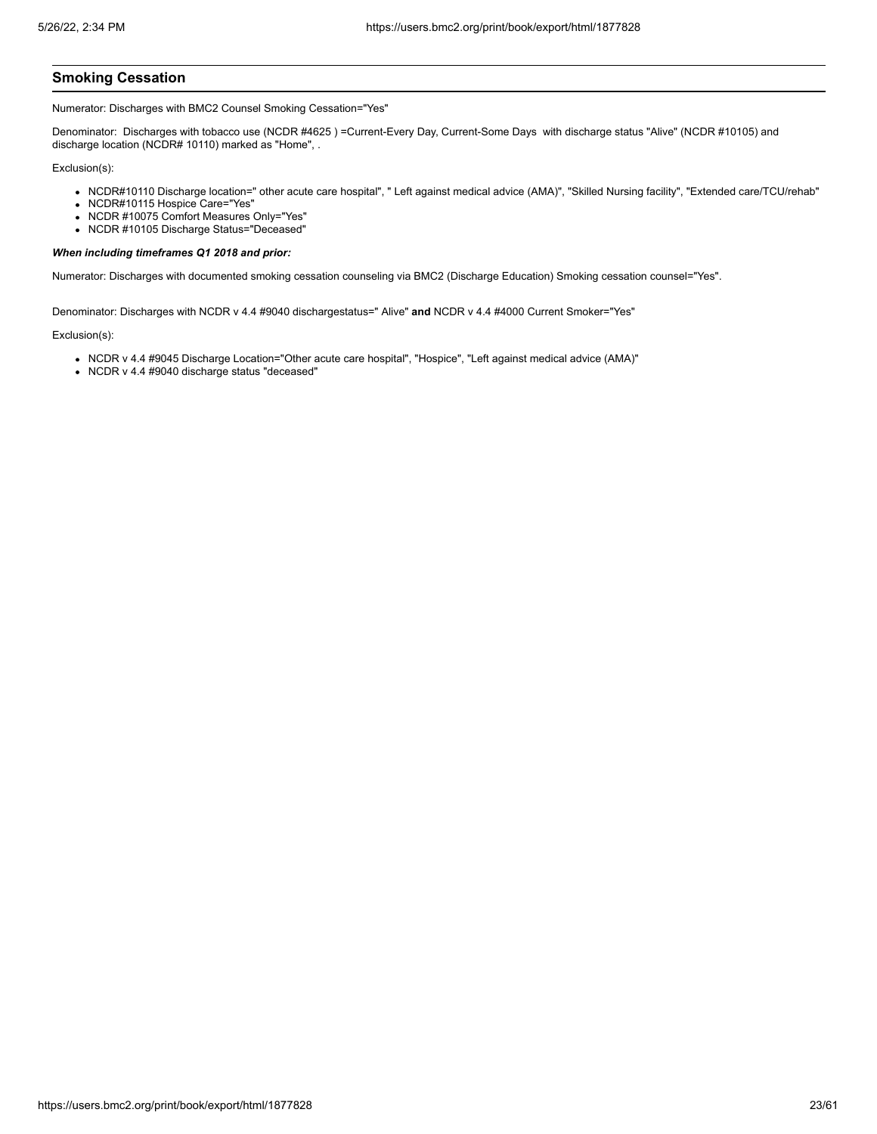# **Smoking Cessation**

Numerator: Discharges with BMC2 Counsel Smoking Cessation="Yes"

Denominator: Discharges with tobacco use (NCDR #4625 ) =Current-Every Day, Current-Some Days with discharge status "Alive" (NCDR #10105) and discharge location (NCDR# 10110) marked as "Home", .

Exclusion(s):

- NCDR#10110 Discharge location=" other acute care hospital", " Left against medical advice (AMA)", "Skilled Nursing facility", "Extended care/TCU/rehab"
- NCDR#10115 Hospice Care="Yes"
- NCDR #10075 Comfort Measures Only="Yes"
- NCDR #10105 Discharge Status="Deceased"

### *When including timeframes Q1 2018 and prior:*

Numerator: Discharges with documented smoking cessation counseling via BMC2 (Discharge Education) Smoking cessation counsel="Yes".

Denominator: Discharges with NCDR v 4.4 #9040 dischargestatus=" Alive" **and** NCDR v 4.4 #4000 Current Smoker="Yes"

- NCDR v 4.4 #9045 Discharge Location="Other acute care hospital", "Hospice", "Left against medical advice (AMA)"
- NCDR v 4.4 #9040 discharge status "deceased"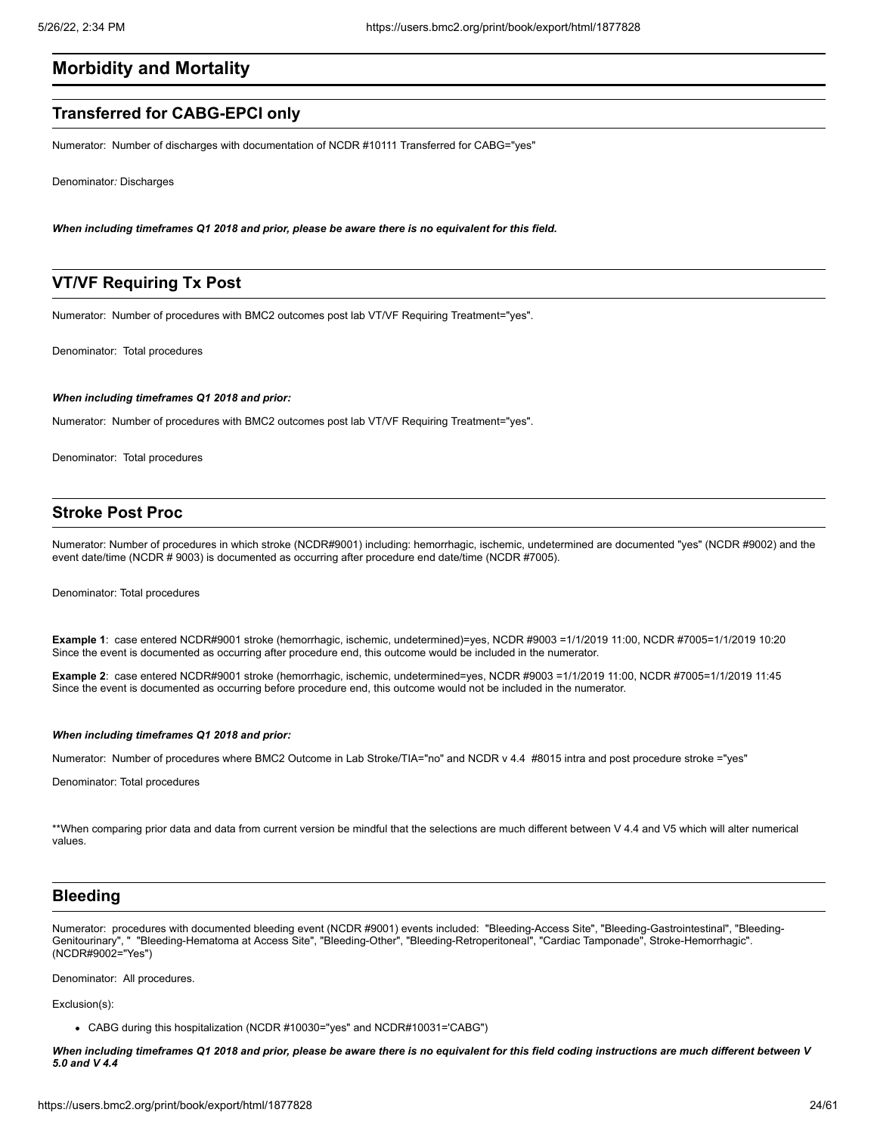# **Morbidity and Mortality**

# **Transferred for CABG-EPCI only**

Numerator: Number of discharges with documentation of NCDR #10111 Transferred for CABG="yes"

Denominator*:* Discharges

*When including timeframes Q1 2018 and prior, please be aware there is no equivalent for this field.*

# **VT/VF Requiring Tx Post**

Numerator: Number of procedures with BMC2 outcomes post lab VT/VF Requiring Treatment="yes".

Denominator: Total procedures

#### *When including timeframes Q1 2018 and prior:*

Numerator: Number of procedures with BMC2 outcomes post lab VT/VF Requiring Treatment="yes".

Denominator: Total procedures

# **Stroke Post Proc**

Numerator: Number of procedures in which stroke (NCDR#9001) including: hemorrhagic, ischemic, undetermined are documented "yes" (NCDR #9002) and the event date/time (NCDR # 9003) is documented as occurring after procedure end date/time (NCDR #7005).

Denominator: Total procedures

**Example 1**: case entered NCDR#9001 stroke (hemorrhagic, ischemic, undetermined)=yes, NCDR #9003 =1/1/2019 11:00, NCDR #7005=1/1/2019 10:20 Since the event is documented as occurring after procedure end, this outcome would be included in the numerator.

**Example 2**: case entered NCDR#9001 stroke (hemorrhagic, ischemic, undetermined=yes, NCDR #9003 =1/1/2019 11:00, NCDR #7005=1/1/2019 11:45 Since the event is documented as occurring before procedure end, this outcome would not be included in the numerator.

#### *When including timeframes Q1 2018 and prior:*

Numerator: Number of procedures where BMC2 Outcome in Lab Stroke/TIA="no" and NCDR v 4.4 #8015 intra and post procedure stroke ="yes"

Denominator: Total procedures

\*\*When comparing prior data and data from current version be mindful that the selections are much different between V 4.4 and V5 which will alter numerical values.

# **Bleeding**

Numerator: procedures with documented bleeding event (NCDR #9001) events included: "Bleeding-Access Site", "Bleeding-Gastrointestinal", "Bleeding-Genitourinary", " "Bleeding-Hematoma at Access Site", "Bleeding-Other", "Bleeding-Retroperitoneal", "Cardiac Tamponade", Stroke-Hemorrhagic". (NCDR#9002="Yes")

Denominator: All procedures.

Exclusion(s):

CABG during this hospitalization (NCDR #10030="yes" and NCDR#10031='CABG")

*When including timeframes Q1 2018 and prior, please be aware there is no equivalent for this field coding instructions are much different between V 5.0 and V 4.4*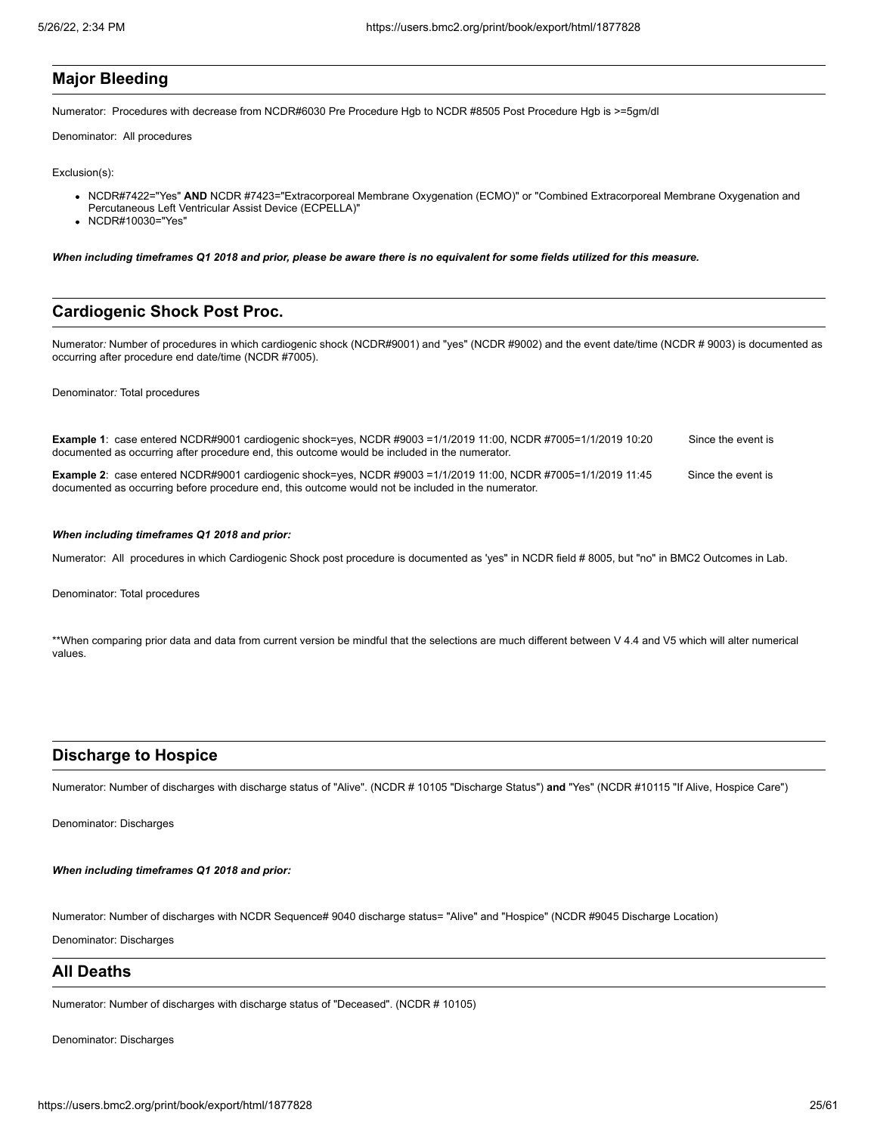# **Major Bleeding**

Numerator: Procedures with decrease from NCDR#6030 Pre Procedure Hgb to NCDR #8505 Post Procedure Hgb is >=5gm/dl

Denominator: All procedures

### Exclusion(s):

- NCDR#7422="Yes" AND NCDR #7423="Extracorporeal Membrane Oxygenation (ECMO)" or "Combined Extracorporeal Membrane Oxygenation and Percutaneous Left Ventricular Assist Device (ECPELLA)"
- NCDR#10030="Yes"

*When including timeframes Q1 2018 and prior, please be aware there is no equivalent for some fields utilized for this measure.*

# **Cardiogenic Shock Post Proc.**

Numerator*:* Number of procedures in which cardiogenic shock (NCDR#9001) and "yes" (NCDR #9002) and the event date/time (NCDR # 9003) is documented as occurring after procedure end date/time (NCDR #7005).

### Denominator*:* Total procedures

| Example 1: case entered NCDR#9001 cardiogenic shock=yes, NCDR #9003 =1/1/2019 11:00, NCDR #7005=1/1/2019 10:20<br>documented as occurring after procedure end, this outcome would be included in the numerator.             | Since the event is |
|-----------------------------------------------------------------------------------------------------------------------------------------------------------------------------------------------------------------------------|--------------------|
| <b>Example 2:</b> case entered NCDR#9001 cardiogenic shock=yes, NCDR #9003 =1/1/2019 11:00, NCDR #7005=1/1/2019 11:45<br>documented as occurring before procedure end, this outcome would not be included in the numerator. | Since the event is |

### *When including timeframes Q1 2018 and prior:*

Numerator: All procedures in which Cardiogenic Shock post procedure is documented as 'yes" in NCDR field # 8005, but "no" in BMC2 Outcomes in Lab.

Denominator: Total procedures

\*\*When comparing prior data and data from current version be mindful that the selections are much different between V 4.4 and V5 which will alter numerical values.

# **Discharge to Hospice**

Numerator: Number of discharges with discharge status of "Alive". (NCDR # 10105 "Discharge Status") **and** "Yes" (NCDR #10115 "If Alive, Hospice Care")

Denominator: Discharges

#### *When including timeframes Q1 2018 and prior:*

Numerator: Number of discharges with NCDR Sequence# 9040 discharge status= "Alive" and "Hospice" (NCDR #9045 Discharge Location)

Denominator: Discharges

# **All Deaths**

Numerator: Number of discharges with discharge status of "Deceased". (NCDR # 10105)

Denominator: Discharges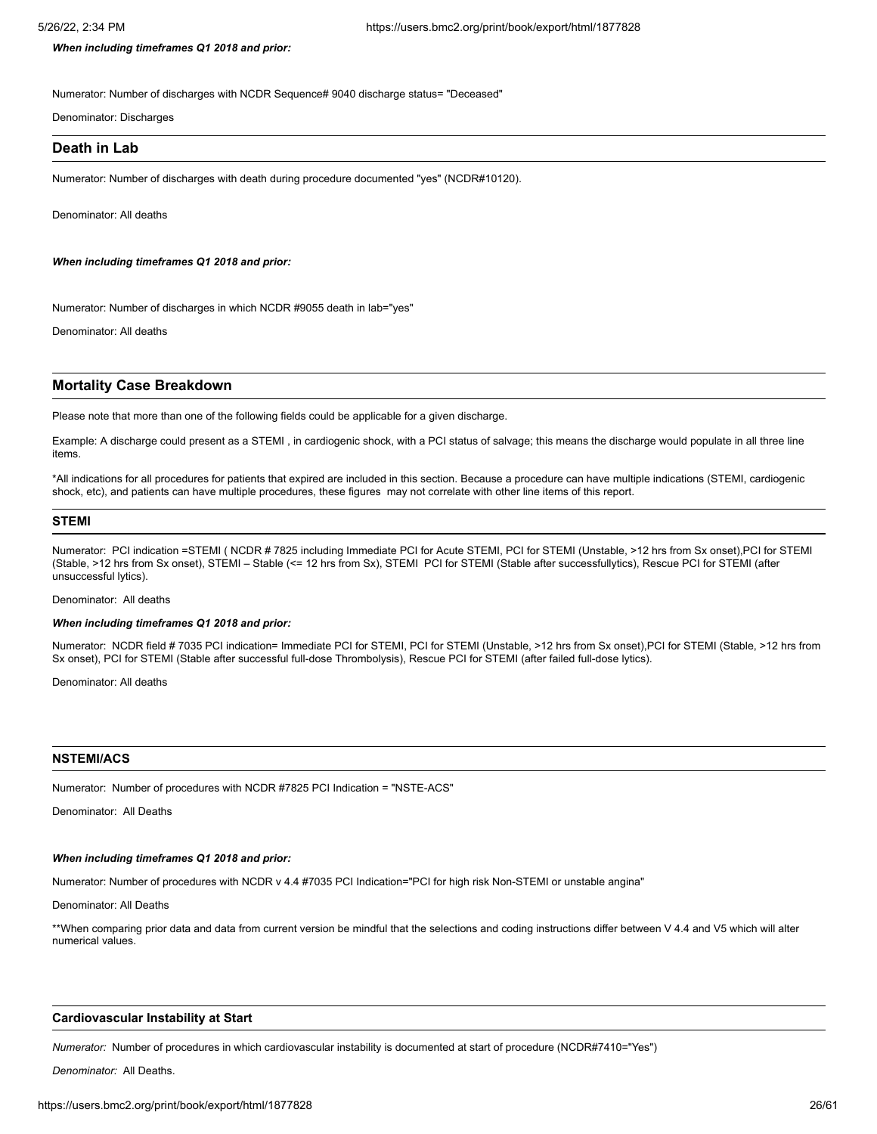*When including timeframes Q1 2018 and prior:*

Numerator: Number of discharges with NCDR Sequence# 9040 discharge status= "Deceased"

Denominator: Discharges

# **Death in Lab**

Numerator: Number of discharges with death during procedure documented "yes" (NCDR#10120).

Denominator: All deaths

*When including timeframes Q1 2018 and prior:*

Numerator: Number of discharges in which NCDR #9055 death in lab="yes"

Denominator: All deaths

# **Mortality Case Breakdown**

Please note that more than one of the following fields could be applicable for a given discharge.

Example: A discharge could present as a STEMI , in cardiogenic shock, with a PCI status of salvage; this means the discharge would populate in all three line items.

\*All indications for all procedures for patients that expired are included in this section. Because a procedure can have multiple indications (STEMI, cardiogenic shock, etc), and patients can have multiple procedures, these figures may not correlate with other line items of this report.

# **STEMI**

Numerator: PCI indication =STEMI ( NCDR # 7825 including Immediate PCI for Acute STEMI, PCI for STEMI (Unstable, >12 hrs from Sx onset),PCI for STEMI (Stable, >12 hrs from Sx onset), STEMI – Stable (<= 12 hrs from Sx), STEMI PCI for STEMI (Stable after successfullytics), Rescue PCI for STEMI (after unsuccessful lytics).

#### Denominator: All deaths

### *When including timeframes Q1 2018 and prior:*

Numerator: NCDR field # 7035 PCI indication= Immediate PCI for STEMI, PCI for STEMI (Unstable, >12 hrs from Sx onset),PCI for STEMI (Stable, >12 hrs from Sx onset), PCI for STEMI (Stable after successful full-dose Thrombolysis), Rescue PCI for STEMI (after failed full-dose lytics).

Denominator: All deaths

#### **NSTEMI/ACS**

Numerator: Number of procedures with NCDR #7825 PCI Indication = "NSTE-ACS"

Denominator: All Deaths

# *When including timeframes Q1 2018 and prior:*

Numerator: Number of procedures with NCDR v 4.4 #7035 PCI Indication="PCI for high risk Non-STEMI or unstable angina"

Denominator: All Deaths

\*\*When comparing prior data and data from current version be mindful that the selections and coding instructions differ between V 4.4 and V5 which will alter numerical values.

#### **Cardiovascular Instability at Start**

*Numerator:* Number of procedures in which cardiovascular instability is documented at start of procedure (NCDR#7410="Yes")

*Denominator:* All Deaths.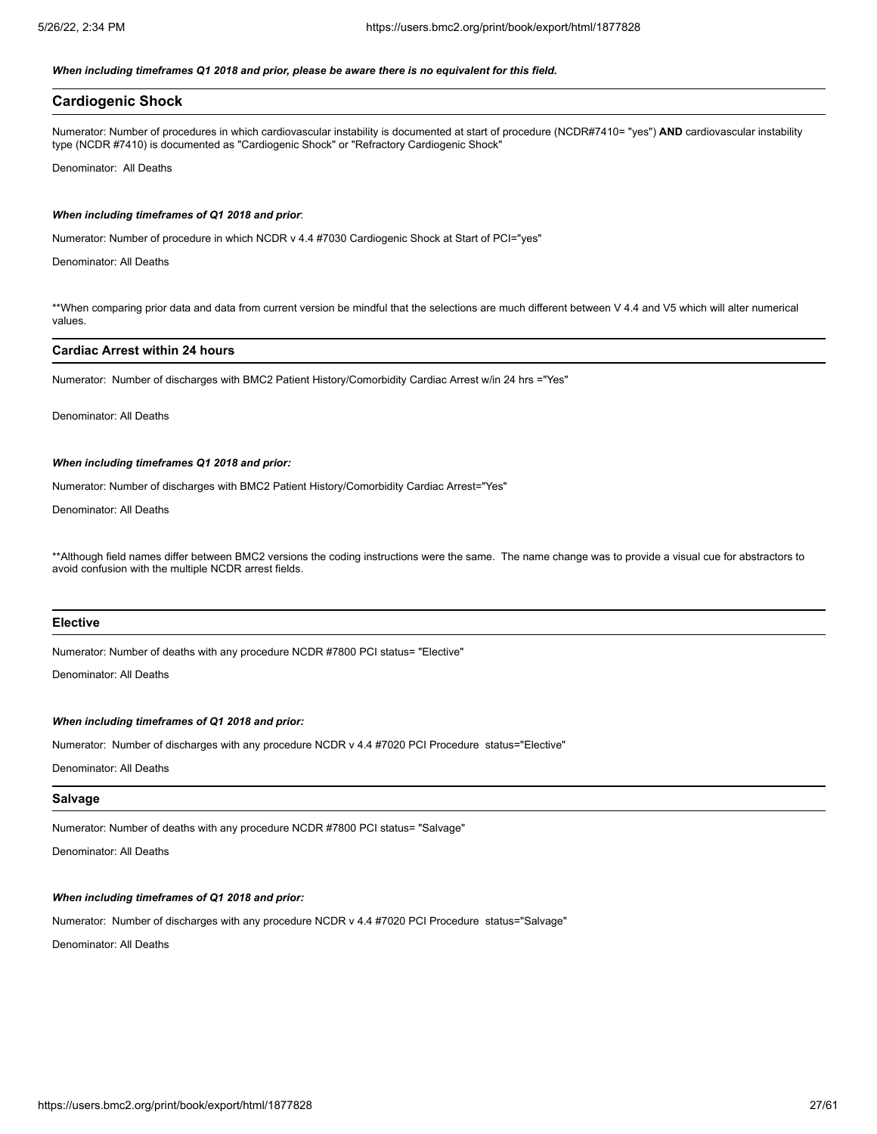## *When including timeframes Q1 2018 and prior, please be aware there is no equivalent for this field.*

# **Cardiogenic Shock**

Numerator: Number of procedures in which cardiovascular instability is documented at start of procedure (NCDR#7410= "yes") **AND** cardiovascular instability type (NCDR #7410) is documented as "Cardiogenic Shock" or "Refractory Cardiogenic Shock"

Denominator: All Deaths

#### *When including timeframes of Q1 2018 and prior*:

Numerator: Number of procedure in which NCDR v 4.4 #7030 Cardiogenic Shock at Start of PCI="yes"

Denominator: All Deaths

\*\*When comparing prior data and data from current version be mindful that the selections are much different between V 4.4 and V5 which will alter numerical values.

## **Cardiac Arrest within 24 hours**

Numerator: Number of discharges with BMC2 Patient History/Comorbidity Cardiac Arrest w/in 24 hrs ="Yes"

Denominator: All Deaths

### *When including timeframes Q1 2018 and prior:*

Numerator: Number of discharges with BMC2 Patient History/Comorbidity Cardiac Arrest="Yes"

Denominator: All Deaths

\*\*Although field names differ between BMC2 versions the coding instructions were the same. The name change was to provide a visual cue for abstractors to avoid confusion with the multiple NCDR arrest fields.

#### **Elective**

Numerator: Number of deaths with any procedure NCDR #7800 PCI status= "Elective"

Denominator: All Deaths

# *When including timeframes of Q1 2018 and prior:*

Numerator: Number of discharges with any procedure NCDR v 4.4 #7020 PCI Procedure status="Elective"

Denominator: All Deaths

#### **Salvage**

Numerator: Number of deaths with any procedure NCDR #7800 PCI status= "Salvage"

Denominator: All Deaths

### *When including timeframes of Q1 2018 and prior:*

Numerator: Number of discharges with any procedure NCDR v 4.4 #7020 PCI Procedure status="Salvage"

Denominator: All Deaths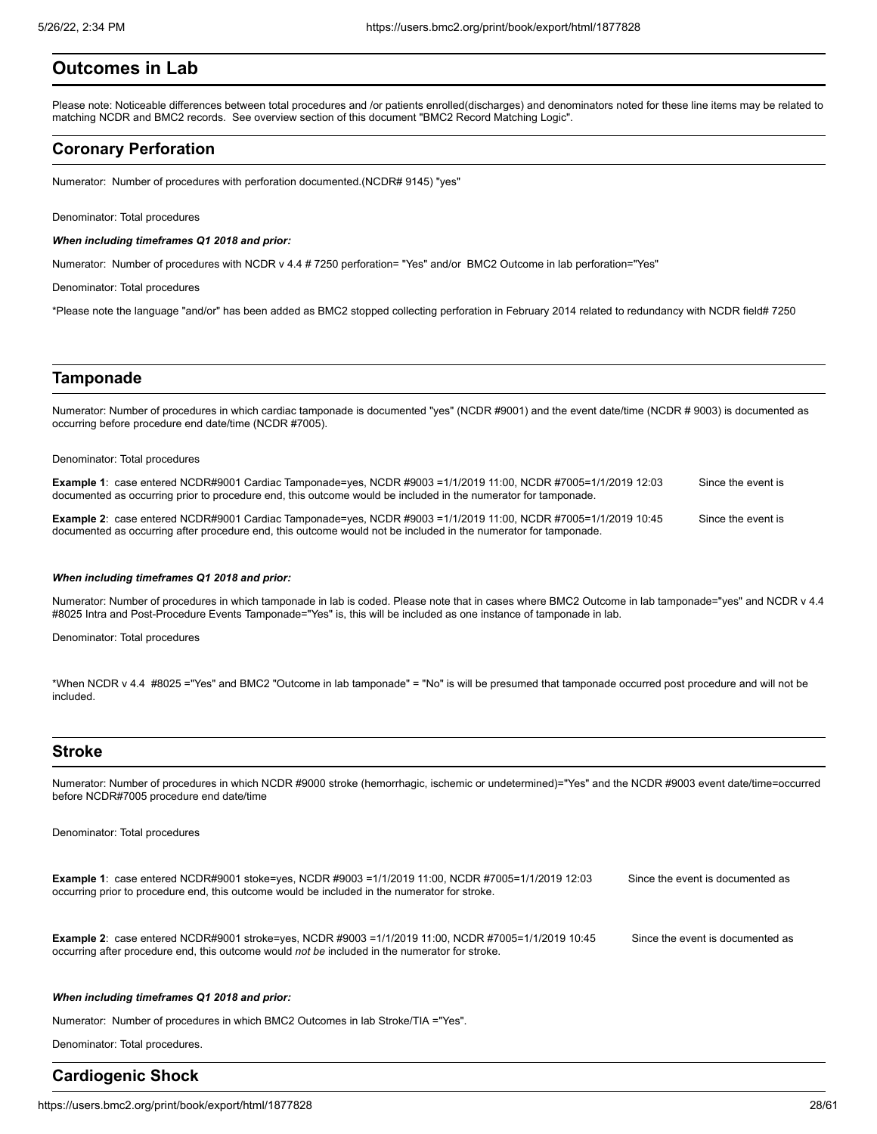# **Outcomes in Lab**

Please note: Noticeable differences between total procedures and /or patients enrolled(discharges) and denominators noted for these line items may be related to matching NCDR and BMC2 records. See overview section of this document "BMC2 Record Matching Logic".

# **Coronary Perforation**

Numerator: Number of procedures with perforation documented.(NCDR# 9145) "yes"

Denominator: Total procedures

#### *When including timeframes Q1 2018 and prior:*

Numerator: Number of procedures with NCDR v 4.4 # 7250 perforation= "Yes" and/or BMC2 Outcome in lab perforation="Yes"

Denominator: Total procedures

\*Please note the language "and/or" has been added as BMC2 stopped collecting perforation in February 2014 related to redundancy with NCDR field# 7250

# **Tamponade**

Numerator: Number of procedures in which cardiac tamponade is documented "yes" (NCDR #9001) and the event date/time (NCDR # 9003) is documented as occurring before procedure end date/time (NCDR #7005).

#### Denominator: Total procedures

| Example 1: case entered NCDR#9001 Cardiac Tamponade=yes, NCDR #9003 =1/1/2019 11:00, NCDR #7005=1/1/2019 12:03  | Since the event is |
|-----------------------------------------------------------------------------------------------------------------|--------------------|
| documented as occurring prior to procedure end, this outcome would be included in the numerator for tamponade.  |                    |
|                                                                                                                 |                    |
| Example 2: case entered NCDR#9001 Cardiac Tamponade=yes, NCDR #9003 =1/1/2019 11:00, NCDR #7005=1/1/2019 10:45  | Since the event is |
| documented as occurring after procedure end, this outcome would not be included in the numerator for tamponade. |                    |

#### *When including timeframes Q1 2018 and prior:*

Numerator: Number of procedures in which tamponade in lab is coded. Please note that in cases where BMC2 Outcome in lab tamponade="yes" and NCDR v 4.4 #8025 Intra and Post-Procedure Events Tamponade="Yes" is, this will be included as one instance of tamponade in lab.

Denominator: Total procedures

\*When NCDR v 4.4 #8025 ="Yes" and BMC2 "Outcome in lab tamponade" = "No" is will be presumed that tamponade occurred post procedure and will not be included.

# **Stroke**

Numerator: Number of procedures in which NCDR #9000 stroke (hemorrhagic, ischemic or undetermined)="Yes" and the NCDR #9003 event date/time=occurred before NCDR#7005 procedure end date/time

Denominator: Total procedures

**Example 1**: case entered NCDR#9001 stoke=yes, NCDR #9003 =1/1/2019 11:00, NCDR #7005=1/1/2019 12:03 Since the event is documented as occurring prior to procedure end, this outcome would be included in the numerator for stroke.

**Example 2**: case entered NCDR#9001 stroke=yes, NCDR #9003 =1/1/2019 11:00, NCDR #7005=1/1/2019 10:45 Since the event is documented as occurring after procedure end, this outcome would *not be* included in the numerator for stroke.

#### *When including timeframes Q1 2018 and prior:*

Numerator: Number of procedures in which BMC2 Outcomes in lab Stroke/TIA ="Yes".

Denominator: Total procedures.

# **Cardiogenic Shock**

https://users.bmc2.org/print/book/export/html/1877828 28/61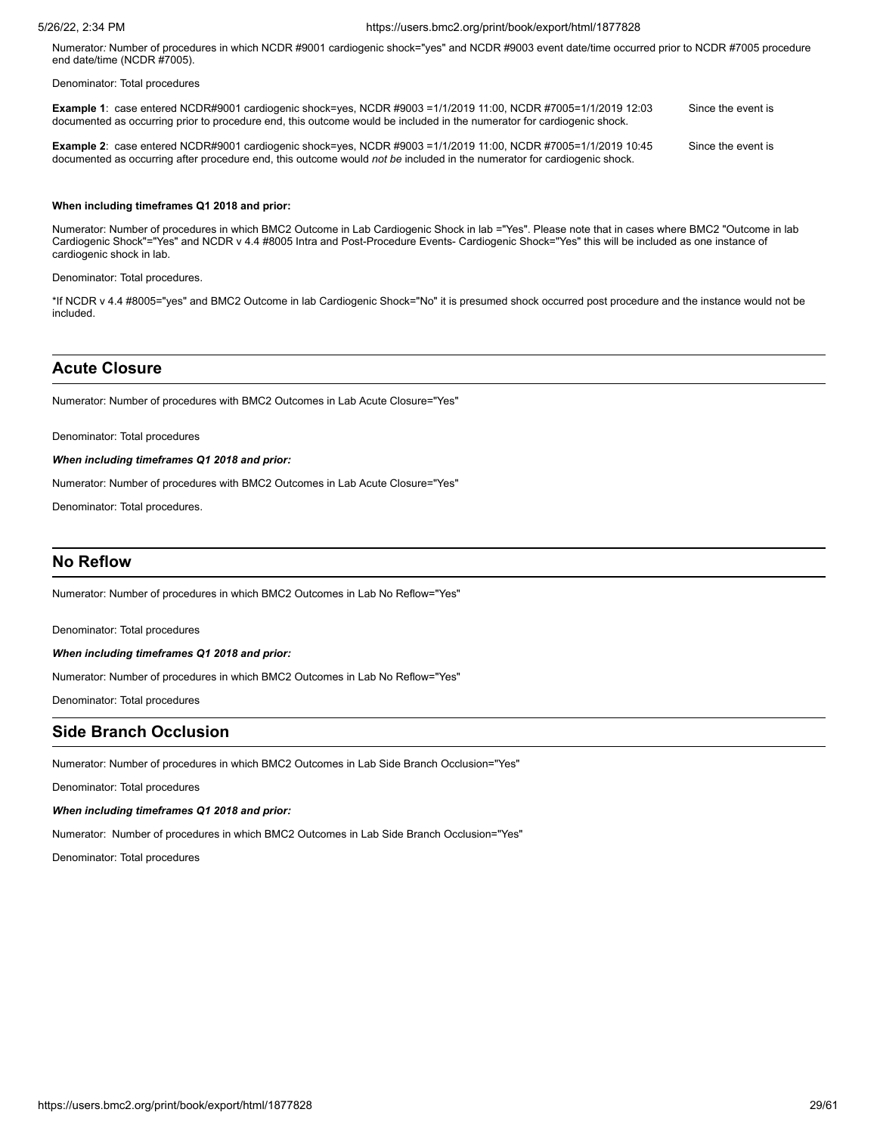Numerator*:* Number of procedures in which NCDR #9001 cardiogenic shock="yes" and NCDR #9003 event date/time occurred prior to NCDR #7005 procedure end date/time (NCDR #7005).

Denominator: Total procedures

| <b>Example 1:</b> case entered NCDR#9001 cardiogenic shock=yes, NCDR #9003 =1/1/2019 11:00, NCDR #7005=1/1/2019 12:03<br>documented as occurring prior to procedure end, this outcome would be included in the numerator for cardiogenic shock.  | Since the event is |
|--------------------------------------------------------------------------------------------------------------------------------------------------------------------------------------------------------------------------------------------------|--------------------|
| <b>Example 2:</b> case entered NCDR#9001 cardiogenic shock=yes, NCDR #9003 =1/1/2019 11:00, NCDR #7005=1/1/2019 10:45<br>documented as occurring after procedure end, this outcome would not be included in the numerator for cardiogenic shock. | Since the event is |

### **When including timeframes Q1 2018 and prior:**

Numerator: Number of procedures in which BMC2 Outcome in Lab Cardiogenic Shock in lab ="Yes". Please note that in cases where BMC2 "Outcome in lab Cardiogenic Shock"="Yes" and NCDR v 4.4 #8005 Intra and Post-Procedure Events- Cardiogenic Shock="Yes" this will be included as one instance of cardiogenic shock in lab.

Denominator: Total procedures.

\*If NCDR v 4.4 #8005="yes" and BMC2 Outcome in lab Cardiogenic Shock="No" it is presumed shock occurred post procedure and the instance would not be included.

# **Acute Closure**

Numerator: Number of procedures with BMC2 Outcomes in Lab Acute Closure="Yes"

Denominator: Total procedures

*When including timeframes Q1 2018 and prior:*

Numerator: Number of procedures with BMC2 Outcomes in Lab Acute Closure="Yes"

Denominator: Total procedures.

# **No Reflow**

Numerator: Number of procedures in which BMC2 Outcomes in Lab No Reflow="Yes"

Denominator: Total procedures

### *When including timeframes Q1 2018 and prior:*

Numerator: Number of procedures in which BMC2 Outcomes in Lab No Reflow="Yes"

Denominator: Total procedures

# **Side Branch Occlusion**

Numerator: Number of procedures in which BMC2 Outcomes in Lab Side Branch Occlusion="Yes"

Denominator: Total procedures

# *When including timeframes Q1 2018 and prior:*

Numerator: Number of procedures in which BMC2 Outcomes in Lab Side Branch Occlusion="Yes"

Denominator: Total procedures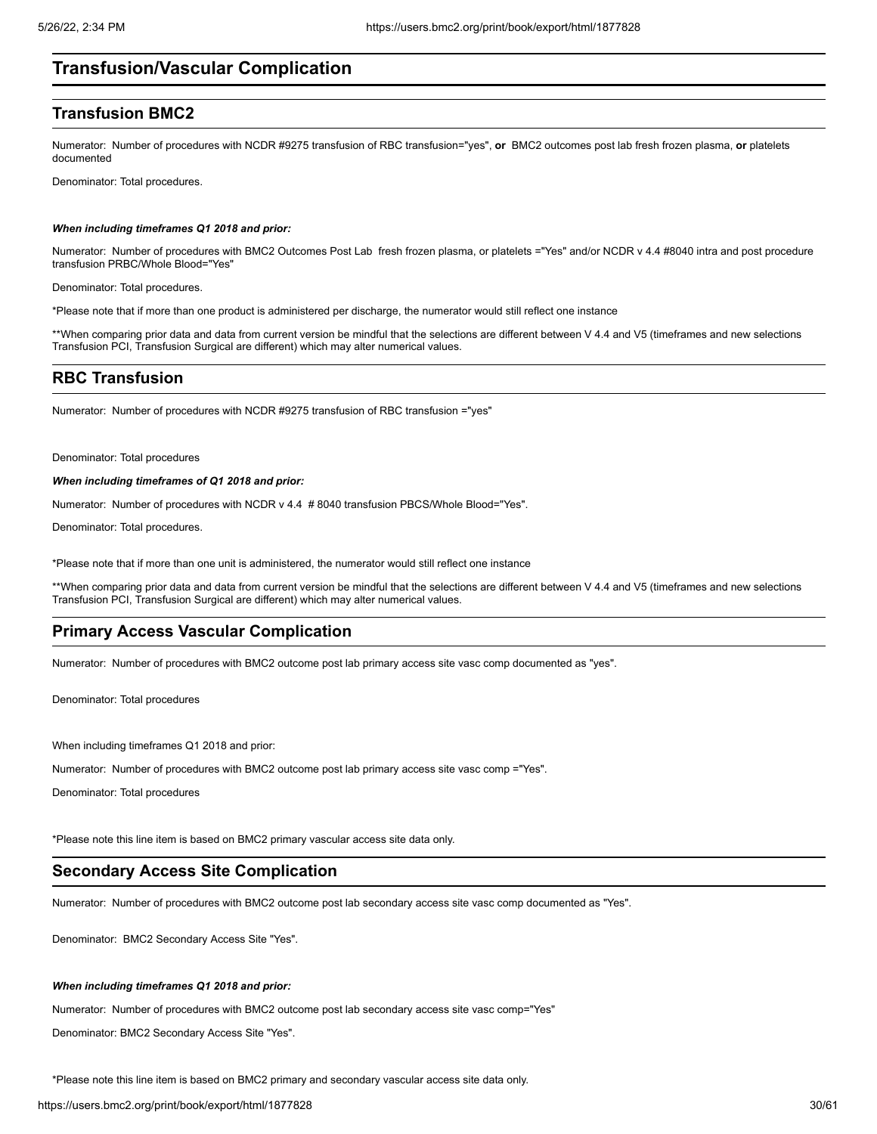# **Transfusion/Vascular Complication**

# **Transfusion BMC2**

Numerator: Number of procedures with NCDR #9275 transfusion of RBC transfusion="yes", **or** BMC2 outcomes post lab fresh frozen plasma, **or** platelets documented

Denominator: Total procedures.

#### *When including timeframes Q1 2018 and prior:*

Numerator: Number of procedures with BMC2 Outcomes Post Lab fresh frozen plasma, or platelets ="Yes" and/or NCDR v 4.4 #8040 intra and post procedure transfusion PRBC/Whole Blood="Yes"

Denominator: Total procedures.

\*Please note that if more than one product is administered per discharge, the numerator would still reflect one instance

\*\*When comparing prior data and data from current version be mindful that the selections are different between V 4.4 and V5 (timeframes and new selections Transfusion PCI, Transfusion Surgical are different) which may alter numerical values.

# **RBC Transfusion**

Numerator: Number of procedures with NCDR #9275 transfusion of RBC transfusion ="yes"

Denominator: Total procedures

# *When including timeframes of Q1 2018 and prior:*

Numerator: Number of procedures with NCDR v 4.4 # 8040 transfusion PBCS/Whole Blood="Yes".

Denominator: Total procedures.

\*Please note that if more than one unit is administered, the numerator would still reflect one instance

\*\*When comparing prior data and data from current version be mindful that the selections are different between V 4.4 and V5 (timeframes and new selections Transfusion PCI, Transfusion Surgical are different) which may alter numerical values.

# **Primary Access Vascular Complication**

Numerator: Number of procedures with BMC2 outcome post lab primary access site vasc comp documented as "yes".

Denominator: Total procedures

When including timeframes Q1 2018 and prior:

Numerator: Number of procedures with BMC2 outcome post lab primary access site vasc comp ="Yes".

Denominator: Total procedures

\*Please note this line item is based on BMC2 primary vascular access site data only.

# **Secondary Access Site Complication**

Numerator: Number of procedures with BMC2 outcome post lab secondary access site vasc comp documented as "Yes".

Denominator: BMC2 Secondary Access Site "Yes".

# *When including timeframes Q1 2018 and prior:*

Numerator: Number of procedures with BMC2 outcome post lab secondary access site vasc comp="Yes"

Denominator: BMC2 Secondary Access Site "Yes".

\*Please note this line item is based on BMC2 primary and secondary vascular access site data only.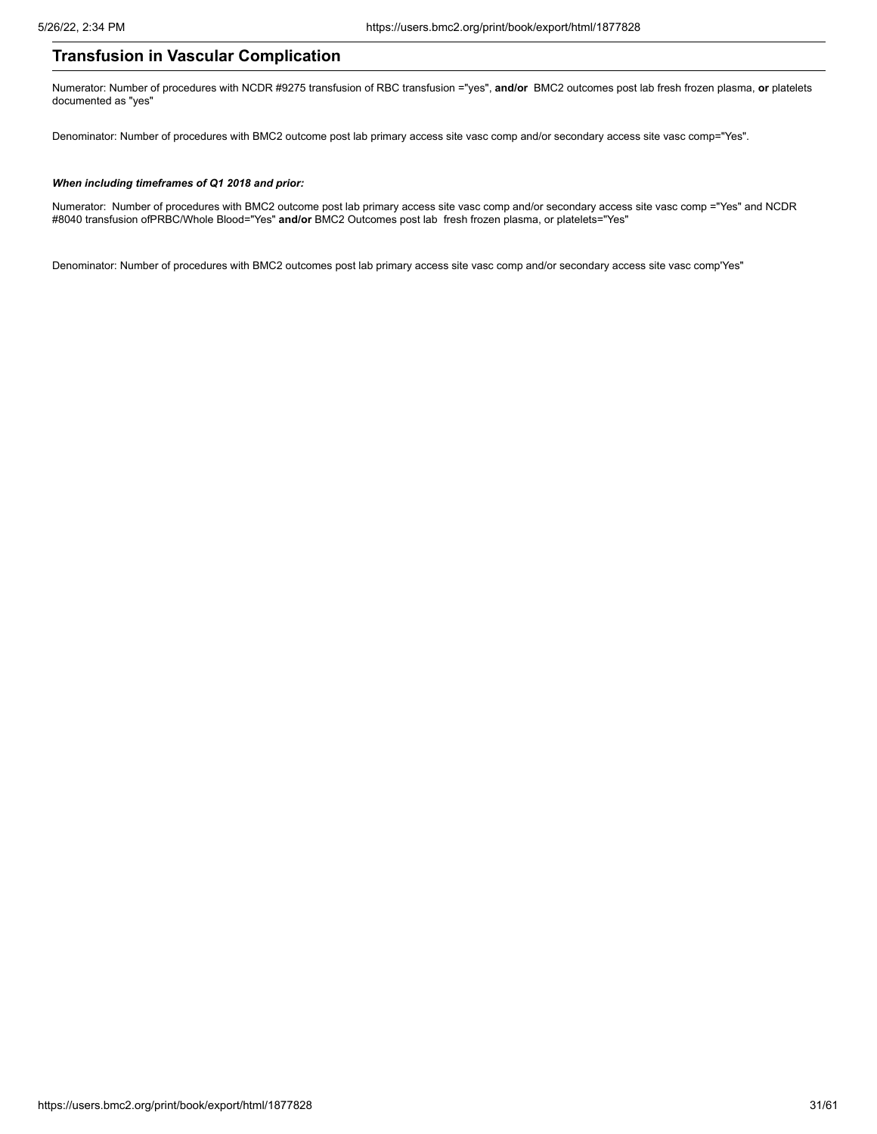# **Transfusion in Vascular Complication**

Numerator: Number of procedures with NCDR #9275 transfusion of RBC transfusion ="yes", **and/or** BMC2 outcomes post lab fresh frozen plasma, **or** platelets documented as "yes"

Denominator: Number of procedures with BMC2 outcome post lab primary access site vasc comp and/or secondary access site vasc comp="Yes".

# *When including timeframes of Q1 2018 and prior:*

Numerator: Number of procedures with BMC2 outcome post lab primary access site vasc comp and/or secondary access site vasc comp ="Yes" and NCDR #8040 transfusion ofPRBC/Whole Blood="Yes" **and/or** BMC2 Outcomes post lab fresh frozen plasma, or platelets="Yes"

Denominator: Number of procedures with BMC2 outcomes post lab primary access site vasc comp and/or secondary access site vasc comp'Yes"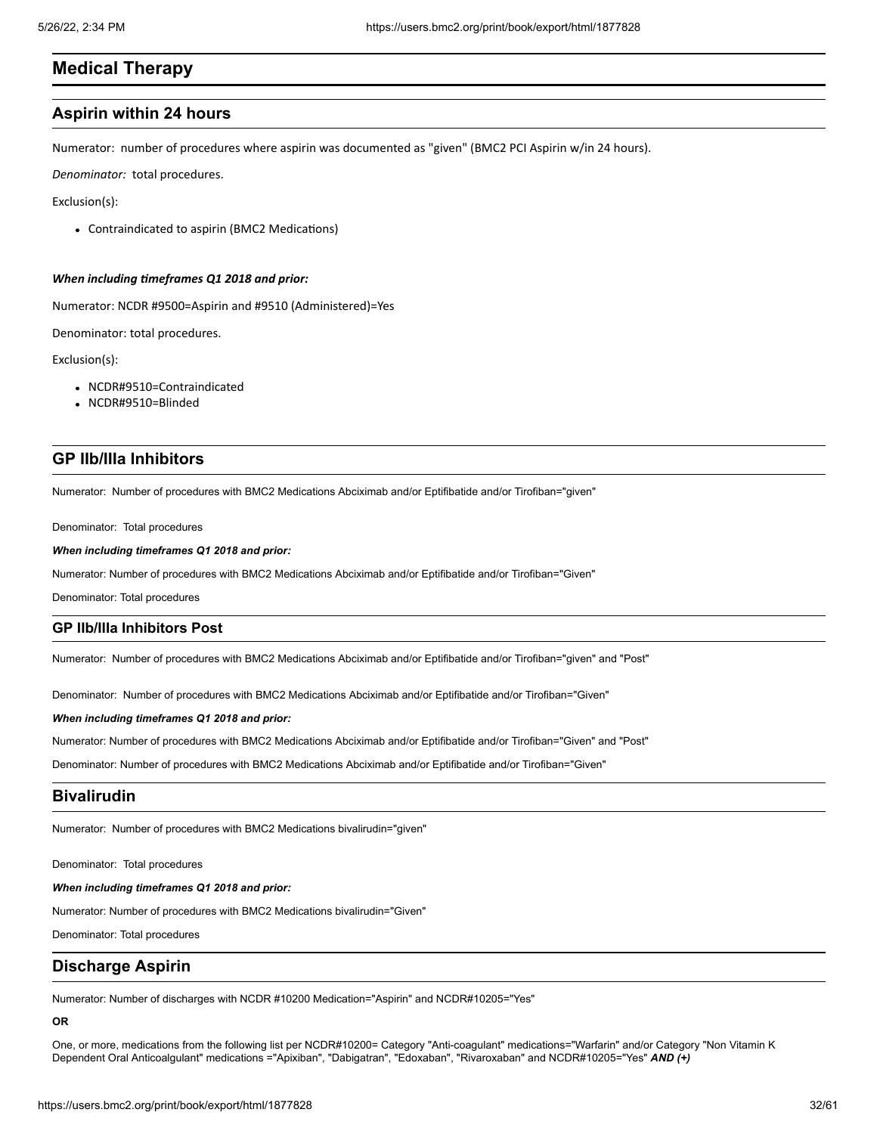# **Medical Therapy**

# **Aspirin within 24 hours**

Numerator: number of procedures where aspirin was documented as "given" (BMC2 PCI Aspirin w/in 24 hours).

*Denominator:* total procedures.

Exclusion(s):

Contraindicated to aspirin (BMC2 Medications)

### *When including timeframes Q1 2018 and prior:*

Numerator: NCDR #9500=Aspirin and #9510 (Administered)=Yes

Denominator: total procedures.

Exclusion(s):

- NCDR#9510=Contraindicated
- NCDR#9510=Blinded

# **GP IIb/IIIa Inhibitors**

Numerator: Number of procedures with BMC2 Medications Abciximab and/or Eptifibatide and/or Tirofiban="given"

Denominator: Total procedures

# *When including timeframes Q1 2018 and prior:*

Numerator: Number of procedures with BMC2 Medications Abciximab and/or Eptifibatide and/or Tirofiban="Given"

Denominator: Total procedures

# **GP IIb/IIIa Inhibitors Post**

Numerator: Number of procedures with BMC2 Medications Abciximab and/or Eptifibatide and/or Tirofiban="given" and "Post"

Denominator: Number of procedures with BMC2 Medications Abciximab and/or Eptifibatide and/or Tirofiban="Given"

## *When including timeframes Q1 2018 and prior:*

Numerator: Number of procedures with BMC2 Medications Abciximab and/or Eptifibatide and/or Tirofiban="Given" and "Post"

Denominator: Number of procedures with BMC2 Medications Abciximab and/or Eptifibatide and/or Tirofiban="Given"

# **Bivalirudin**

Numerator: Number of procedures with BMC2 Medications bivalirudin="given"

Denominator: Total procedures

# *When including timeframes Q1 2018 and prior:*

Numerator: Number of procedures with BMC2 Medications bivalirudin="Given"

Denominator: Total procedures

# **Discharge Aspirin**

Numerator: Number of discharges with NCDR #10200 Medication="Aspirin" and NCDR#10205="Yes"

# **OR**

One, or more, medications from the following list per NCDR#10200= Category "Anti-coagulant" medications="Warfarin" and/or Category "Non Vitamin K Dependent Oral Anticoalgulant" medications ="Apixiban", "Dabigatran", "Edoxaban", "Rivaroxaban" and NCDR#10205="Yes" *AND (+)*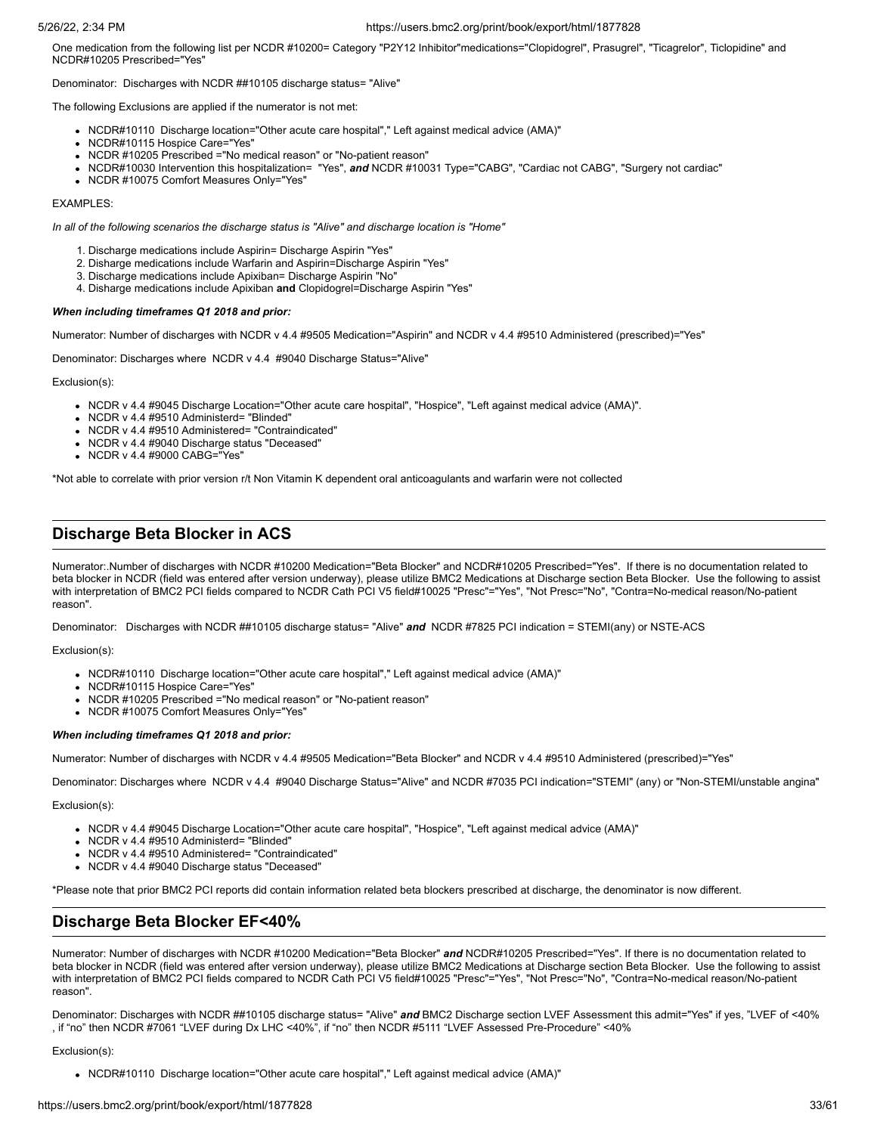One medication from the following list per NCDR #10200= Category "P2Y12 Inhibitor"medications="Clopidogrel", Prasugrel", "Ticagrelor", Ticlopidine" and NCDR#10205 Prescribed="Yes"

Denominator: Discharges with NCDR ##10105 discharge status= "Alive"

The following Exclusions are applied if the numerator is not met:

- NCDR#10110 Discharge location="Other acute care hospital"," Left against medical advice (AMA)"
- NCDR#10115 Hospice Care="Yes"
- NCDR #10205 Prescribed ="No medical reason" or "No-patient reason"
- NCDR#10030 Intervention this hospitalization= "Yes", and NCDR #10031 Type="CABG", "Cardiac not CABG", "Surgery not cardiac"
- NCDR #10075 Comfort Measures Only="Yes"

# EXAMPLES:

*In all of the following scenarios the discharge status is "Alive" and discharge location is "Home"*

- 1. Discharge medications include Aspirin= Discharge Aspirin "Yes"
- 2. Disharge medications include Warfarin and Aspirin=Discharge Aspirin "Yes"
- 3. Discharge medications include Apixiban= Discharge Aspirin "No"
- 4. Disharge medications include Apixiban **and** Clopidogrel=Discharge Aspirin "Yes"

# *When including timeframes Q1 2018 and prior:*

Numerator: Number of discharges with NCDR v 4.4 #9505 Medication="Aspirin" and NCDR v 4.4 #9510 Administered (prescribed)="Yes"

Denominator: Discharges where NCDR v 4.4 #9040 Discharge Status="Alive"

Exclusion(s):

- NCDR v 4.4 #9045 Discharge Location="Other acute care hospital", "Hospice", "Left against medical advice (AMA)".
- NCDR v 4.4 #9510 Administerd= "Blinded"
- NCDR v 4.4 #9510 Administered= "Contraindicated"
- NCDR v 4.4 #9040 Discharge status "Deceased"
- NCDR v 4.4 #9000 CABG="Yes"

\*Not able to correlate with prior version r/t Non Vitamin K dependent oral anticoagulants and warfarin were not collected

# **Discharge Beta Blocker in ACS**

Numerator:.Number of discharges with NCDR #10200 Medication="Beta Blocker" and NCDR#10205 Prescribed="Yes". If there is no documentation related to beta blocker in NCDR (field was entered after version underway), please utilize BMC2 Medications at Discharge section Beta Blocker. Use the following to assist with interpretation of BMC2 PCI fields compared to NCDR Cath PCI V5 field#10025 "Presc"="Yes", "Not Presc="No", "Contra=No-medical reason/No-patient reason".

Denominator: Discharges with NCDR ##10105 discharge status= "Alive" *and* NCDR #7825 PCI indication = STEMI(any) or NSTE-ACS

# Exclusion(s):

- NCDR#10110 Discharge location="Other acute care hospital"," Left against medical advice (AMA)"
- NCDR#10115 Hospice Care="Yes"
- NCDR #10205 Prescribed ="No medical reason" or "No-patient reason"
- NCDR #10075 Comfort Measures Only="Yes"

# *When including timeframes Q1 2018 and prior:*

Numerator: Number of discharges with NCDR v 4.4 #9505 Medication="Beta Blocker" and NCDR v 4.4 #9510 Administered (prescribed)="Yes"

Denominator: Discharges where NCDR v 4.4 #9040 Discharge Status="Alive" and NCDR #7035 PCI indication="STEMI" (any) or "Non-STEMI/unstable angina"

Exclusion(s):

- NCDR v 4.4 #9045 Discharge Location="Other acute care hospital", "Hospice", "Left against medical advice (AMA)"
- NCDR v 4.4 #9510 Administerd= "Blinded"
- NCDR v 4.4 #9510 Administered= "Contraindicated"
- NCDR v 4.4 #9040 Discharge status "Deceased"

\*Please note that prior BMC2 PCI reports did contain information related beta blockers prescribed at discharge, the denominator is now different.

# **Discharge Beta Blocker EF<40%**

Numerator: Number of discharges with NCDR #10200 Medication="Beta Blocker" *and* NCDR#10205 Prescribed="Yes". If there is no documentation related to beta blocker in NCDR (field was entered after version underway), please utilize BMC2 Medications at Discharge section Beta Blocker. Use the following to assist with interpretation of BMC2 PCI fields compared to NCDR Cath PCI V5 field#10025 "Presc"="Yes", "Not Presc="No", "Contra=No-medical reason/No-patient reason".

Denominator: Discharges with NCDR ##10105 discharge status= "Alive" *and* BMC2 Discharge section LVEF Assessment this admit="Yes" if yes, "LVEF of <40% , if "no" then NCDR #7061 "LVEF during Dx LHC <40%", if "no" then NCDR #5111 "LVEF Assessed Pre-Procedure" <40%

# Exclusion(s):

• NCDR#10110 Discharge location="Other acute care hospital"," Left against medical advice (AMA)"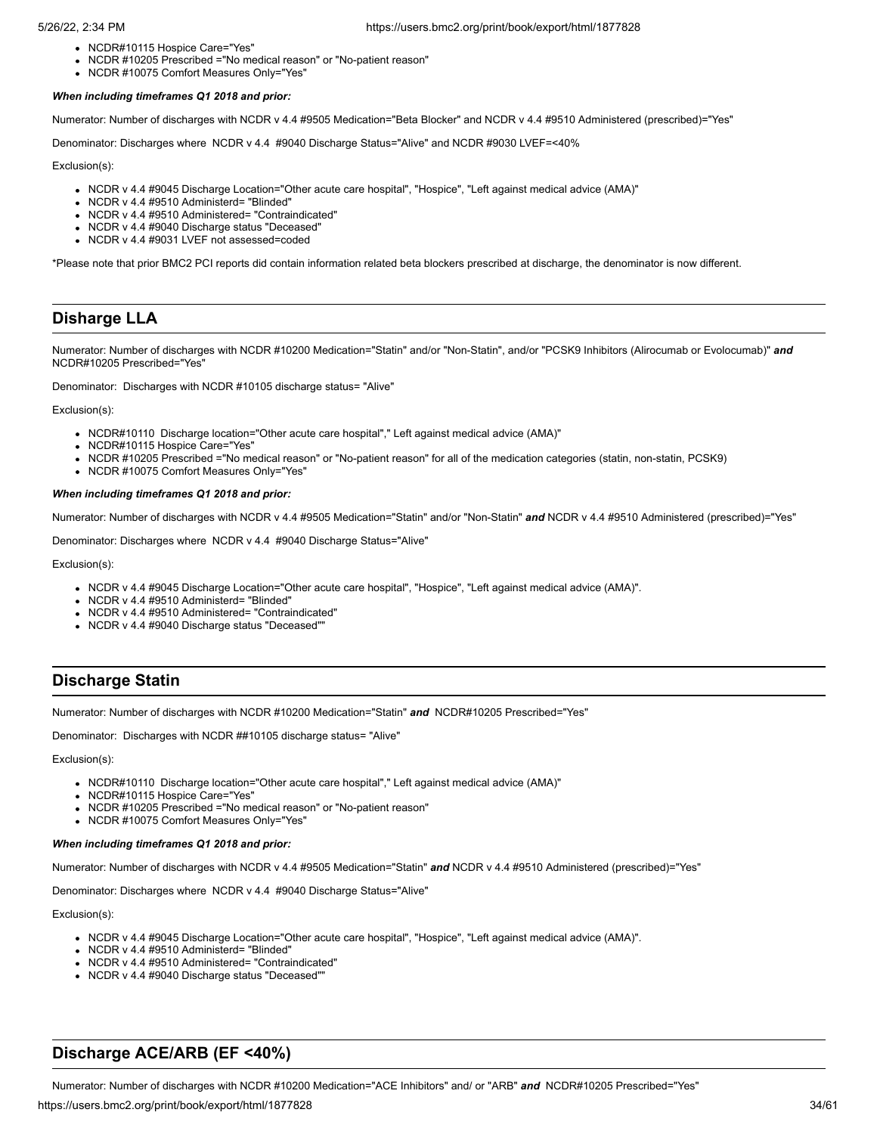- NCDR#10115 Hospice Care="Yes"
- NCDR #10205 Prescribed ="No medical reason" or "No-patient reason"
- NCDR #10075 Comfort Measures Only="Yes'

# *When including timeframes Q1 2018 and prior:*

Numerator: Number of discharges with NCDR v 4.4 #9505 Medication="Beta Blocker" and NCDR v 4.4 #9510 Administered (prescribed)="Yes"

Denominator: Discharges where NCDR v 4.4 #9040 Discharge Status="Alive" and NCDR #9030 LVEF=<40%

Exclusion(s):

- NCDR v 4.4 #9045 Discharge Location="Other acute care hospital", "Hospice", "Left against medical advice (AMA)"
- NCDR v 4.4 #9510 Administerd= "Blinded"
- NCDR v 4.4 #9510 Administered= "Contraindicated"
- NCDR v 4.4 #9040 Discharge status "Deceased"
- NCDR v 4.4 #9031 LVEF not assessed=coded

\*Please note that prior BMC2 PCI reports did contain information related beta blockers prescribed at discharge, the denominator is now different.

# **Disharge LLA**

Numerator: Number of discharges with NCDR #10200 Medication="Statin" and/or "Non-Statin", and/or "PCSK9 Inhibitors (Alirocumab or Evolocumab)" *and* NCDR#10205 Prescribed="Yes"

Denominator: Discharges with NCDR #10105 discharge status= "Alive"

# Exclusion(s):

- NCDR#10110 Discharge location="Other acute care hospital"," Left against medical advice (AMA)"
- NCDR#10115 Hospice Care="Yes"
- NCDR #10205 Prescribed ="No medical reason" or "No-patient reason" for all of the medication categories (statin, non-statin, PCSK9)
- NCDR #10075 Comfort Measures Only="Yes"

# *When including timeframes Q1 2018 and prior:*

Numerator: Number of discharges with NCDR v 4.4 #9505 Medication="Statin" and/or "Non-Statin" *and* NCDR v 4.4 #9510 Administered (prescribed)="Yes"

Denominator: Discharges where NCDR v 4.4 #9040 Discharge Status="Alive"

Exclusion(s):

- NCDR v 4.4 #9045 Discharge Location="Other acute care hospital", "Hospice", "Left against medical advice (AMA)".
- NCDR v 4.4 #9510 Administerd= "Blinded"
- NCDR v 4.4 #9510 Administered= "Contraindicated"
- NCDR v 4.4 #9040 Discharge status "Deceased"

# **Discharge Statin**

Numerator: Number of discharges with NCDR #10200 Medication="Statin" *and* NCDR#10205 Prescribed="Yes"

Denominator: Discharges with NCDR ##10105 discharge status= "Alive"

Exclusion(s):

- NCDR#10110 Discharge location="Other acute care hospital"," Left against medical advice (AMA)"
- NCDR#10115 Hospice Care="Yes"
- NCDR #10205 Prescribed ="No medical reason" or "No-patient reason" • NCDR #10075 Comfort Measures Only="Yes"
- *When including timeframes Q1 2018 and prior:*

Numerator: Number of discharges with NCDR v 4.4 #9505 Medication="Statin" *and* NCDR v 4.4 #9510 Administered (prescribed)="Yes"

Denominator: Discharges where NCDR v 4.4 #9040 Discharge Status="Alive"

Exclusion(s):

- NCDR v 4.4 #9045 Discharge Location="Other acute care hospital", "Hospice", "Left against medical advice (AMA)".
- NCDR v 4.4 #9510 Administerd= "Blinded"
- NCDR v 4.4 #9510 Administered= "Contraindicated"
- NCDR v 4.4 #9040 Discharge status "Deceased"

# **Discharge ACE/ARB (EF <40%)**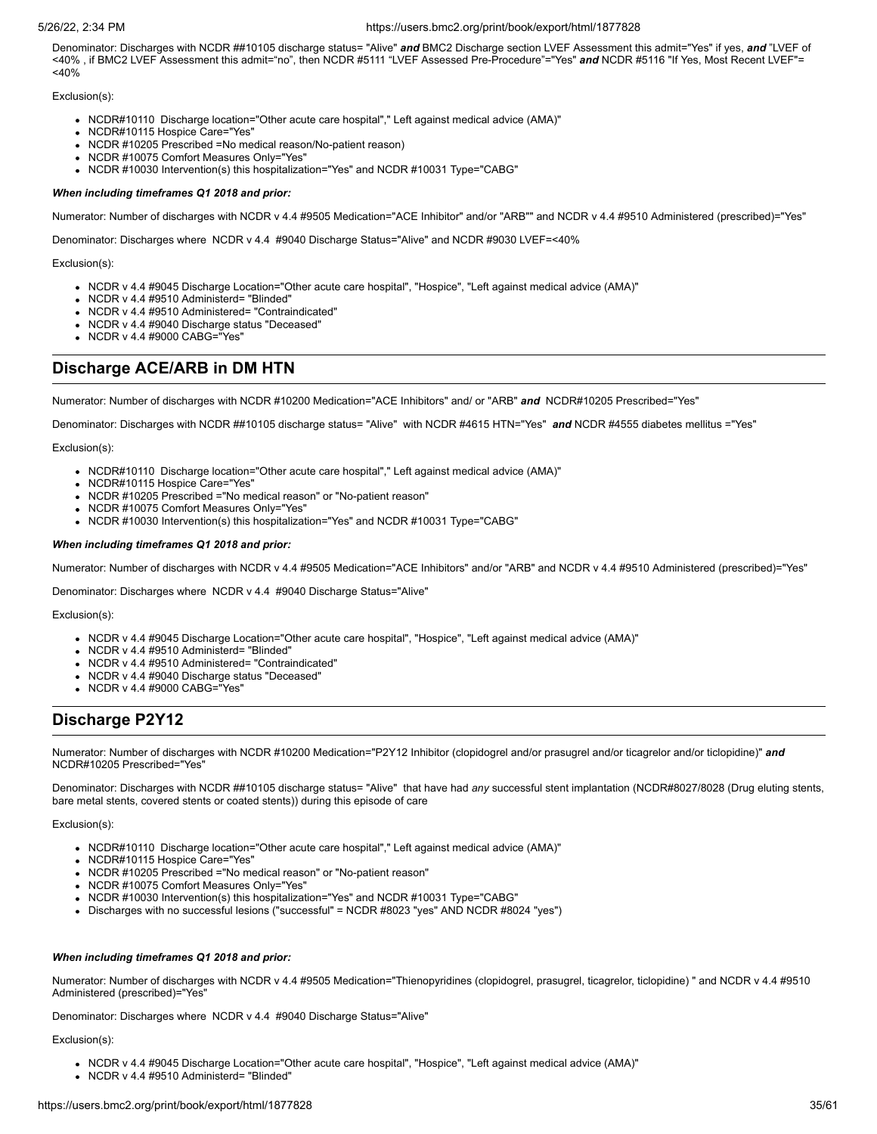Denominator: Discharges with NCDR ##10105 discharge status= "Alive" *and* BMC2 Discharge section LVEF Assessment this admit="Yes" if yes, *and* "LVEF of <40% , if BMC2 LVEF Assessment this admit="no", then NCDR #5111 "LVEF Assessed Pre-Procedure"="Yes" *and* NCDR #5116 "If Yes, Most Recent LVEF"=  $<$ 40%

## Exclusion(s):

- NCDR#10110 Discharge location="Other acute care hospital"," Left against medical advice (AMA)"
- NCDR#10115 Hospice Care="Yes"
- NCDR #10205 Prescribed =No medical reason/No-patient reason)
- NCDR #10075 Comfort Measures Only="Yes"
- NCDR #10030 Intervention(s) this hospitalization="Yes" and NCDR #10031 Type="CABG"

## *When including timeframes Q1 2018 and prior:*

Numerator: Number of discharges with NCDR v 4.4 #9505 Medication="ACE Inhibitor" and/or "ARB"" and NCDR v 4.4 #9510 Administered (prescribed)="Yes"

Denominator: Discharges where NCDR v 4.4 #9040 Discharge Status="Alive" and NCDR #9030 LVEF=<40%

#### Exclusion(s):

- NCDR v 4.4 #9045 Discharge Location="Other acute care hospital", "Hospice", "Left against medical advice (AMA)"
- NCDR v 4.4 #9510 Administerd= "Blinded"
- NCDR v 4.4 #9510 Administered= "Contraindicated"
- NCDR v 4.4 #9040 Discharge status "Deceased"
- NCDR v 4.4 #9000 CABG="Yes"

# **Discharge ACE/ARB in DM HTN**

Numerator: Number of discharges with NCDR #10200 Medication="ACE Inhibitors" and/ or "ARB" *and* NCDR#10205 Prescribed="Yes"

Denominator: Discharges with NCDR ##10105 discharge status= "Alive" with NCDR #4615 HTN="Yes" *and* NCDR #4555 diabetes mellitus ="Yes"

Exclusion(s):

- NCDR#10110 Discharge location="Other acute care hospital"," Left against medical advice (AMA)"
- NCDR#10115 Hospice Care="Yes"
- NCDR #10205 Prescribed ="No medical reason" or "No-patient reason"
- NCDR #10075 Comfort Measures Only="Yes"
- NCDR #10030 Intervention(s) this hospitalization="Yes" and NCDR #10031 Type="CABG"

## *When including timeframes Q1 2018 and prior:*

Numerator: Number of discharges with NCDR v 4.4 #9505 Medication="ACE Inhibitors" and/or "ARB" and NCDR v 4.4 #9510 Administered (prescribed)="Yes"

Denominator: Discharges where NCDR v 4.4 #9040 Discharge Status="Alive"

Exclusion(s):

- NCDR v 4.4 #9045 Discharge Location="Other acute care hospital", "Hospice", "Left against medical advice (AMA)"
- NCDR v 4.4 #9510 Administerd= "Blinded"
- NCDR v 4.4 #9510 Administered= "Contraindicated"
- NCDR v 4.4 #9040 Discharge status "Deceased"
- NCDR v 4.4 #9000 CABG="Yes"

# **Discharge P2Y12**

Numerator: Number of discharges with NCDR #10200 Medication="P2Y12 Inhibitor (clopidogrel and/or prasugrel and/or ticagrelor and/or ticlopidine)" *and* NCDR#10205 Prescribed="Yes"

Denominator: Discharges with NCDR ##10105 discharge status= "Alive" that have had *any* successful stent implantation (NCDR#8027/8028 (Drug eluting stents, bare metal stents, covered stents or coated stents)) during this episode of care

Exclusion(s):

- NCDR#10110 Discharge location="Other acute care hospital"," Left against medical advice (AMA)"
- NCDR#10115 Hospice Care="Yes"
- NCDR #10205 Prescribed ="No medical reason" or "No-patient reason"
- NCDR #10075 Comfort Measures Only="Yes"
- NCDR #10030 Intervention(s) this hospitalization="Yes" and NCDR #10031 Type="CABG"
- Discharges with no successful lesions ("successful" = NCDR #8023 "yes" AND NCDR #8024 "yes")

# *When including timeframes Q1 2018 and prior:*

Numerator: Number of discharges with NCDR v 4.4 #9505 Medication="Thienopyridines (clopidogrel, prasugrel, ticagrelor, ticlopidine) " and NCDR v 4.4 #9510 Administered (prescribed)="Yes"

Denominator: Discharges where NCDR v 4.4 #9040 Discharge Status="Alive"

- NCDR v 4.4 #9045 Discharge Location="Other acute care hospital", "Hospice", "Left against medical advice (AMA)"
- NCDR v 4.4 #9510 Administerd= "Blinded"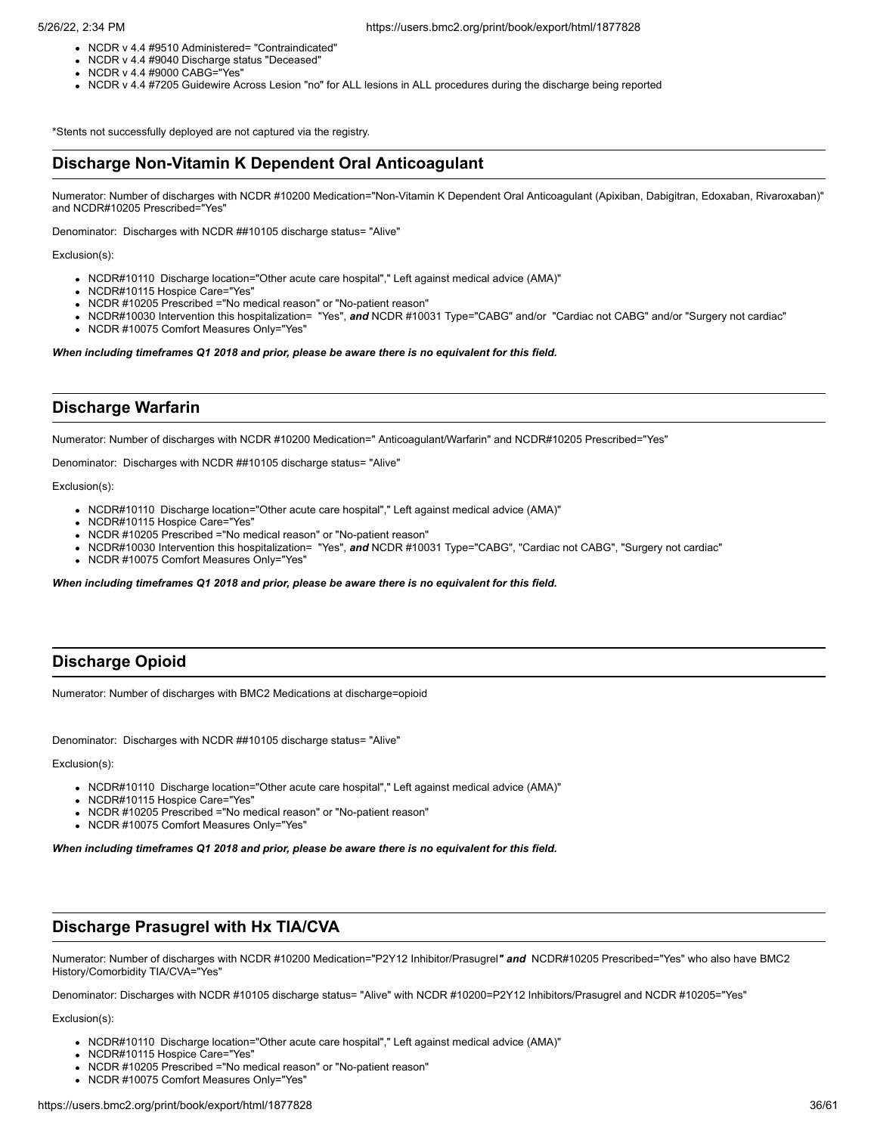- NCDR v 4.4 #9510 Administered= "Contraindicated"
- NCDR v 4.4 #9040 Discharge status "Deceased"
- NCDR v 4.4 #9000 CABG="Yes"
- NCDR v 4.4 #7205 Guidewire Across Lesion "no" for ALL lesions in ALL procedures during the discharge being reported

\*Stents not successfully deployed are not captured via the registry.

# **Discharge Non-Vitamin K Dependent Oral Anticoagulant**

Numerator: Number of discharges with NCDR #10200 Medication="Non-Vitamin K Dependent Oral Anticoagulant (Apixiban, Dabigitran, Edoxaban, Rivaroxaban)" and NCDR#10205 Prescribed="Yes"

Denominator: Discharges with NCDR ##10105 discharge status= "Alive"

Exclusion(s):

- NCDR#10110 Discharge location="Other acute care hospital"," Left against medical advice (AMA)"
- NCDR#10115 Hospice Care="Yes"
- NCDR #10205 Prescribed ="No medical reason" or "No-patient reason"
- NCDR#10030 Intervention this hospitalization= "Yes", *and* NCDR #10031 Type="CABG" and/or "Cardiac not CABG" and/or "Surgery not cardiac"
- NCDR #10075 Comfort Measures Only="Yes"

*When including timeframes Q1 2018 and prior, please be aware there is no equivalent for this field.*

# **Discharge Warfarin**

Numerator: Number of discharges with NCDR #10200 Medication=" Anticoagulant/Warfarin" and NCDR#10205 Prescribed="Yes"

Denominator: Discharges with NCDR ##10105 discharge status= "Alive"

Exclusion(s):

- NCDR#10110 Discharge location="Other acute care hospital"," Left against medical advice (AMA)"
- NCDR#10115 Hospice Care="Yes"
- NCDR #10205 Prescribed ="No medical reason" or "No-patient reason"
- NCDR#10030 Intervention this hospitalization= "Yes", *and* NCDR #10031 Type="CABG", "Cardiac not CABG", "Surgery not cardiac"
- NCDR #10075 Comfort Measures Only="Yes"

*When including timeframes Q1 2018 and prior, please be aware there is no equivalent for this field.*

# **Discharge Opioid**

Numerator: Number of discharges with BMC2 Medications at discharge=opioid

Denominator: Discharges with NCDR ##10105 discharge status= "Alive"

Exclusion(s):

- NCDR#10110 Discharge location="Other acute care hospital"," Left against medical advice (AMA)"
- NCDR#10115 Hospice Care="Yes"
- NCDR #10205 Prescribed ="No medical reason" or "No-patient reason"
- NCDR #10075 Comfort Measures Only="Yes"

*When including timeframes Q1 2018 and prior, please be aware there is no equivalent for this field.*

# **Discharge Prasugrel with Hx TIA/CVA**

Numerator: Number of discharges with NCDR #10200 Medication="P2Y12 Inhibitor/Prasugrel*" and* NCDR#10205 Prescribed="Yes" who also have BMC2 History/Comorbidity TIA/CVA="Yes"

Denominator: Discharges with NCDR #10105 discharge status= "Alive" with NCDR #10200=P2Y12 Inhibitors/Prasugrel and NCDR #10205="Yes"

- NCDR#10110 Discharge location="Other acute care hospital"," Left against medical advice (AMA)"
- NCDR#10115 Hospice Care="Yes"
- NCDR #10205 Prescribed ="No medical reason" or "No-patient reason"
- NCDR #10075 Comfort Measures Only="Yes'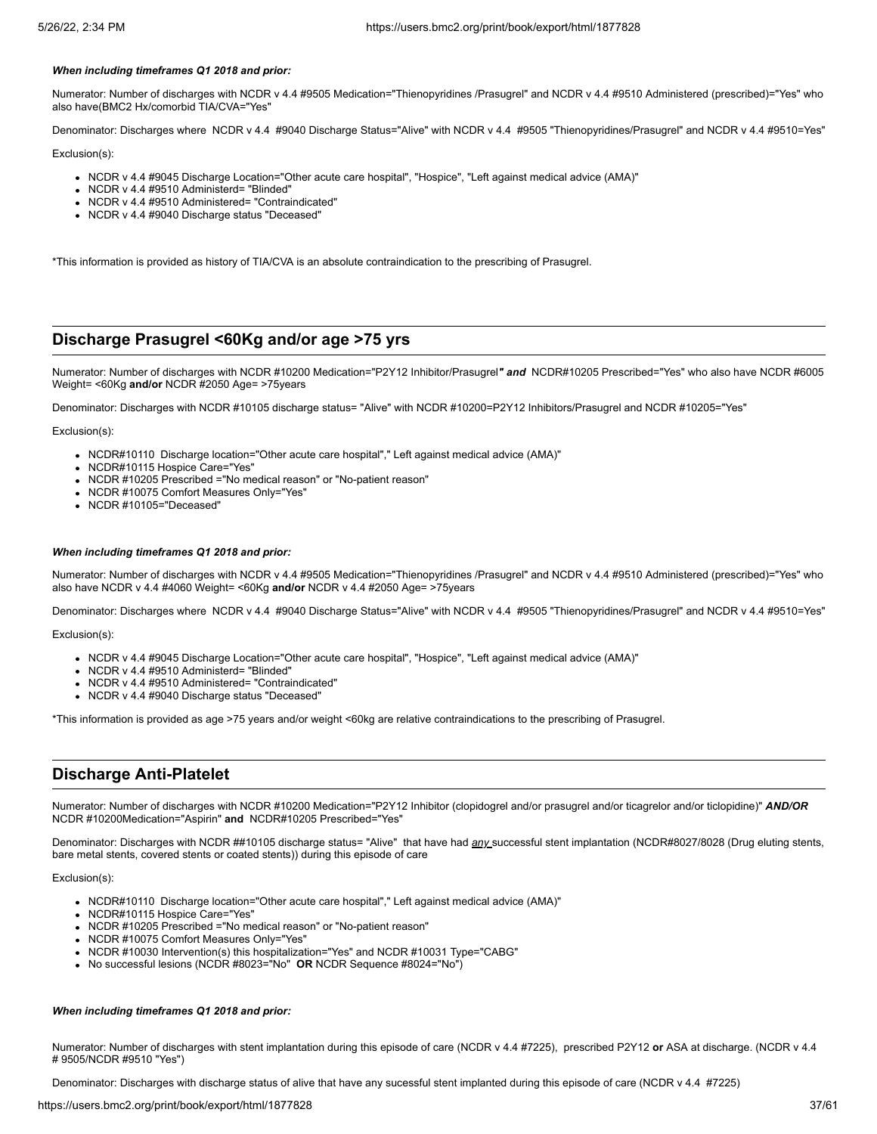### *When including timeframes Q1 2018 and prior:*

Numerator: Number of discharges with NCDR v 4.4 #9505 Medication="Thienopyridines /Prasugrel" and NCDR v 4.4 #9510 Administered (prescribed)="Yes" who also have(BMC2 Hx/comorbid TIA/CVA="Yes"

Denominator: Discharges where NCDR v 4.4 #9040 Discharge Status="Alive" with NCDR v 4.4 #9505 "Thienopyridines/Prasugrel" and NCDR v 4.4 #9510=Yes"

Exclusion(s):

- NCDR v 4.4 #9045 Discharge Location="Other acute care hospital", "Hospice", "Left against medical advice (AMA)"
- NCDR v 4.4 #9510 Administerd= "Blinded"
- NCDR v 4.4 #9510 Administered= "Contraindicated"
- NCDR v 4.4 #9040 Discharge status "Deceased"

\*This information is provided as history of TIA/CVA is an absolute contraindication to the prescribing of Prasugrel.

# **Discharge Prasugrel <60Kg and/or age >75 yrs**

Numerator: Number of discharges with NCDR #10200 Medication="P2Y12 Inhibitor/Prasugrel*" and* NCDR#10205 Prescribed="Yes" who also have NCDR #6005 Weight= <60Kg **and/or** NCDR #2050 Age= >75years

Denominator: Discharges with NCDR #10105 discharge status= "Alive" with NCDR #10200=P2Y12 Inhibitors/Prasugrel and NCDR #10205="Yes"

Exclusion(s):

- NCDR#10110 Discharge location="Other acute care hospital"," Left against medical advice (AMA)"
- NCDR#10115 Hospice Care="Yes"
- NCDR #10205 Prescribed ="No medical reason" or "No-patient reason"
- NCDR #10075 Comfort Measures Only="Yes"
- NCDR #10105="Deceased"

### *When including timeframes Q1 2018 and prior:*

Numerator: Number of discharges with NCDR v 4.4 #9505 Medication="Thienopyridines /Prasugrel" and NCDR v 4.4 #9510 Administered (prescribed)="Yes" who also have NCDR v 4.4 #4060 Weight= <60Kg **and/or** NCDR v 4.4 #2050 Age= >75years

Denominator: Discharges where NCDR v 4.4 #9040 Discharge Status="Alive" with NCDR v 4.4 #9505 "Thienopyridines/Prasugrel" and NCDR v 4.4 #9510=Yes"

Exclusion(s):

- NCDR v 4.4 #9045 Discharge Location="Other acute care hospital", "Hospice", "Left against medical advice (AMA)"
- NCDR v 4.4 #9510 Administerd= "Blinded"
- NCDR v 4.4 #9510 Administered= "Contraindicated"
- NCDR v 4.4 #9040 Discharge status "Deceased"

\*This information is provided as age >75 years and/or weight <60kg are relative contraindications to the prescribing of Prasugrel.

# **Discharge Anti-Platelet**

Numerator: Number of discharges with NCDR #10200 Medication="P2Y12 Inhibitor (clopidogrel and/or prasugrel and/or ticagrelor and/or ticlopidine)" *AND/OR* NCDR #10200Medication="Aspirin" **and** NCDR#10205 Prescribed="Yes"

Denominator: Discharges with NCDR ##10105 discharge status= "Alive" that have had *any* successful stent implantation (NCDR#8027/8028 (Drug eluting stents, bare metal stents, covered stents or coated stents)) during this episode of care

Exclusion(s):

- NCDR#10110 Discharge location="Other acute care hospital"," Left against medical advice (AMA)"
- NCDR#10115 Hospice Care="Yes'
- NCDR #10205 Prescribed ="No medical reason" or "No-patient reason"
- NCDR #10075 Comfort Measures Only="Yes'
- NCDR #10030 Intervention(s) this hospitalization="Yes" and NCDR #10031 Type="CABG"
- No successful lesions (NCDR #8023="No" **OR** NCDR Sequence #8024="No")

# *When including timeframes Q1 2018 and prior:*

Numerator: Number of discharges with stent implantation during this episode of care (NCDR v 4.4 #7225), prescribed P2Y12 **or** ASA at discharge. (NCDR v 4.4 # 9505/NCDR #9510 "Yes")

Denominator: Discharges with discharge status of alive that have any sucessful stent implanted during this episode of care (NCDR v 4.4 #7225)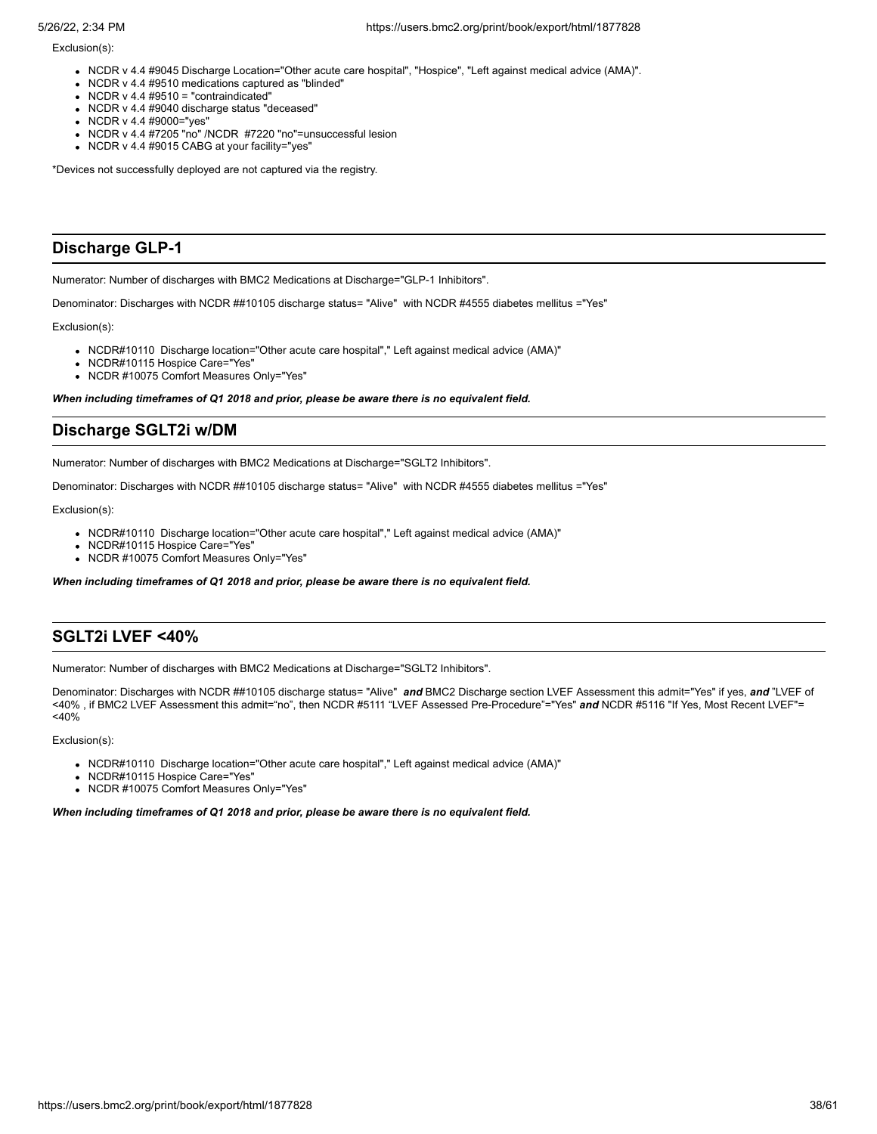Exclusion(s):

- NCDR v 4.4 #9045 Discharge Location="Other acute care hospital", "Hospice", "Left against medical advice (AMA)".
- NCDR v 4.4 #9510 medications captured as "blinded"
- $\bullet$  NCDR v 4.4 #9510 = "contraindicated"
- NCDR v 4.4 #9040 discharge status "deceased"
- NCDR v 4.4 #9000="yes"
- NCDR v 4.4 #7205 "no" /NCDR #7220 "no"=unsuccessful lesion
- NCDR v 4.4 #9015 CABG at your facility="yes"

\*Devices not successfully deployed are not captured via the registry.

# **Discharge GLP-1**

Numerator: Number of discharges with BMC2 Medications at Discharge="GLP-1 Inhibitors".

Denominator: Discharges with NCDR ##10105 discharge status= "Alive" with NCDR #4555 diabetes mellitus = "Yes"

Exclusion(s):

- NCDR#10110 Discharge location="Other acute care hospital"," Left against medical advice (AMA)"
- NCDR#10115 Hospice Care="Yes'
- NCDR #10075 Comfort Measures Only="Yes"

*When including timeframes of Q1 2018 and prior, please be aware there is no equivalent field.*

# **Discharge SGLT2i w/DM**

Numerator: Number of discharges with BMC2 Medications at Discharge="SGLT2 Inhibitors".

Denominator: Discharges with NCDR ##10105 discharge status= "Alive" with NCDR #4555 diabetes mellitus ="Yes"

Exclusion(s):

- NCDR#10110 Discharge location="Other acute care hospital"," Left against medical advice (AMA)"
- NCDR#10115 Hospice Care="Yes"
- NCDR #10075 Comfort Measures Only="Yes"

*When including timeframes of Q1 2018 and prior, please be aware there is no equivalent field.*

# **SGLT2i LVEF <40%**

Numerator: Number of discharges with BMC2 Medications at Discharge="SGLT2 Inhibitors".

Denominator: Discharges with NCDR ##10105 discharge status= "Alive" *and* BMC2 Discharge section LVEF Assessment this admit="Yes" if yes, *and* "LVEF of <40% , if BMC2 LVEF Assessment this admit="no", then NCDR #5111 "LVEF Assessed Pre-Procedure"="Yes" *and* NCDR #5116 "If Yes, Most Recent LVEF"= <40%

Exclusion(s):

- NCDR#10110 Discharge location="Other acute care hospital"," Left against medical advice (AMA)"
- NCDR#10115 Hospice Care="Yes"
- NCDR #10075 Comfort Measures Only="Yes"

*When including timeframes of Q1 2018 and prior, please be aware there is no equivalent field.*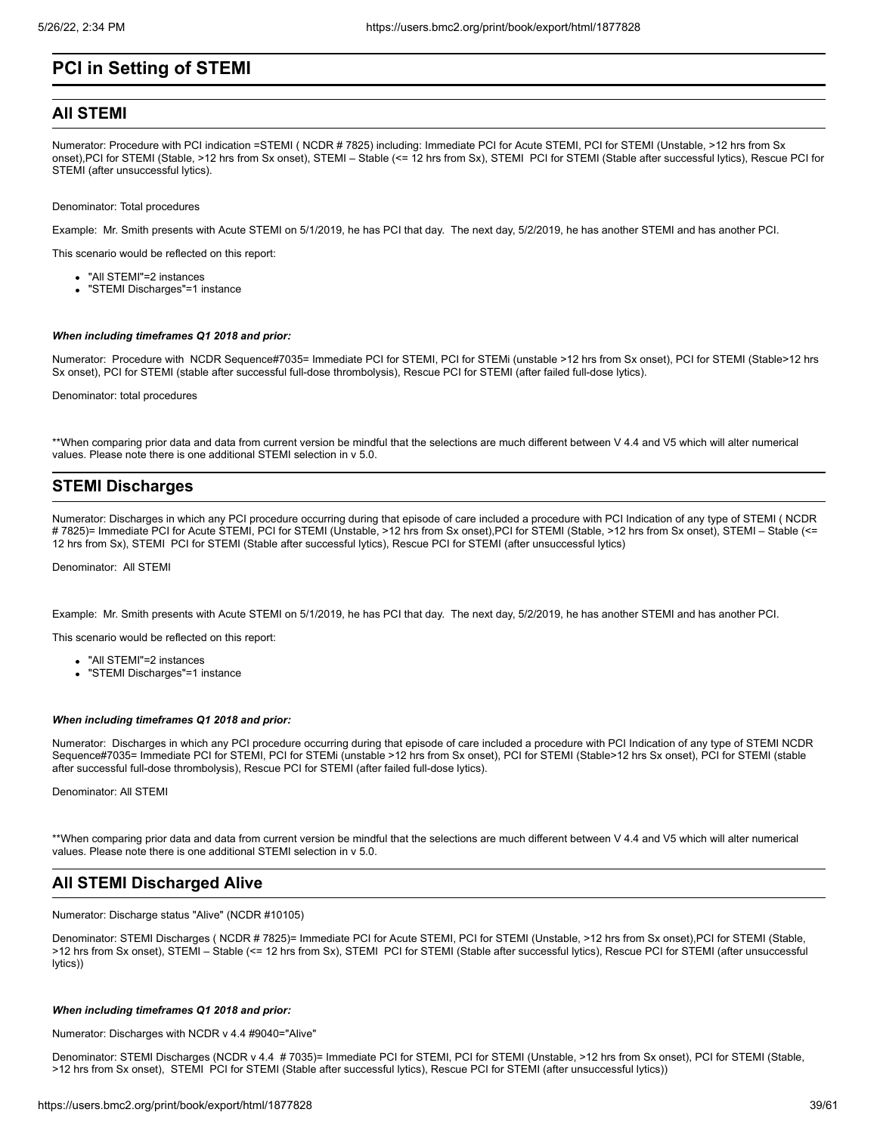# **PCI in Setting of STEMI**

# **All STEMI**

Numerator: Procedure with PCI indication =STEMI (NCDR # 7825) including: Immediate PCI for Acute STEMI, PCI for STEMI (Unstable, >12 hrs from Sx onset),PCI for STEMI (Stable, >12 hrs from Sx onset), STEMI – Stable (<= 12 hrs from Sx), STEMI PCI for STEMI (Stable after successful lytics), Rescue PCI for STEMI (after unsuccessful lytics).

Denominator: Total procedures

Example: Mr. Smith presents with Acute STEMI on 5/1/2019, he has PCI that day. The next day, 5/2/2019, he has another STEMI and has another PCI.

This scenario would be reflected on this report:

- "All STEMI"=2 instances
- "STEMI Discharges"=1 instance

#### *When including timeframes Q1 2018 and prior:*

Numerator: Procedure with NCDR Sequence#7035= Immediate PCI for STEMI, PCI for STEMi (unstable >12 hrs from Sx onset), PCI for STEMI (Stable>12 hrs Sx onset), PCI for STEMI (stable after successful full-dose thrombolysis), Rescue PCI for STEMI (after failed full-dose lytics).

Denominator: total procedures

\*\*When comparing prior data and data from current version be mindful that the selections are much different between V 4.4 and V5 which will alter numerical values. Please note there is one additional STEMI selection in v 5.0.

# **STEMI Discharges**

Numerator: Discharges in which any PCI procedure occurring during that episode of care included a procedure with PCI Indication of any type of STEMI ( NCDR # 7825)= Immediate PCI for Acute STEMI, PCI for STEMI (Unstable, >12 hrs from Sx onset),PCI for STEMI (Stable, >12 hrs from Sx onset), STEMI – Stable (<= 12 hrs from Sx), STEMI PCI for STEMI (Stable after successful lytics), Rescue PCI for STEMI (after unsuccessful lytics)

Denominator: All STEMI

Example: Mr. Smith presents with Acute STEMI on 5/1/2019, he has PCI that day. The next day, 5/2/2019, he has another STEMI and has another PCI.

This scenario would be reflected on this report:

- "All STEMI"=2 instances
- "STEMI Discharges"=1 instance

#### *When including timeframes Q1 2018 and prior:*

Numerator: Discharges in which any PCI procedure occurring during that episode of care included a procedure with PCI Indication of any type of STEMI NCDR Sequence#7035= Immediate PCI for STEMI, PCI for STEMi (unstable >12 hrs from Sx onset), PCI for STEMI (Stable>12 hrs Sx onset), PCI for STEMI (stable after successful full-dose thrombolysis), Rescue PCI for STEMI (after failed full-dose lytics).

Denominator: All STEMI

\*\*When comparing prior data and data from current version be mindful that the selections are much different between V 4.4 and V5 which will alter numerical values. Please note there is one additional STEMI selection in v 5.0.

# **All STEMI Discharged Alive**

Numerator: Discharge status "Alive" (NCDR #10105)

Denominator: STEMI Discharges ( NCDR # 7825)= Immediate PCI for Acute STEMI, PCI for STEMI (Unstable, >12 hrs from Sx onset),PCI for STEMI (Stable, >12 hrs from Sx onset), STEMI – Stable (<= 12 hrs from Sx), STEMI PCI for STEMI (Stable after successful lytics), Rescue PCI for STEMI (after unsuccessful lytics))

#### *When including timeframes Q1 2018 and prior:*

Numerator: Discharges with NCDR v 4.4 #9040="Alive"

Denominator: STEMI Discharges (NCDR v 4.4 # 7035)= Immediate PCI for STEMI, PCI for STEMI (Unstable, >12 hrs from Sx onset), PCI for STEMI (Stable, >12 hrs from Sx onset), STEMI PCI for STEMI (Stable after successful lytics), Rescue PCI for STEMI (after unsuccessful lytics))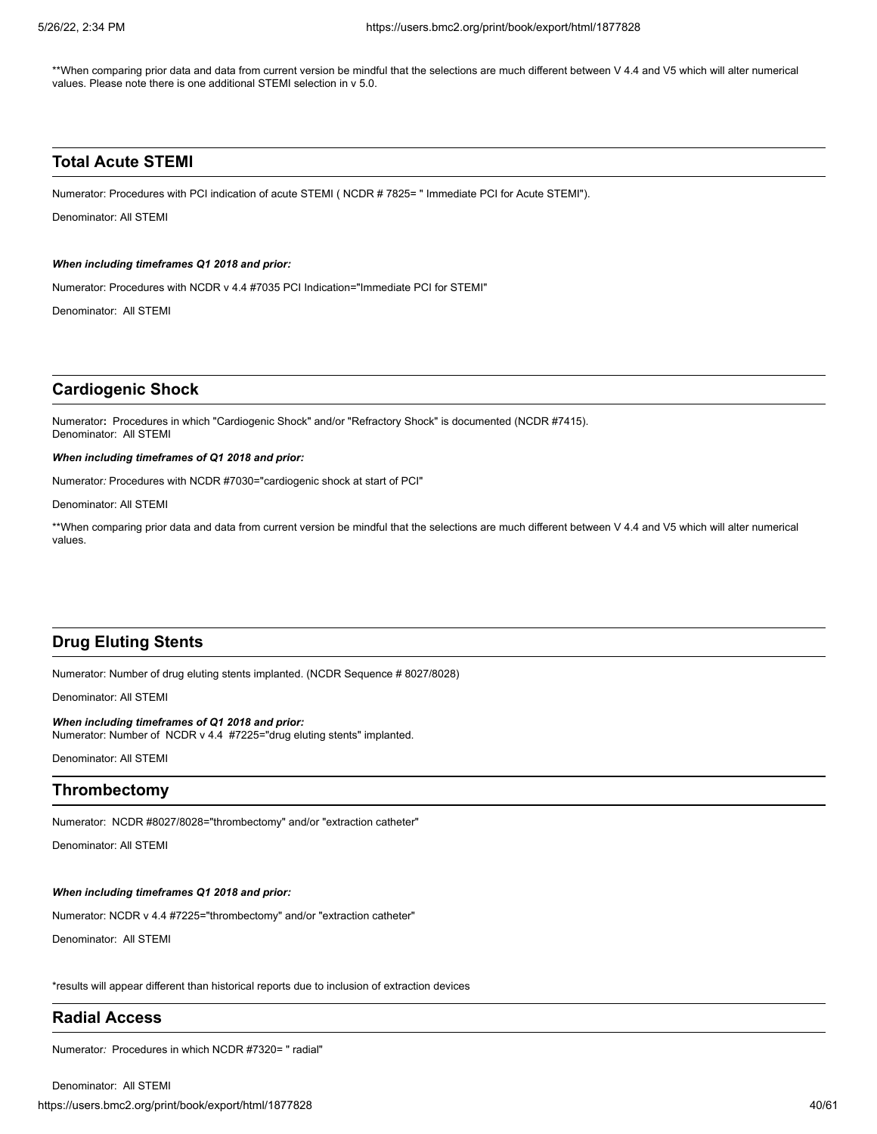\*\*When comparing prior data and data from current version be mindful that the selections are much different between V 4.4 and V5 which will alter numerical values. Please note there is one additional STEMI selection in v 5.0.

# **Total Acute STEMI**

Numerator: Procedures with PCI indication of acute STEMI ( NCDR # 7825= " Immediate PCI for Acute STEMI").

Denominator: All STEMI

### *When including timeframes Q1 2018 and prior:*

Numerator: Procedures with NCDR v 4.4 #7035 PCI Indication="Immediate PCI for STEMI"

Denominator: All STEMI

# **Cardiogenic Shock**

Numerator**:** Procedures in which "Cardiogenic Shock" and/or "Refractory Shock" is documented (NCDR #7415). Denominator: All STEMI

### *When including timeframes of Q1 2018 and prior:*

Numerator*:* Procedures with NCDR #7030="cardiogenic shock at start of PCI"

Denominator: All STEMI

\*\*When comparing prior data and data from current version be mindful that the selections are much different between V 4.4 and V5 which will alter numerical values.

# **Drug Eluting Stents**

Numerator: Number of drug eluting stents implanted. (NCDR Sequence # 8027/8028)

Denominator: All STEMI

*When including timeframes of Q1 2018 and prior:*  Numerator: Number of NCDR v 4.4 #7225="drug eluting stents" implanted.

Denominator: All STEMI

# **Thrombectomy**

Numerator: NCDR #8027/8028="thrombectomy" and/or "extraction catheter"

Denominator: All STEMI

## *When including timeframes Q1 2018 and prior:*

Numerator: NCDR v 4.4 #7225="thrombectomy" and/or "extraction catheter"

Denominator: All STEMI

\*results will appear different than historical reports due to inclusion of extraction devices

# **Radial Access**

Numerator*:* Procedures in which NCDR #7320= " radial"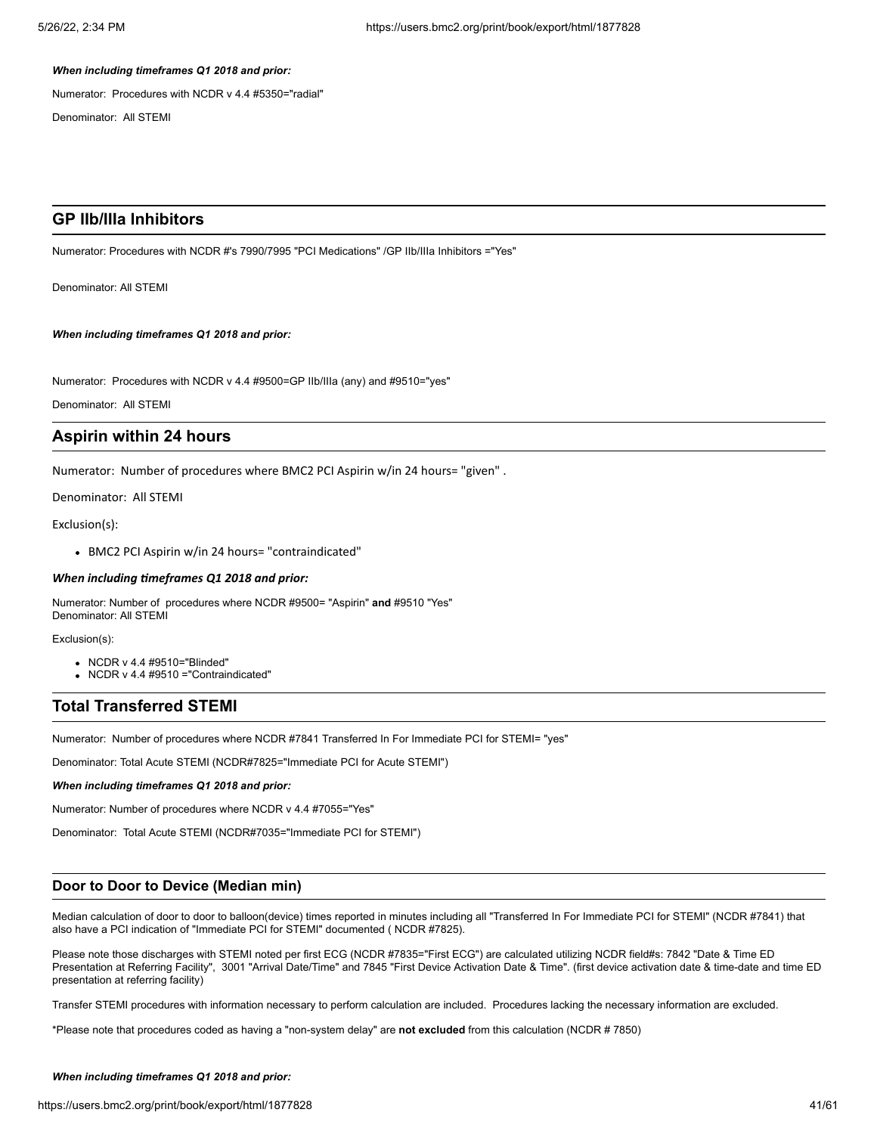### *When including timeframes Q1 2018 and prior:*

Numerator: Procedures with NCDR v 4.4 #5350="radial"

Denominator: All STEMI

# **GP IIb/IIIa Inhibitors**

Numerator: Procedures with NCDR #'s 7990/7995 "PCI Medications" /GP IIb/IIIa Inhibitors ="Yes"

Denominator: All STEMI

*When including timeframes Q1 2018 and prior:*

Numerator: Procedures with NCDR v 4.4 #9500=GP IIb/IIIa (any) and #9510="yes"

Denominator: All STEMI

# **Aspirin within 24 hours**

Numerator: Number of procedures where BMC2 PCI Aspirin w/in 24 hours= "given" .

Denominator: All STEMI

Exclusion(s):

BMC2 PCI Aspirin w/in 24 hours= "contraindicated"

## *When including timeframes Q1 2018 and prior:*

Numerator: Number of procedures where NCDR #9500= "Aspirin" **and** #9510 "Yes" Denominator: All STEMI

Exclusion(s):

- NCDR v 4.4 #9510="Blinded"
- $\bullet$  NCDR v 4.4 #9510 = "Contraindicated"

# **Total Transferred STEMI**

Numerator: Number of procedures where NCDR #7841 Transferred In For Immediate PCI for STEMI= "yes"

Denominator: Total Acute STEMI (NCDR#7825="Immediate PCI for Acute STEMI")

*When including timeframes Q1 2018 and prior:*

Numerator: Number of procedures where NCDR v 4.4 #7055="Yes"

Denominator: Total Acute STEMI (NCDR#7035="Immediate PCI for STEMI")

# **Door to Door to Device (Median min)**

Median calculation of door to door to balloon(device) times reported in minutes including all "Transferred In For Immediate PCI for STEMI" (NCDR #7841) that also have a PCI indication of "Immediate PCI for STEMI" documented ( NCDR #7825).

Please note those discharges with STEMI noted per first ECG (NCDR #7835="First ECG") are calculated utilizing NCDR field#s: 7842 "Date & Time ED Presentation at Referring Facility", 3001 "Arrival Date/Time" and 7845 "First Device Activation Date & Time". (first device activation date & time-date and time ED presentation at referring facility)

Transfer STEMI procedures with information necessary to perform calculation are included. Procedures lacking the necessary information are excluded.

\*Please note that procedures coded as having a "non-system delay" are **not excluded** from this calculation (NCDR # 7850)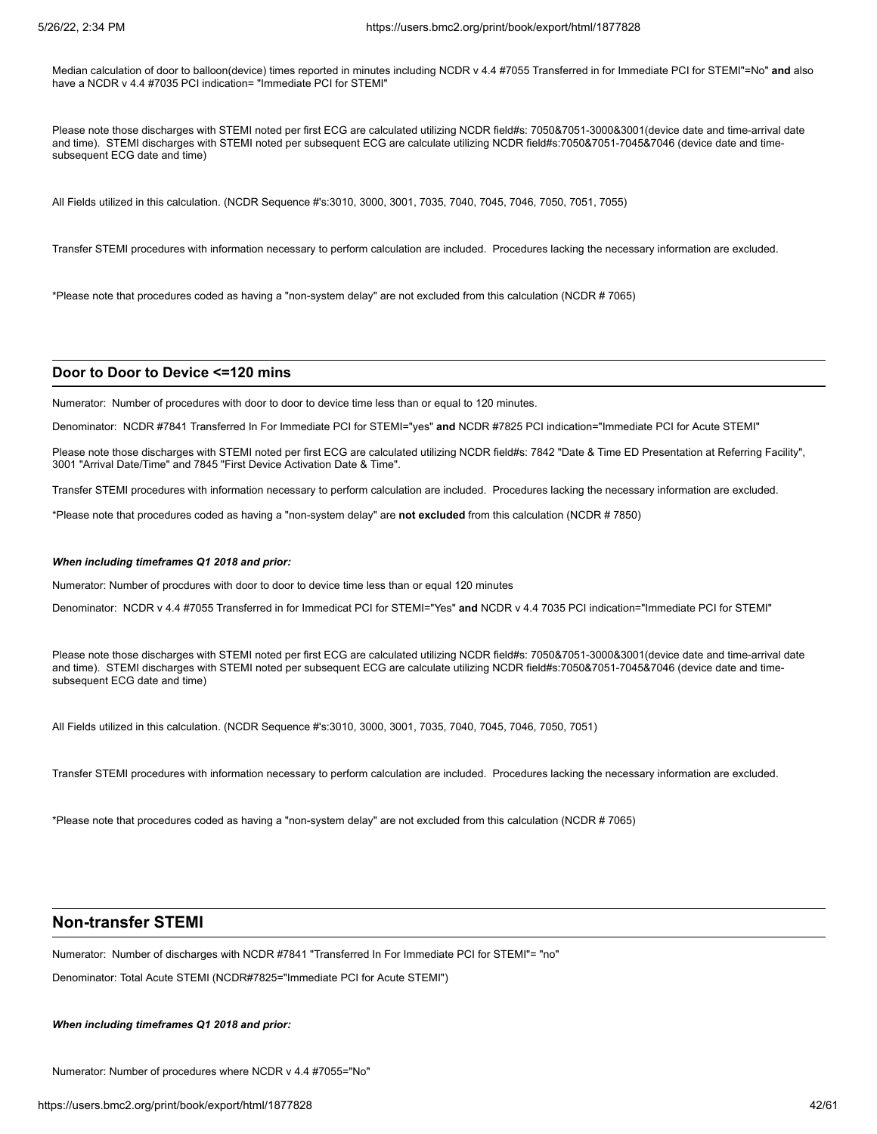Median calculation of door to balloon(device) times reported in minutes including NCDR v 4.4 #7055 Transferred in for Immediate PCI for STEMI"=No" **and** also have a NCDR v 4.4 #7035 PCI indication= "Immediate PCI for STEMI"

Please note those discharges with STEMI noted per first ECG are calculated utilizing NCDR field#s: 7050&7051-3000&3001(device date and time-arrival date and time). STEMI discharges with STEMI noted per subsequent ECG are calculate utilizing NCDR field#s:7050&7051-7045&7046 (device date and timesubsequent ECG date and time)

All Fields utilized in this calculation. (NCDR Sequence #'s:3010, 3000, 3001, 7035, 7040, 7045, 7046, 7050, 7051, 7055)

Transfer STEMI procedures with information necessary to perform calculation are included. Procedures lacking the necessary information are excluded.

\*Please note that procedures coded as having a "non-system delay" are not excluded from this calculation (NCDR # 7065)

#### **Door to Door to Device <=120 mins**

Numerator: Number of procedures with door to door to device time less than or equal to 120 minutes.

Denominator: NCDR #7841 Transferred In For Immediate PCI for STEMI="yes" **and** NCDR #7825 PCI indication="Immediate PCI for Acute STEMI"

Please note those discharges with STEMI noted per first ECG are calculated utilizing NCDR field#s: 7842 "Date & Time ED Presentation at Referring Facility", 3001 "Arrival Date/Time" and 7845 "First Device Activation Date & Time".

Transfer STEMI procedures with information necessary to perform calculation are included. Procedures lacking the necessary information are excluded.

\*Please note that procedures coded as having a "non-system delay" are **not excluded** from this calculation (NCDR # 7850)

#### *When including timeframes Q1 2018 and prior:*

Numerator: Number of procdures with door to door to device time less than or equal 120 minutes

Denominator: NCDR v 4.4 #7055 Transferred in for Immedicat PCI for STEMI="Yes" **and** NCDR v 4.4 7035 PCI indication="Immediate PCI for STEMI"

Please note those discharges with STEMI noted per first ECG are calculated utilizing NCDR field#s: 7050&7051-3000&3001(device date and time-arrival date and time). STEMI discharges with STEMI noted per subsequent ECG are calculate utilizing NCDR field#s:7050&7051-7045&7046 (device date and timesubsequent ECG date and time)

All Fields utilized in this calculation. (NCDR Sequence #'s:3010, 3000, 3001, 7035, 7040, 7045, 7046, 7050, 7051)

Transfer STEMI procedures with information necessary to perform calculation are included. Procedures lacking the necessary information are excluded.

\*Please note that procedures coded as having a "non-system delay" are not excluded from this calculation (NCDR # 7065)

# **Non-transfer STEMI**

Numerator: Number of discharges with NCDR #7841 "Transferred In For Immediate PCI for STEMI"= "no"

Denominator: Total Acute STEMI (NCDR#7825="Immediate PCI for Acute STEMI")

*When including timeframes Q1 2018 and prior:*

Numerator: Number of procedures where NCDR v 4.4 #7055="No"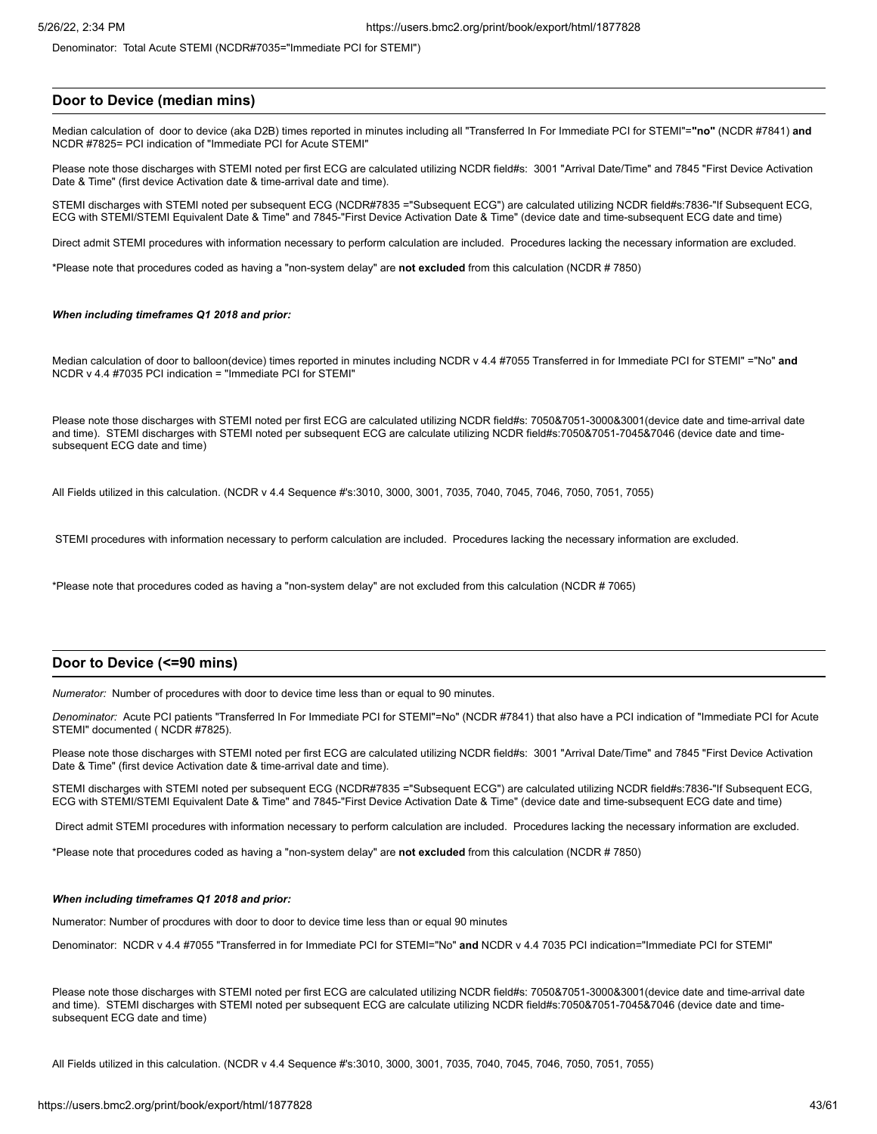Denominator: Total Acute STEMI (NCDR#7035="Immediate PCI for STEMI")

# **Door to Device (median mins)**

Median calculation of door to device (aka D2B) times reported in minutes including all "Transferred In For Immediate PCI for STEMI"=**"no"** (NCDR #7841) **and** NCDR #7825= PCI indication of "Immediate PCI for Acute STEMI"

Please note those discharges with STEMI noted per first ECG are calculated utilizing NCDR field#s: 3001 "Arrival Date/Time" and 7845 "First Device Activation Date & Time" (first device Activation date & time-arrival date and time).

STEMI discharges with STEMI noted per subsequent ECG (NCDR#7835 ="Subsequent ECG") are calculated utilizing NCDR field#s:7836-"If Subsequent ECG, ECG with STEMI/STEMI Equivalent Date & Time" and 7845-"First Device Activation Date & Time" (device date and time-subsequent ECG date and time)

Direct admit STEMI procedures with information necessary to perform calculation are included. Procedures lacking the necessary information are excluded.

\*Please note that procedures coded as having a "non-system delay" are **not excluded** from this calculation (NCDR # 7850)

#### *When including timeframes Q1 2018 and prior:*

Median calculation of door to balloon(device) times reported in minutes including NCDR v 4.4 #7055 Transferred in for Immediate PCI for STEMI" ="No" **and** NCDR v 4.4 #7035 PCI indication = "Immediate PCI for STEMI"

Please note those discharges with STEMI noted per first ECG are calculated utilizing NCDR field#s: 7050&7051-3000&3001(device date and time-arrival date and time). STEMI discharges with STEMI noted per subsequent ECG are calculate utilizing NCDR field#s:7050&7051-7045&7046 (device date and timesubsequent ECG date and time)

All Fields utilized in this calculation. (NCDR v 4.4 Sequence #'s:3010, 3000, 3001, 7035, 7040, 7045, 7046, 7050, 7051, 7055)

STEMI procedures with information necessary to perform calculation are included. Procedures lacking the necessary information are excluded.

\*Please note that procedures coded as having a "non-system delay" are not excluded from this calculation (NCDR # 7065)

#### **Door to Device (<=90 mins)**

*Numerator:* Number of procedures with door to device time less than or equal to 90 minutes.

*Denominator:* Acute PCI patients "Transferred In For Immediate PCI for STEMI"=No" (NCDR #7841) that also have a PCI indication of "Immediate PCI for Acute STEMI" documented ( NCDR #7825).

Please note those discharges with STEMI noted per first ECG are calculated utilizing NCDR field#s: 3001 "Arrival Date/Time" and 7845 "First Device Activation Date & Time" (first device Activation date & time-arrival date and time).

STEMI discharges with STEMI noted per subsequent ECG (NCDR#7835 ="Subsequent ECG") are calculated utilizing NCDR field#s:7836-"If Subsequent ECG, ECG with STEMI/STEMI Equivalent Date & Time" and 7845-"First Device Activation Date & Time" (device date and time-subsequent ECG date and time)

Direct admit STEMI procedures with information necessary to perform calculation are included. Procedures lacking the necessary information are excluded.

\*Please note that procedures coded as having a "non-system delay" are **not excluded** from this calculation (NCDR # 7850)

#### *When including timeframes Q1 2018 and prior:*

Numerator: Number of procdures with door to door to device time less than or equal 90 minutes

Denominator: NCDR v 4.4 #7055 "Transferred in for Immediate PCI for STEMI="No" **and** NCDR v 4.4 7035 PCI indication="Immediate PCI for STEMI"

Please note those discharges with STEMI noted per first ECG are calculated utilizing NCDR field#s: 7050&7051-3000&3001(device date and time-arrival date and time). STEMI discharges with STEMI noted per subsequent ECG are calculate utilizing NCDR field#s:7050&7051-7045&7046 (device date and timesubsequent ECG date and time)

All Fields utilized in this calculation. (NCDR v 4.4 Sequence #'s:3010, 3000, 3001, 7035, 7040, 7045, 7046, 7050, 7051, 7055)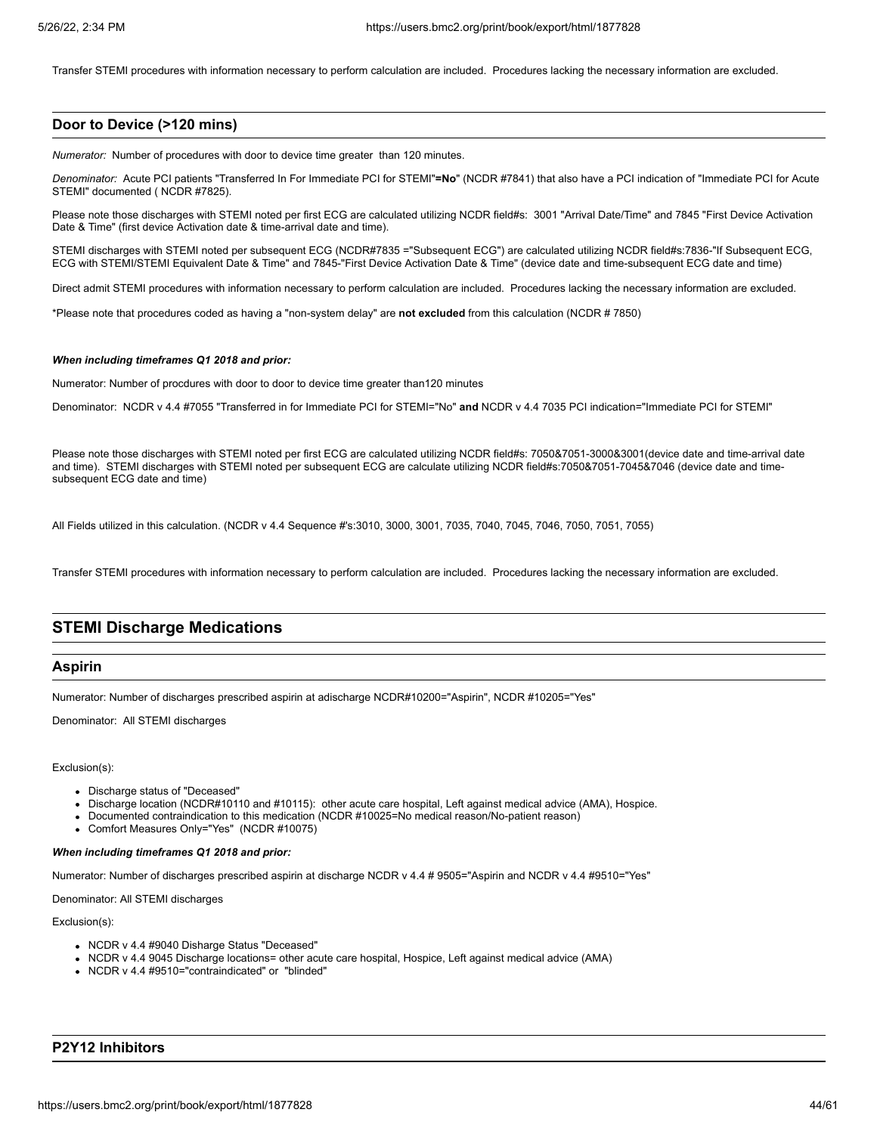Transfer STEMI procedures with information necessary to perform calculation are included. Procedures lacking the necessary information are excluded.

# **Door to Device (>120 mins)**

*Numerator:* Number of procedures with door to device time greater than 120 minutes.

*Denominator:* Acute PCI patients "Transferred In For Immediate PCI for STEMI"**=No**" (NCDR #7841) that also have a PCI indication of "Immediate PCI for Acute STEMI" documented ( NCDR #7825).

Please note those discharges with STEMI noted per first ECG are calculated utilizing NCDR field#s: 3001 "Arrival Date/Time" and 7845 "First Device Activation Date & Time" (first device Activation date & time-arrival date and time).

STEMI discharges with STEMI noted per subsequent ECG (NCDR#7835 ="Subsequent ECG") are calculated utilizing NCDR field#s:7836-"If Subsequent ECG, ECG with STEMI/STEMI Equivalent Date & Time" and 7845-"First Device Activation Date & Time" (device date and time-subsequent ECG date and time)

Direct admit STEMI procedures with information necessary to perform calculation are included. Procedures lacking the necessary information are excluded.

\*Please note that procedures coded as having a "non-system delay" are **not excluded** from this calculation (NCDR # 7850)

### *When including timeframes Q1 2018 and prior:*

Numerator: Number of procdures with door to door to device time greater than120 minutes

Denominator: NCDR v 4.4 #7055 "Transferred in for Immediate PCI for STEMI="No" **and** NCDR v 4.4 7035 PCI indication="Immediate PCI for STEMI"

Please note those discharges with STEMI noted per first ECG are calculated utilizing NCDR field#s: 7050&7051-3000&3001(device date and time-arrival date and time). STEMI discharges with STEMI noted per subsequent ECG are calculate utilizing NCDR field#s:7050&7051-7045&7046 (device date and timesubsequent ECG date and time)

All Fields utilized in this calculation. (NCDR v 4.4 Sequence #'s:3010, 3000, 3001, 7035, 7040, 7045, 7046, 7050, 7051, 7055)

Transfer STEMI procedures with information necessary to perform calculation are included. Procedures lacking the necessary information are excluded.

# **STEMI Discharge Medications**

# **Aspirin**

Numerator: Number of discharges prescribed aspirin at adischarge NCDR#10200="Aspirin", NCDR #10205="Yes"

Denominator: All STEMI discharges

#### Exclusion(s):

- Discharge status of "Deceased"
- Discharge location (NCDR#10110 and #10115): other acute care hospital, Left against medical advice (AMA), Hospice.
- Documented contraindication to this medication (NCDR #10025=No medical reason/No-patient reason)
- Comfort Measures Only="Yes" (NCDR #10075)

#### *When including timeframes Q1 2018 and prior:*

Numerator: Number of discharges prescribed aspirin at discharge NCDR v 4.4 # 9505="Aspirin and NCDR v 4.4 #9510="Yes"

Denominator: All STEMI discharges

Exclusion(s):

- NCDR v 4.4 #9040 Disharge Status "Deceased"
- NCDR v 4.4 9045 Discharge locations= other acute care hospital, Hospice, Left against medical advice (AMA)
- NCDR v 4.4 #9510="contraindicated" or "blinded"

# **P2Y12 Inhibitors**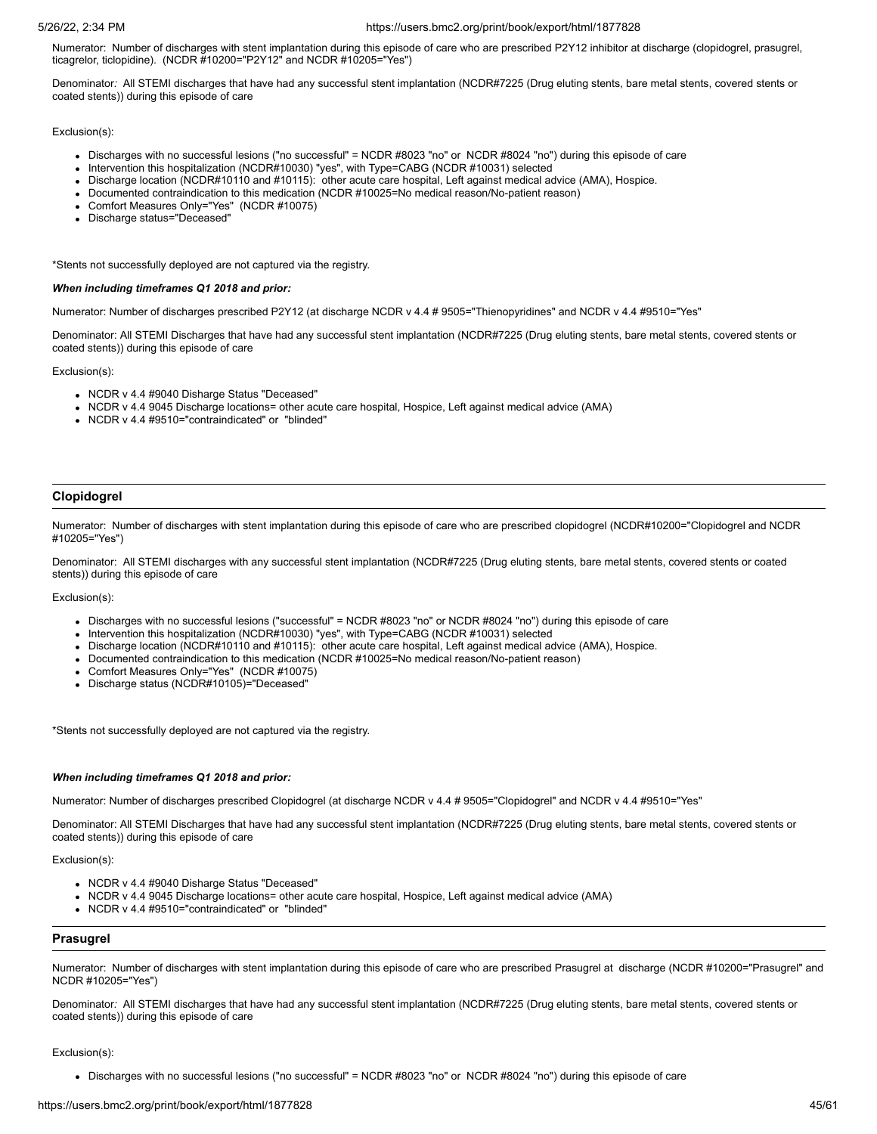Numerator: Number of discharges with stent implantation during this episode of care who are prescribed P2Y12 inhibitor at discharge (clopidogrel, prasugrel, ticagrelor, ticlopidine). (NCDR #10200="P2Y12" and NCDR #10205="Yes")

Denominator*:* All STEMI discharges that have had any successful stent implantation (NCDR#7225 (Drug eluting stents, bare metal stents, covered stents or coated stents)) during this episode of care

Exclusion(s):

- Discharges with no successful lesions ("no successful" = NCDR #8023 "no" or NCDR #8024 "no") during this episode of care
- Intervention this hospitalization (NCDR#10030) "yes", with Type=CABG (NCDR #10031) selected
- Discharge location (NCDR#10110 and #10115): other acute care hospital, Left against medical advice (AMA), Hospice.
- Documented contraindication to this medication (NCDR #10025=No medical reason/No-patient reason)
- Comfort Measures Only="Yes" (NCDR #10075)
- Discharge status="Deceased"

\*Stents not successfully deployed are not captured via the registry.

## *When including timeframes Q1 2018 and prior:*

Numerator: Number of discharges prescribed P2Y12 (at discharge NCDR v 4.4 # 9505="Thienopyridines" and NCDR v 4.4 #9510="Yes"

Denominator: All STEMI Discharges that have had any successful stent implantation (NCDR#7225 (Drug eluting stents, bare metal stents, covered stents or coated stents)) during this episode of care

Exclusion(s):

- NCDR v 4.4 #9040 Disharge Status "Deceased"
- NCDR v 4.4 9045 Discharge locations= other acute care hospital, Hospice, Left against medical advice (AMA)
- NCDR v 4.4 #9510="contraindicated" or "blinded"

# **Clopidogrel**

Numerator: Number of discharges with stent implantation during this episode of care who are prescribed clopidogrel (NCDR#10200="Clopidogrel and NCDR #10205="Yes")

Denominator: All STEMI discharges with any successful stent implantation (NCDR#7225 (Drug eluting stents, bare metal stents, covered stents or coated stents)) during this episode of care

Exclusion(s):

- Discharges with no successful lesions ("successful" = NCDR #8023 "no" or NCDR #8024 "no") during this episode of care
- Intervention this hospitalization (NCDR#10030) "yes", with Type=CABG (NCDR #10031) selected
- Discharge location (NCDR#10110 and #10115): other acute care hospital, Left against medical advice (AMA), Hospice.
- Documented contraindication to this medication (NCDR #10025=No medical reason/No-patient reason)
- Comfort Measures Only="Yes" (NCDR #10075)
- Discharge status (NCDR#10105)="Deceased"

\*Stents not successfully deployed are not captured via the registry.

### *When including timeframes Q1 2018 and prior:*

Numerator: Number of discharges prescribed Clopidogrel (at discharge NCDR v 4.4 # 9505="Clopidogrel" and NCDR v 4.4 #9510="Yes"

Denominator: All STEMI Discharges that have had any successful stent implantation (NCDR#7225 (Drug eluting stents, bare metal stents, covered stents or coated stents)) during this episode of care

Exclusion(s):

- NCDR v 4.4 #9040 Disharge Status "Deceased"
- NCDR v 4.4 9045 Discharge locations= other acute care hospital, Hospice, Left against medical advice (AMA)
- NCDR v 4.4 #9510="contraindicated" or "blinded"

## **Prasugrel**

Numerator: Number of discharges with stent implantation during this episode of care who are prescribed Prasugrel at discharge (NCDR #10200="Prasugrel" and NCDR #10205="Yes")

Denominator*:* All STEMI discharges that have had any successful stent implantation (NCDR#7225 (Drug eluting stents, bare metal stents, covered stents or coated stents)) during this episode of care

#### Exclusion(s):

Discharges with no successful lesions ("no successful" = NCDR #8023 "no" or NCDR #8024 "no") during this episode of care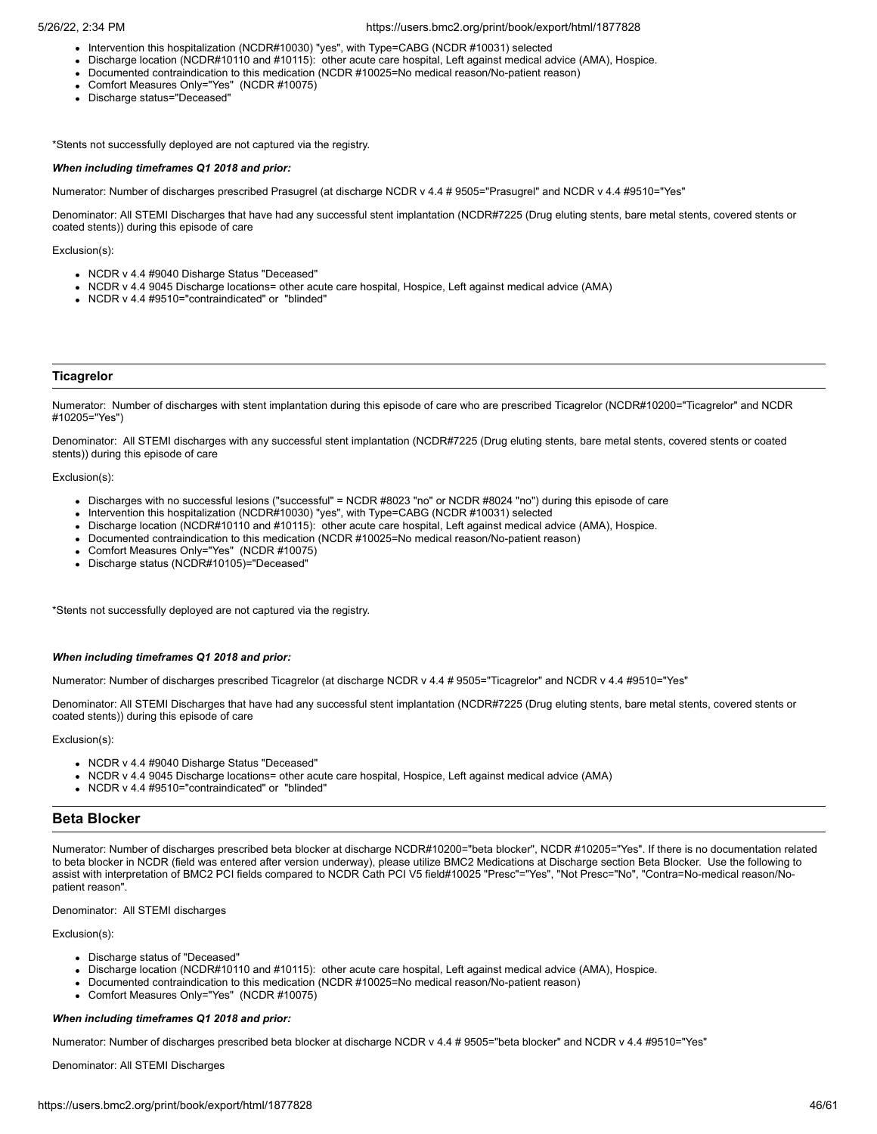- Intervention this hospitalization (NCDR#10030) "yes", with Type=CABG (NCDR #10031) selected
- Discharge location (NCDR#10110 and #10115): other acute care hospital, Left against medical advice (AMA), Hospice.
- Documented contraindication to this medication (NCDR #10025=No medical reason/No-patient reason)
- Comfort Measures Only="Yes" (NCDR #10075)
- Discharge status="Deceased"

\*Stents not successfully deployed are not captured via the registry.

#### *When including timeframes Q1 2018 and prior:*

Numerator: Number of discharges prescribed Prasugrel (at discharge NCDR v 4.4 # 9505="Prasugrel" and NCDR v 4.4 #9510="Yes"

Denominator: All STEMI Discharges that have had any successful stent implantation (NCDR#7225 (Drug eluting stents, bare metal stents, covered stents or coated stents)) during this episode of care

Exclusion(s):

- NCDR v 4.4 #9040 Disharge Status "Deceased"
- NCDR v 4.4 9045 Discharge locations= other acute care hospital, Hospice, Left against medical advice (AMA)
- NCDR v 4.4 #9510="contraindicated" or "blinded"

### **Ticagrelor**

Numerator: Number of discharges with stent implantation during this episode of care who are prescribed Ticagrelor (NCDR#10200="Ticagrelor" and NCDR #10205="Yes")

Denominator: All STEMI discharges with any successful stent implantation (NCDR#7225 (Drug eluting stents, bare metal stents, covered stents or coated stents)) during this episode of care

Exclusion(s):

- Discharges with no successful lesions ("successful" = NCDR #8023 "no" or NCDR #8024 "no") during this episode of care
- Intervention this hospitalization (NCDR#10030) "yes", with Type=CABG (NCDR #10031) selected
- Discharge location (NCDR#10110 and #10115): other acute care hospital, Left against medical advice (AMA), Hospice.
- Documented contraindication to this medication (NCDR #10025=No medical reason/No-patient reason)
- Comfort Measures Only="Yes" (NCDR #10075)
- Discharge status (NCDR#10105)="Deceased"

\*Stents not successfully deployed are not captured via the registry.

#### *When including timeframes Q1 2018 and prior:*

Numerator: Number of discharges prescribed Ticagrelor (at discharge NCDR v 4.4 # 9505="Ticagrelor" and NCDR v 4.4 #9510="Yes"

Denominator: All STEMI Discharges that have had any successful stent implantation (NCDR#7225 (Drug eluting stents, bare metal stents, covered stents or coated stents)) during this episode of care

Exclusion(s):

- NCDR v 4.4 #9040 Disharge Status "Deceased"
- NCDR v 4.4 9045 Discharge locations= other acute care hospital, Hospice, Left against medical advice (AMA)
- NCDR v 4.4 #9510="contraindicated" or "blinded"

# **Beta Blocker**

Numerator: Number of discharges prescribed beta blocker at discharge NCDR#10200="beta blocker", NCDR #10205="Yes". If there is no documentation related to beta blocker in NCDR (field was entered after version underway), please utilize BMC2 Medications at Discharge section Beta Blocker. Use the following to assist with interpretation of BMC2 PCI fields compared to NCDR Cath PCI V5 field#10025 "Presc"="Yes", "Not Presc="No", "Contra=No-medical reason/Nopatient reason".

Denominator: All STEMI discharges

#### Exclusion(s):

- Discharge status of "Deceased"
- Discharge location (NCDR#10110 and #10115): other acute care hospital, Left against medical advice (AMA), Hospice.
- Documented contraindication to this medication (NCDR #10025=No medical reason/No-patient reason)
- Comfort Measures Only="Yes" (NCDR #10075)

# *When including timeframes Q1 2018 and prior:*

Numerator: Number of discharges prescribed beta blocker at discharge NCDR v 4.4 # 9505="beta blocker" and NCDR v 4.4 #9510="Yes"

Denominator: All STEMI Discharges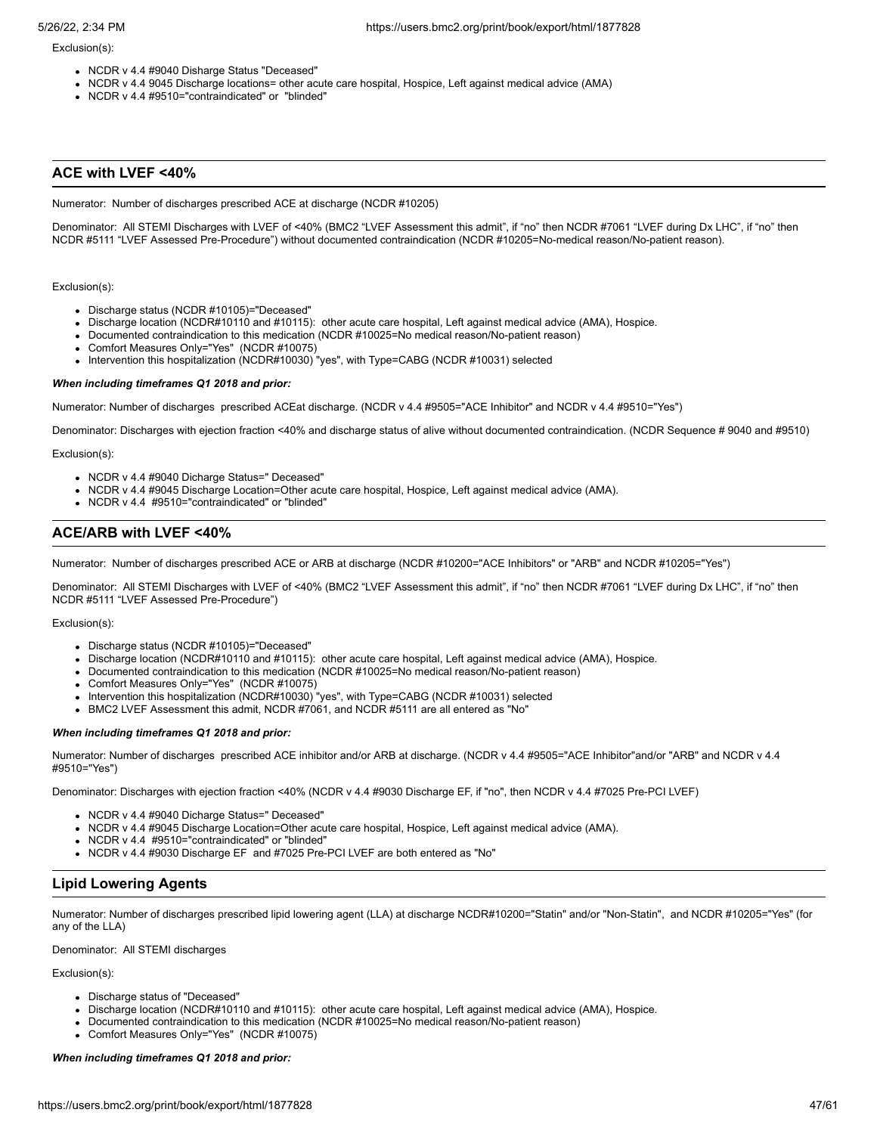### Exclusion(s):

- NCDR v 4.4 #9040 Disharge Status "Deceased"
- NCDR v 4.4 9045 Discharge locations= other acute care hospital, Hospice, Left against medical advice (AMA)
- NCDR v 4.4 #9510="contraindicated" or "blinded"

# **ACE with LVEF <40%**

Numerator: Number of discharges prescribed ACE at discharge (NCDR #10205)

Denominator: All STEMI Discharges with LVEF of <40% (BMC2 "LVEF Assessment this admit", if "no" then NCDR #7061 "LVEF during Dx LHC", if "no" then NCDR #5111 "LVEF Assessed Pre-Procedure") without documented contraindication (NCDR #10205=No-medical reason/No-patient reason).

#### Exclusion(s):

- Discharge status (NCDR #10105)="Deceased"
- Discharge location (NCDR#10110 and #10115): other acute care hospital, Left against medical advice (AMA), Hospice.
- Documented contraindication to this medication (NCDR #10025=No medical reason/No-patient reason)
- Comfort Measures Only="Yes" (NCDR #10075)
- Intervention this hospitalization (NCDR#10030) "yes", with Type=CABG (NCDR #10031) selected

#### *When including timeframes Q1 2018 and prior:*

Numerator: Number of discharges prescribed ACEat discharge. (NCDR v 4.4 #9505="ACE Inhibitor" and NCDR v 4.4 #9510="Yes")

Denominator: Discharges with ejection fraction <40% and discharge status of alive without documented contraindication. (NCDR Sequence # 9040 and #9510)

#### Exclusion(s):

- NCDR v 4.4 #9040 Dicharge Status=" Deceased"
- NCDR v 4.4 #9045 Discharge Location=Other acute care hospital, Hospice, Left against medical advice (AMA).
- NCDR v 4.4 #9510="contraindicated" or "blinded"

# **ACE/ARB with LVEF <40%**

Numerator: Number of discharges prescribed ACE or ARB at discharge (NCDR #10200="ACE Inhibitors" or "ARB" and NCDR #10205="Yes")

Denominator: All STEMI Discharges with LVEF of <40% (BMC2 "LVEF Assessment this admit", if "no" then NCDR #7061 "LVEF during Dx LHC", if "no" then NCDR #5111 "LVEF Assessed Pre-Procedure")

#### Exclusion(s):

- Discharge status (NCDR #10105)="Deceased"
- Discharge location (NCDR#10110 and #10115): other acute care hospital, Left against medical advice (AMA), Hospice.
- Documented contraindication to this medication (NCDR #10025=No medical reason/No-patient reason)
- Comfort Measures Only="Yes" (NCDR #10075)
- Intervention this hospitalization (NCDR#10030) "yes", with Type=CABG (NCDR #10031) selected
- BMC2 LVEF Assessment this admit, NCDR #7061, and NCDR #5111 are all entered as "No"

## *When including timeframes Q1 2018 and prior:*

Numerator: Number of discharges prescribed ACE inhibitor and/or ARB at discharge. (NCDR v 4.4 #9505="ACE Inhibitor"and/or "ARB" and NCDR v 4.4 #9510="Yes")

Denominator: Discharges with ejection fraction <40% (NCDR v 4.4 #9030 Discharge EF, if "no", then NCDR v 4.4 #7025 Pre-PCI LVEF)

- NCDR v 4.4 #9040 Dicharge Status=" Deceased"
- NCDR v 4.4 #9045 Discharge Location=Other acute care hospital, Hospice, Left against medical advice (AMA).
- NCDR v 4.4 #9510="contraindicated" or "blinded"
- NCDR v 4.4 #9030 Discharge EF and #7025 Pre-PCI LVEF are both entered as "No"

# **Lipid Lowering Agents**

Numerator: Number of discharges prescribed lipid lowering agent (LLA) at discharge NCDR#10200="Statin" and/or "Non-Statin", and NCDR #10205="Yes" (for any of the LLA)

Denominator: All STEMI discharges

# Exclusion(s):

- Discharge status of "Deceased"
- Discharge location (NCDR#10110 and #10115): other acute care hospital, Left against medical advice (AMA), Hospice.
- Documented contraindication to this medication (NCDR #10025=No medical reason/No-patient reason)
- Comfort Measures Only="Yes" (NCDR #10075)

# *When including timeframes Q1 2018 and prior:*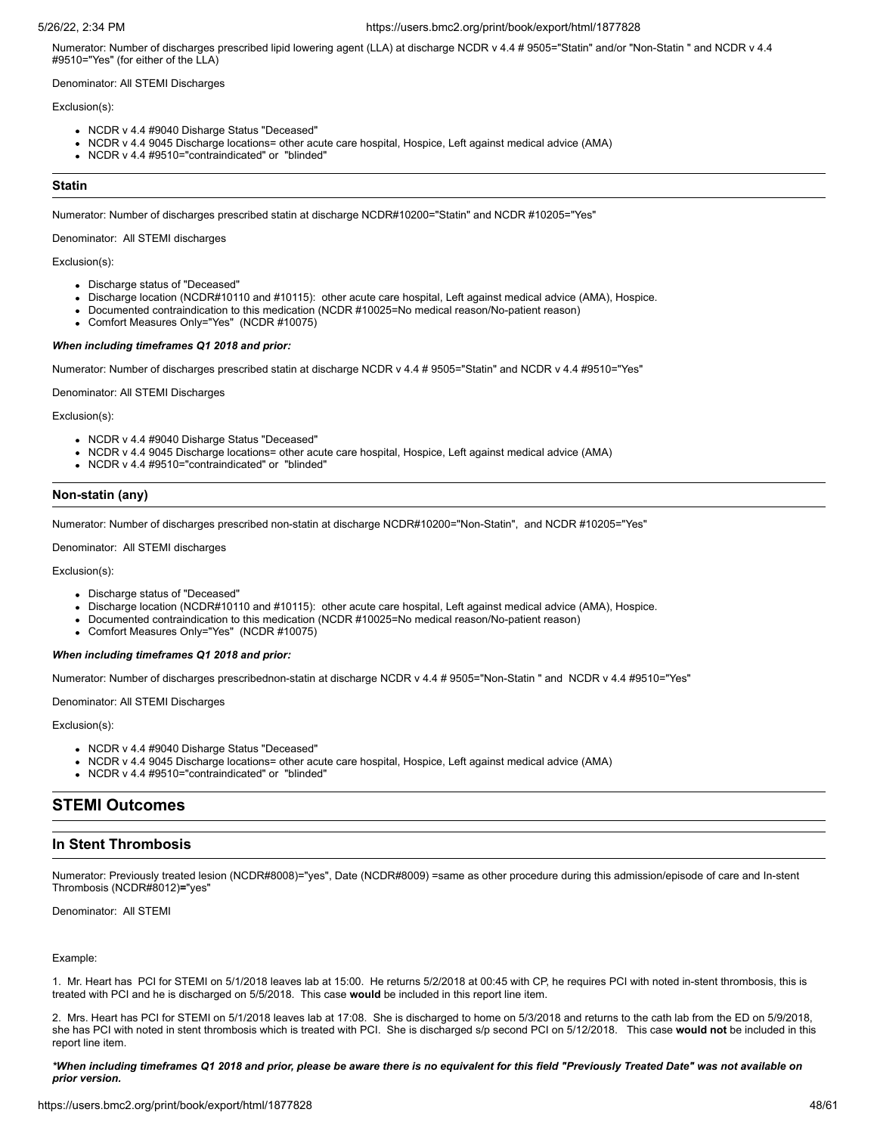Numerator: Number of discharges prescribed lipid lowering agent (LLA) at discharge NCDR v 4.4 # 9505="Statin" and/or "Non-Statin " and NCDR v 4.4 #9510="Yes" (for either of the LLA)

Denominator: All STEMI Discharges

# Exclusion(s):

- NCDR v 4.4 #9040 Disharge Status "Deceased"
- NCDR v 4.4 9045 Discharge locations= other acute care hospital, Hospice, Left against medical advice (AMA)
- NCDR v 4.4 #9510="contraindicated" or "blinded"

# **Statin**

Numerator: Number of discharges prescribed statin at discharge NCDR#10200="Statin" and NCDR #10205="Yes"

Denominator: All STEMI discharges

Exclusion(s):

- Discharge status of "Deceased"
- Discharge location (NCDR#10110 and #10115): other acute care hospital, Left against medical advice (AMA), Hospice.
- Documented contraindication to this medication (NCDR #10025=No medical reason/No-patient reason)
- Comfort Measures Only="Yes" (NCDR #10075)

#### *When including timeframes Q1 2018 and prior:*

Numerator: Number of discharges prescribed statin at discharge NCDR v 4.4 # 9505="Statin" and NCDR v 4.4 #9510="Yes"

Denominator: All STEMI Discharges

Exclusion(s):

- NCDR v 4.4 #9040 Disharge Status "Deceased"
- NCDR v 4.4 9045 Discharge locations= other acute care hospital, Hospice, Left against medical advice (AMA)
- NCDR v 4.4 #9510="contraindicated" or "blinded"

# **Non-statin (any)**

Numerator: Number of discharges prescribed non-statin at discharge NCDR#10200="Non-Statin", and NCDR #10205="Yes"

Denominator: All STEMI discharges

#### Exclusion(s):

- Discharge status of "Deceased"
- Discharge location (NCDR#10110 and #10115): other acute care hospital, Left against medical advice (AMA), Hospice.
- Documented contraindication to this medication (NCDR #10025=No medical reason/No-patient reason)
- Comfort Measures Only="Yes" (NCDR #10075)

## *When including timeframes Q1 2018 and prior:*

Numerator: Number of discharges prescribednon-statin at discharge NCDR v 4.4 # 9505="Non-Statin " and NCDR v 4.4 #9510="Yes"

Denominator: All STEMI Discharges

#### Exclusion(s):

- NCDR v 4.4 #9040 Disharge Status "Deceased"
- NCDR v 4.4 9045 Discharge locations= other acute care hospital, Hospice, Left against medical advice (AMA)
- NCDR v 4.4 #9510="contraindicated" or "blinded"

# **STEMI Outcomes**

# **In Stent Thrombosis**

Numerator: Previously treated lesion (NCDR#8008)="yes", Date (NCDR#8009) =same as other procedure during this admission/episode of care and In-stent Thrombosis (NCDR#8012)**=**"yes"

Denominator: All STEMI

## Example:

1. Mr. Heart has PCI for STEMI on 5/1/2018 leaves lab at 15:00. He returns 5/2/2018 at 00:45 with CP, he requires PCI with noted in-stent thrombosis, this is treated with PCI and he is discharged on 5/5/2018. This case **would** be included in this report line item.

2. Mrs. Heart has PCI for STEMI on 5/1/2018 leaves lab at 17:08. She is discharged to home on 5/3/2018 and returns to the cath lab from the ED on 5/9/2018, she has PCI with noted in stent thrombosis which is treated with PCI. She is discharged s/p second PCI on 5/12/2018. This case **would not** be included in this report line item.

### *\*When including timeframes Q1 2018 and prior, please be aware there is no equivalent for this field "Previously Treated Date" was not available on prior version.*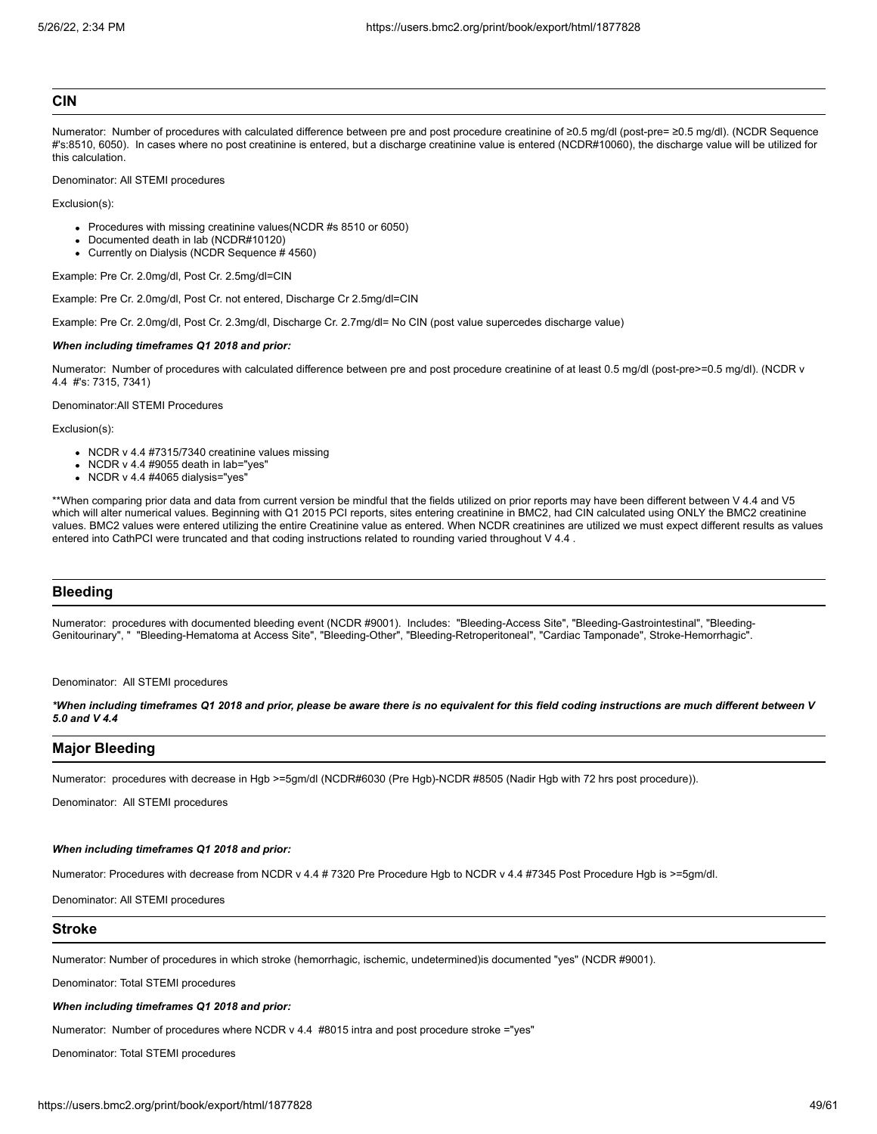#### **CIN**

Numerator: Number of procedures with calculated difference between pre and post procedure creatinine of ≥0.5 mg/dl (post-pre= ≥0.5 mg/dl). (NCDR Sequence #'s:8510, 6050). In cases where no post creatinine is entered, but a discharge creatinine value is entered (NCDR#10060), the discharge value will be utilized for this calculation.

Denominator: All STEMI procedures

Exclusion(s):

- Procedures with missing creatinine values(NCDR #s 8510 or 6050)
- Documented death in lab (NCDR#10120)
- Currently on Dialysis (NCDR Sequence # 4560)

Example: Pre Cr. 2.0mg/dl, Post Cr. 2.5mg/dl=CIN

Example: Pre Cr. 2.0mg/dl, Post Cr. not entered, Discharge Cr 2.5mg/dl=CIN

Example: Pre Cr. 2.0mg/dl, Post Cr. 2.3mg/dl, Discharge Cr. 2.7mg/dl= No CIN (post value supercedes discharge value)

#### *When including timeframes Q1 2018 and prior:*

Numerator: Number of procedures with calculated difference between pre and post procedure creatinine of at least 0.5 mg/dl (post-pre>=0.5 mg/dl). (NCDR v 4.4 #'s: 7315, 7341)

Denominator:All STEMI Procedures

Exclusion(s):

- NCDR v 4.4 #7315/7340 creatinine values missing
- $\bullet$  NCDR v 4.4 #9055 death in lab="yes"
- $\bullet$  NCDR v 4.4 #4065 dialysis="yes"

\*\*When comparing prior data and data from current version be mindful that the fields utilized on prior reports may have been different between V 4.4 and V5 which will alter numerical values. Beginning with Q1 2015 PCI reports, sites entering creatinine in BMC2, had CIN calculated using ONLY the BMC2 creatinine values. BMC2 values were entered utilizing the entire Creatinine value as entered. When NCDR creatinines are utilized we must expect different results as values entered into CathPCI were truncated and that coding instructions related to rounding varied throughout V 4.4 .

# **Bleeding**

Numerator: procedures with documented bleeding event (NCDR #9001). Includes: "Bleeding-Access Site", "Bleeding-Gastrointestinal", "Bleeding-Genitourinary", " "Bleeding-Hematoma at Access Site", "Bleeding-Other", "Bleeding-Retroperitoneal", "Cardiac Tamponade", Stroke-Hemorrhagic".

## Denominator: All STEMI procedures

*\*When including timeframes Q1 2018 and prior, please be aware there is no equivalent for this field coding instructions are much different between V 5.0 and V 4.4*

# **Major Bleeding**

Numerator: procedures with decrease in Hgb >=5gm/dl (NCDR#6030 (Pre Hgb)-NCDR #8505 (Nadir Hgb with 72 hrs post procedure)).

Denominator: All STEMI procedures

## *When including timeframes Q1 2018 and prior:*

Numerator: Procedures with decrease from NCDR v 4.4 # 7320 Pre Procedure Hgb to NCDR v 4.4 #7345 Post Procedure Hgb is >=5gm/dl.

Denominator: All STEMI procedures

# **Stroke**

Numerator: Number of procedures in which stroke (hemorrhagic, ischemic, undetermined)is documented "yes" (NCDR #9001).

Denominator: Total STEMI procedures

# *When including timeframes Q1 2018 and prior:*

Numerator: Number of procedures where NCDR v 4.4 #8015 intra and post procedure stroke ="yes"

Denominator: Total STEMI procedures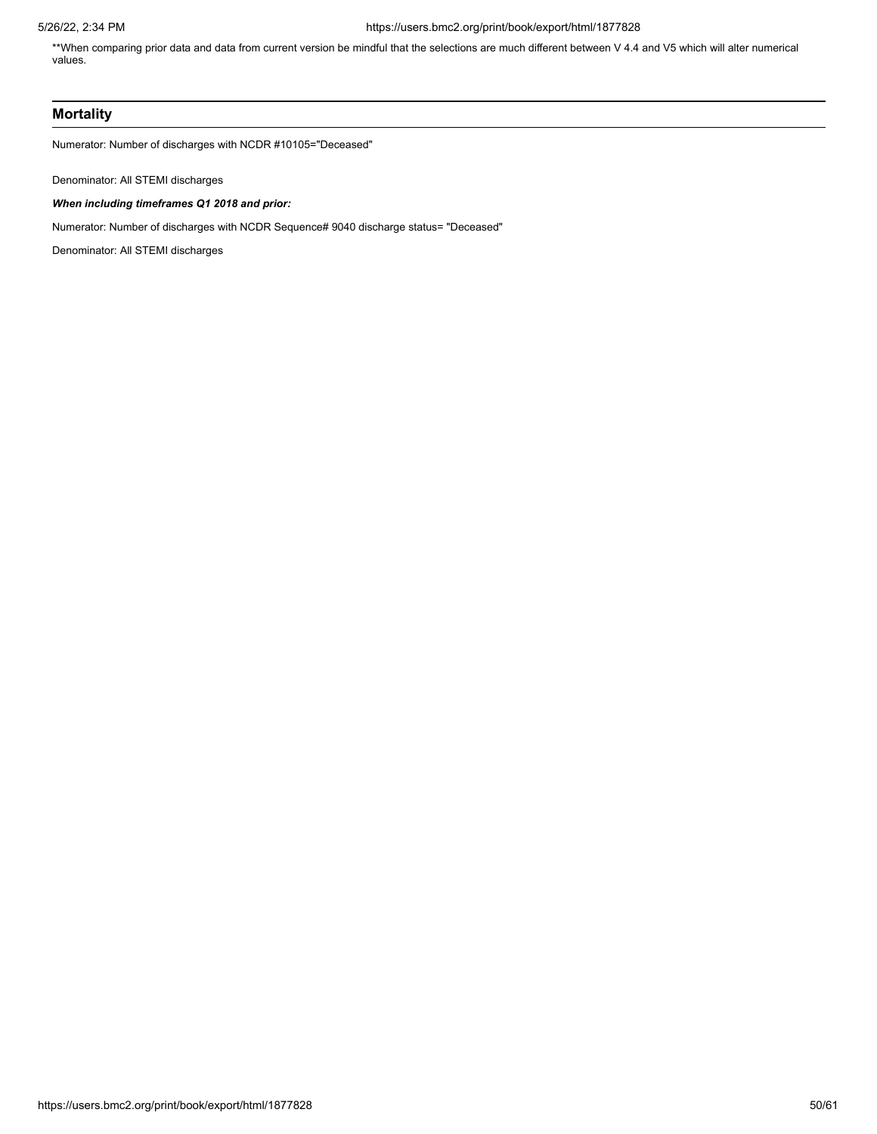\*\*When comparing prior data and data from current version be mindful that the selections are much different between V 4.4 and V5 which will alter numerical values.

# **Mortality**

Numerator: Number of discharges with NCDR #10105="Deceased"

Denominator: All STEMI discharges

# *When including timeframes Q1 2018 and prior:*

Numerator: Number of discharges with NCDR Sequence# 9040 discharge status= "Deceased"

Denominator: All STEMI discharges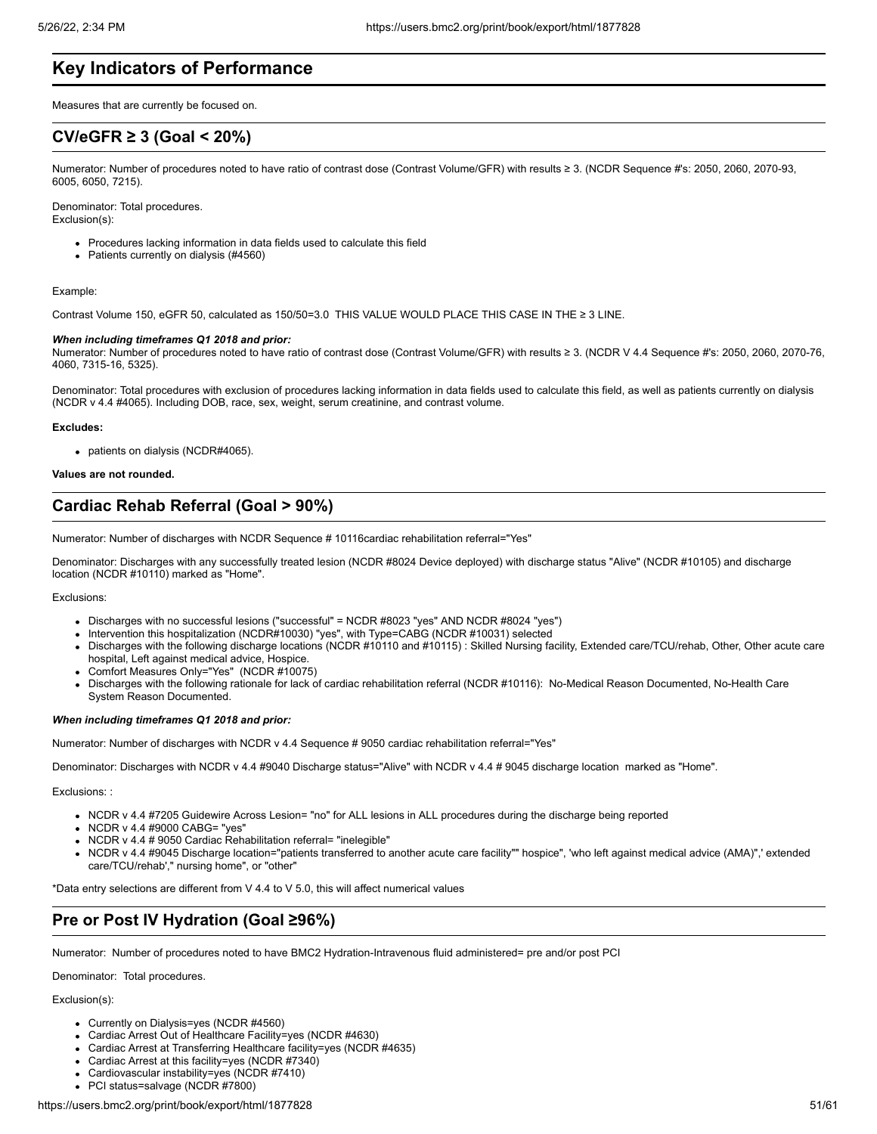# **Key Indicators of Performance**

Measures that are currently be focused on.

# **CV/eGFR ≥ 3 (Goal < 20%)**

Numerator: Number of procedures noted to have ratio of contrast dose (Contrast Volume/GFR) with results ≥ 3. (NCDR Sequence #'s: 2050, 2060, 2070-93, 6005, 6050, 7215).

Denominator: Total procedures. Exclusion(s):

- Procedures lacking information in data fields used to calculate this field
- Patients currently on dialysis (#4560)

#### Example:

Contrast Volume 150, eGFR 50, calculated as 150/50=3.0 THIS VALUE WOULD PLACE THIS CASE IN THE ≥ 3 LINE.

#### *When including timeframes Q1 2018 and prior:*

Numerator: Number of procedures noted to have ratio of contrast dose (Contrast Volume/GFR) with results ≥ 3. (NCDR V 4.4 Sequence #'s: 2050, 2060, 2070-76, 4060, 7315-16, 5325).

Denominator: Total procedures with exclusion of procedures lacking information in data fields used to calculate this field, as well as patients currently on dialysis (NCDR v 4.4 #4065). Including DOB, race, sex, weight, serum creatinine, and contrast volume.

#### **Excludes:**

• patients on dialysis (NCDR#4065).

**Values are not rounded.**

# **Cardiac Rehab Referral (Goal > 90%)**

Numerator: Number of discharges with NCDR Sequence # 10116cardiac rehabilitation referral="Yes"

Denominator: Discharges with any successfully treated lesion (NCDR #8024 Device deployed) with discharge status "Alive" (NCDR #10105) and discharge location (NCDR #10110) marked as "Home".

### Exclusions:

- Discharges with no successful lesions ("successful" = NCDR #8023 "yes" AND NCDR #8024 "yes")
- Intervention this hospitalization (NCDR#10030) "yes", with Type=CABG (NCDR #10031) selected
- Discharges with the following discharge locations (NCDR #10110 and #10115) : Skilled Nursing facility, Extended care/TCU/rehab, Other, Other acute care hospital, Left against medical advice, Hospice.
- Comfort Measures Only="Yes" (NCDR #10075)
- Discharges with the following rationale for lack of cardiac rehabilitation referral (NCDR #10116): No-Medical Reason Documented, No-Health Care System Reason Documented.

# *When including timeframes Q1 2018 and prior:*

Numerator: Number of discharges with NCDR v 4.4 Sequence # 9050 cardiac rehabilitation referral="Yes"

Denominator: Discharges with NCDR v 4.4 #9040 Discharge status="Alive" with NCDR v 4.4 # 9045 discharge location marked as "Home".

# Exclusions: :

- NCDR v 4.4 #7205 Guidewire Across Lesion= "no" for ALL lesions in ALL procedures during the discharge being reported
- NCDR v 4.4 #9000 CABG= "yes"
- NCDR v 4.4 # 9050 Cardiac Rehabilitation referral= "inelegible"
- NCDR v 4.4 #9045 Discharge location="patients transferred to another acute care facility"" hospice", 'who left against medical advice (AMA)",' extended care/TCU/rehab'," nursing home", or "other"

\*Data entry selections are different from V 4.4 to V 5.0, this will affect numerical values

# **Pre or Post IV Hydration (Goal ≥96%)**

Numerator: Number of procedures noted to have BMC2 Hydration-Intravenous fluid administered= pre and/or post PCI

Denominator: Total procedures.

- Currently on Dialysis=yes (NCDR #4560)
- Cardiac Arrest Out of Healthcare Facility=yes (NCDR #4630)
- Cardiac Arrest at Transferring Healthcare facility=yes (NCDR #4635)
- Cardiac Arrest at this facility=yes (NCDR #7340)
- Cardiovascular instability=yes (NCDR #7410)
- PCI status=salvage (NCDR #7800)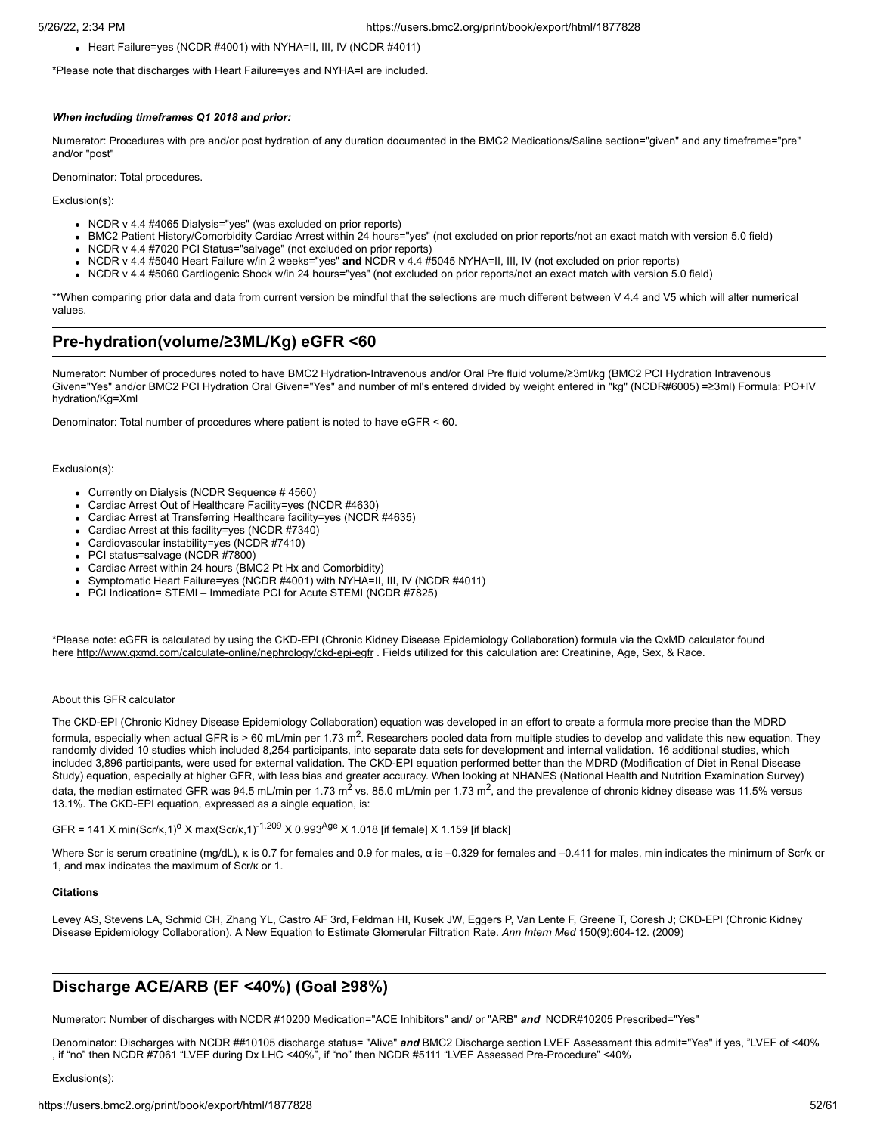Heart Failure=yes (NCDR #4001) with NYHA=II, III, IV (NCDR #4011)

\*Please note that discharges with Heart Failure=yes and NYHA=I are included.

#### *When including timeframes Q1 2018 and prior:*

Numerator: Procedures with pre and/or post hydration of any duration documented in the BMC2 Medications/Saline section="given" and any timeframe="pre" and/or "post"

Denominator: Total procedures.

Exclusion(s):

- NCDR v 4.4 #4065 Dialysis="yes" (was excluded on prior reports)
- BMC2 Patient History/Comorbidity Cardiac Arrest within 24 hours="yes" (not excluded on prior reports/not an exact match with version 5.0 field)
- NCDR v 4.4 #7020 PCI Status="salvage" (not excluded on prior reports)
- NCDR v 4.4 #5040 Heart Failure w/in 2 weeks="yes" **and** NCDR v 4.4 #5045 NYHA=II, III, IV (not excluded on prior reports)
- NCDR v 4.4 #5060 Cardiogenic Shock w/in 24 hours="yes" (not excluded on prior reports/not an exact match with version 5.0 field)

\*\*When comparing prior data and data from current version be mindful that the selections are much different between V 4.4 and V5 which will alter numerical values.

# **Pre-hydration(volume/≥3ML/Kg) eGFR <60**

Numerator: Number of procedures noted to have BMC2 Hydration-Intravenous and/or Oral Pre fluid volume/≥3ml/kg (BMC2 PCI Hydration Intravenous Given="Yes" and/or BMC2 PCI Hydration Oral Given="Yes" and number of ml's entered divided by weight entered in "kg" (NCDR#6005) =≥3ml) Formula: PO+IV hydration/Kg=Xml

Denominator: Total number of procedures where patient is noted to have eGFR < 60.

#### Exclusion(s):

- Currently on Dialysis (NCDR Sequence # 4560)
- Cardiac Arrest Out of Healthcare Facility=yes (NCDR #4630)
- Cardiac Arrest at Transferring Healthcare facility=yes (NCDR #4635)
- Cardiac Arrest at this facility=yes (NCDR #7340)
- Cardiovascular instability=yes (NCDR #7410)
- PCI status=salvage (NCDR #7800)
- Cardiac Arrest within 24 hours (BMC2 Pt Hx and Comorbidity)
- Symptomatic Heart Failure=yes (NCDR #4001) with NYHA=II, III, IV (NCDR #4011)
- PCI Indication= STEMI Immediate PCI for Acute STEMI (NCDR #7825)

\*Please note: eGFR is calculated by using the CKD-EPI (Chronic Kidney Disease Epidemiology Collaboration) formula via the QxMD calculator found here <http://www.qxmd.com/calculate-online/nephrology/ckd-epi-egfr> . Fields utilized for this calculation are: Creatinine, Age, Sex, & Race.

## About this GFR calculator

The CKD-EPI (Chronic Kidney Disease Epidemiology Collaboration) equation was developed in an effort to create a formula more precise than the MDRD formula, especially when actual GFR is > 60 mL/min per 1.73 m<sup>2</sup>. Researchers pooled data from multiple studies to develop and validate this new equation. They randomly divided 10 studies which included 8,254 participants, into separate data sets for development and internal validation. 16 additional studies, which included 3,896 participants, were used for external validation. The CKD-EPI equation performed better than the MDRD (Modification of Diet in Renal Disease Study) equation, especially at higher GFR, with less bias and greater accuracy. When looking at NHANES (National Health and Nutrition Examination Survey) data, the median estimated GFR was 94.5 mL/min per 1.73 m<sup>2</sup> vs. 85.0 mL/min per 1.73 m<sup>2</sup>, and the prevalence of chronic kidney disease was 11.5% versus 13.1%. The CKD-EPI equation, expressed as a single equation, is:

GFR = 141 X min(Scr/k,1)<sup>a</sup> X max(Scr/k,1)<sup>-1.209</sup> X 0.993<sup>Age</sup> X 1.018 [if female] X 1.159 [if black]

Where Scr is serum creatinine (mg/dL), κ is 0.7 for females and 0.9 for males, α is –0.329 for females and –0.411 for males, min indicates the minimum of Scr/κ or 1, and max indicates the maximum of Scr/κ or 1.

#### **Citations**

Levey AS, Stevens LA, Schmid CH, Zhang YL, Castro AF 3rd, Feldman HI, Kusek JW, Eggers P, Van Lente F, Greene T, Coresh J; CKD-EPI (Chronic Kidney Disease Epidemiology Collaboration). [A New Equation to Estimate Glomerular Filtration Rate.](http://qxmd.com/r/19414839) *Ann Intern Med* 150(9):604-12. (2009)

# **Discharge ACE/ARB (EF <40%) (Goal ≥98%)**

Numerator: Number of discharges with NCDR #10200 Medication="ACE Inhibitors" and/ or "ARB" *and* NCDR#10205 Prescribed="Yes"

Denominator: Discharges with NCDR ##10105 discharge status= "Alive" *and* BMC2 Discharge section LVEF Assessment this admit="Yes" if yes, "LVEF of <40% , if "no" then NCDR #7061 "LVEF during Dx LHC <40%", if "no" then NCDR #5111 "LVEF Assessed Pre-Procedure" <40%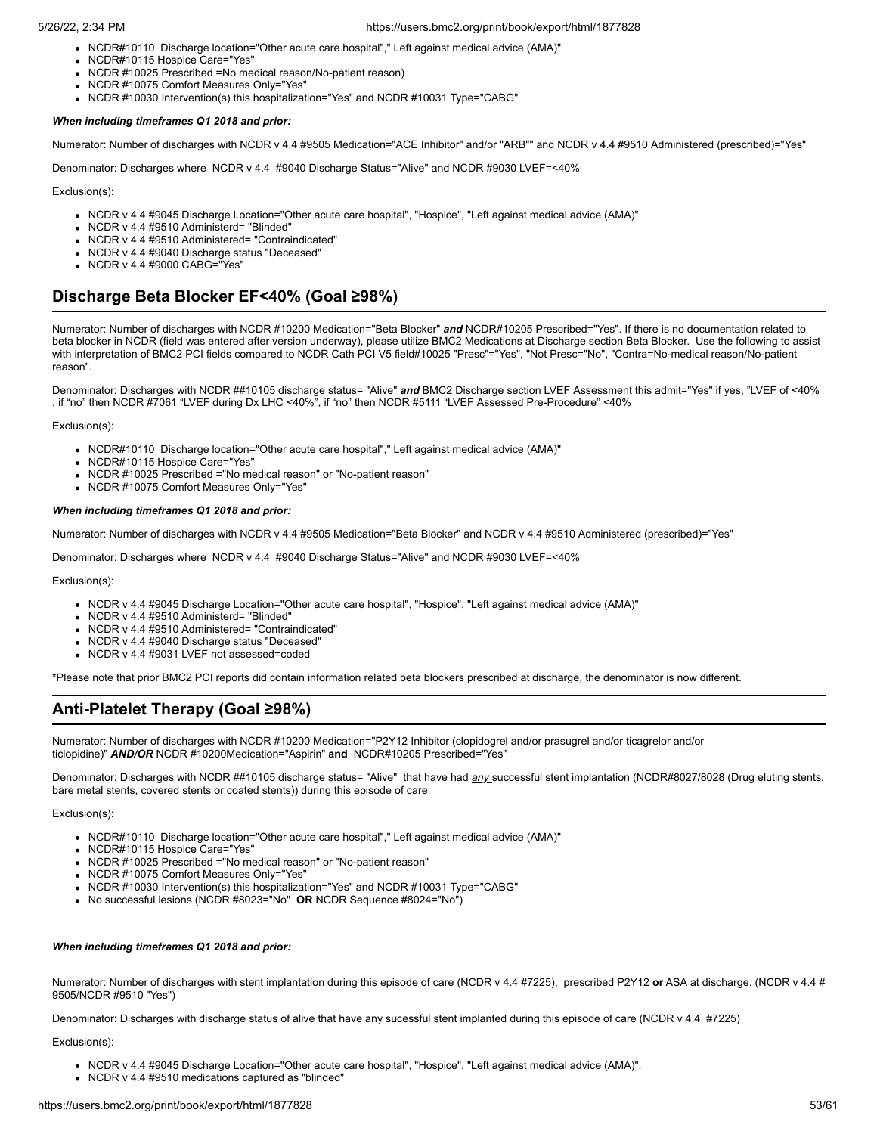- NCDR#10110 Discharge location="Other acute care hospital"," Left against medical advice (AMA)"
- NCDR#10115 Hospice Care="Yes"
- NCDR #10025 Prescribed =No medical reason/No-patient reason)
- NCDR #10075 Comfort Measures Only="Yes"
- NCDR #10030 Intervention(s) this hospitalization="Yes" and NCDR #10031 Type="CABG"

# *When including timeframes Q1 2018 and prior:*

Numerator: Number of discharges with NCDR v 4.4 #9505 Medication="ACE Inhibitor" and/or "ARB"" and NCDR v 4.4 #9510 Administered (prescribed)="Yes"

Denominator: Discharges where NCDR v 4.4 #9040 Discharge Status="Alive" and NCDR #9030 LVEF=<40%

Exclusion(s):

- NCDR v 4.4 #9045 Discharge Location="Other acute care hospital", "Hospice", "Left against medical advice (AMA)"
- NCDR v 4.4 #9510 Administerd= "Blinded"
- NCDR v 4.4 #9510 Administered= "Contraindicated"
- NCDR v 4.4 #9040 Discharge status "Deceased"
- NCDR v 4.4 #9000 CABG="Yes"

# **Discharge Beta Blocker EF<40% (Goal ≥98%)**

Numerator: Number of discharges with NCDR #10200 Medication="Beta Blocker" *and* NCDR#10205 Prescribed="Yes". If there is no documentation related to beta blocker in NCDR (field was entered after version underway), please utilize BMC2 Medications at Discharge section Beta Blocker. Use the following to assist with interpretation of BMC2 PCI fields compared to NCDR Cath PCI V5 field#10025 "Presc"="Yes", "Not Presc="No", "Contra=No-medical reason/No-patient reason".

Denominator: Discharges with NCDR ##10105 discharge status= "Alive" *and* BMC2 Discharge section LVEF Assessment this admit="Yes" if yes, "LVEF of <40% , if "no" then NCDR #7061 "LVEF during Dx LHC <40%", if "no" then NCDR #5111 "LVEF Assessed Pre-Procedure" <40%

Exclusion(s):

- NCDR#10110 Discharge location="Other acute care hospital"," Left against medical advice (AMA)"
- NCDR#10115 Hospice Care="Yes"
- NCDR #10025 Prescribed ="No medical reason" or "No-patient reason"
- NCDR #10075 Comfort Measures Only="Yes"

## *When including timeframes Q1 2018 and prior:*

Numerator: Number of discharges with NCDR v 4.4 #9505 Medication="Beta Blocker" and NCDR v 4.4 #9510 Administered (prescribed)="Yes"

Denominator: Discharges where NCDR v 4.4 #9040 Discharge Status="Alive" and NCDR #9030 LVEF=<40%

Exclusion(s):

- NCDR v 4.4 #9045 Discharge Location="Other acute care hospital", "Hospice", "Left against medical advice (AMA)"
- NCDR v 4.4 #9510 Administerd= "Blinded"
- NCDR v 4.4 #9510 Administered= "Contraindicated"
- NCDR v 4.4 #9040 Discharge status "Deceased"
- NCDR v 4.4 #9031 LVEF not assessed=coded

\*Please note that prior BMC2 PCI reports did contain information related beta blockers prescribed at discharge, the denominator is now different.

# **Anti-Platelet Therapy (Goal ≥98%)**

Numerator: Number of discharges with NCDR #10200 Medication="P2Y12 Inhibitor (clopidogrel and/or prasugrel and/or ticagrelor and/or ticlopidine)" *AND/OR* NCDR #10200Medication="Aspirin" **and** NCDR#10205 Prescribed="Yes"

Denominator: Discharges with NCDR ##10105 discharge status= "Alive" that have had *any* successful stent implantation (NCDR#8027/8028 (Drug eluting stents, bare metal stents, covered stents or coated stents)) during this episode of care

Exclusion(s):

- NCDR#10110 Discharge location="Other acute care hospital"," Left against medical advice (AMA)"
- NCDR#10115 Hospice Care="Yes"
- NCDR #10025 Prescribed ="No medical reason" or "No-patient reason"
- NCDR #10075 Comfort Measures Only="Yes"
- NCDR #10030 Intervention(s) this hospitalization="Yes" and NCDR #10031 Type="CABG"
- No successful lesions (NCDR #8023="No" **OR** NCDR Sequence #8024="No")

## *When including timeframes Q1 2018 and prior:*

Numerator: Number of discharges with stent implantation during this episode of care (NCDR v 4.4 #7225), prescribed P2Y12 or ASA at discharge. (NCDR v 4.4 # 9505/NCDR #9510 "Yes")

Denominator: Discharges with discharge status of alive that have any sucessful stent implanted during this episode of care (NCDR v 4.4 #7225)

- NCDR v 4.4 #9045 Discharge Location="Other acute care hospital", "Hospice", "Left against medical advice (AMA)".
- NCDR v 4.4 #9510 medications captured as "blinded"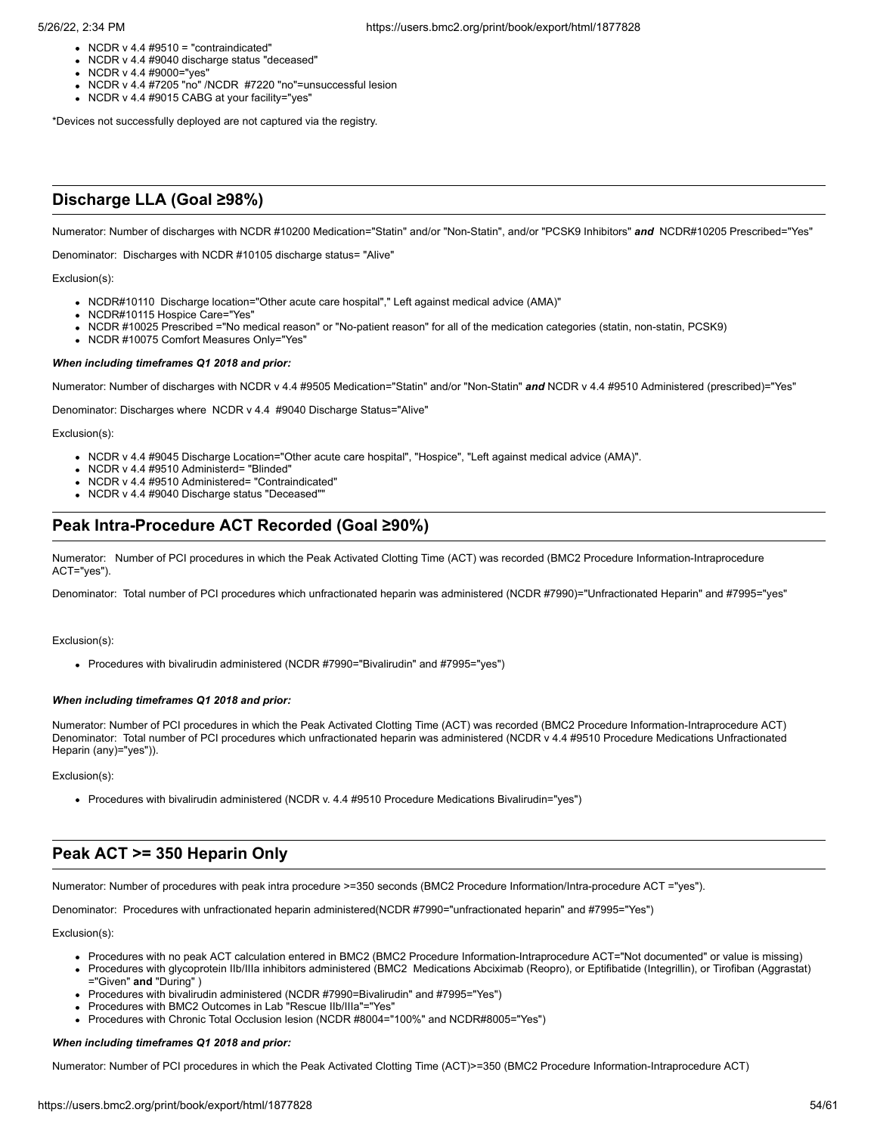- $\bullet$  NCDR v 4.4 #9510 = "contraindicated"
- NCDR v 4.4 #9040 discharge status "deceased"
- NCDR v 4.4 #9000="yes"
- NCDR v 4.4 #7205 "no" /NCDR #7220 "no"=unsuccessful lesion
- NCDR v 4.4 #9015 CABG at your facility="yes"

\*Devices not successfully deployed are not captured via the registry.

# **Discharge LLA (Goal ≥98%)**

Numerator: Number of discharges with NCDR #10200 Medication="Statin" and/or "Non-Statin", and/or "PCSK9 Inhibitors" *and* NCDR#10205 Prescribed="Yes"

Denominator: Discharges with NCDR #10105 discharge status= "Alive"

#### Exclusion(s):

- NCDR#10110 Discharge location="Other acute care hospital"," Left against medical advice (AMA)"
- NCDR#10115 Hospice Care="Yes"
- NCDR #10025 Prescribed ="No medical reason" or "No-patient reason" for all of the medication categories (statin, non-statin, PCSK9)
- NCDR #10075 Comfort Measures Only="Yes'

## *When including timeframes Q1 2018 and prior:*

Numerator: Number of discharges with NCDR v 4.4 #9505 Medication="Statin" and/or "Non-Statin" *and* NCDR v 4.4 #9510 Administered (prescribed)="Yes"

Denominator: Discharges where NCDR v 4.4 #9040 Discharge Status="Alive"

Exclusion(s):

- NCDR v 4.4 #9045 Discharge Location="Other acute care hospital", "Hospice", "Left against medical advice (AMA)".
- NCDR v 4.4 #9510 Administerd= "Blinded"
- NCDR v 4.4 #9510 Administered= "Contraindicated"
- NCDR v 4.4 #9040 Discharge status "Deceased""

# **Peak Intra-Procedure ACT Recorded (Goal ≥90%)**

Numerator: Number of PCI procedures in which the Peak Activated Clotting Time (ACT) was recorded (BMC2 Procedure Information-Intraprocedure ACT="yes").

Denominator: Total number of PCI procedures which unfractionated heparin was administered (NCDR #7990)="Unfractionated Heparin" and #7995="yes"

#### Exclusion(s):

Procedures with bivalirudin administered (NCDR #7990="Bivalirudin" and #7995="yes")

#### *When including timeframes Q1 2018 and prior:*

Numerator: Number of PCI procedures in which the Peak Activated Clotting Time (ACT) was recorded (BMC2 Procedure Information-Intraprocedure ACT) Denominator: Total number of PCI procedures which unfractionated heparin was administered (NCDR v 4.4 #9510 Procedure Medications Unfractionated Heparin (any)="yes")).

Exclusion(s):

Procedures with bivalirudin administered (NCDR v. 4.4 #9510 Procedure Medications Bivalirudin="yes")

# **Peak ACT >= 350 Heparin Only**

Numerator: Number of procedures with peak intra procedure >=350 seconds (BMC2 Procedure Information/Intra-procedure ACT ="yes").

Denominator: Procedures with unfractionated heparin administered(NCDR #7990="unfractionated heparin" and #7995="Yes")

#### Exclusion(s):

- Procedures with no peak ACT calculation entered in BMC2 (BMC2 Procedure Information-Intraprocedure ACT="Not documented" or value is missing)
- Procedures with glycoprotein IIb/IIIa inhibitors administered (BMC2 Medications Abciximab (Reopro), or Eptifibatide (Integrillin), or Tirofiban (Aggrastat) ="Given" **and** "During" )
- Procedures with bivalirudin administered (NCDR #7990=Bivalirudin" and #7995="Yes")
- Procedures with BMC2 Outcomes in Lab "Rescue IIb/IIIa"="Yes"
- Procedures with Chronic Total Occlusion lesion (NCDR #8004="100%" and NCDR#8005="Yes")

#### *When including timeframes Q1 2018 and prior:*

Numerator: Number of PCI procedures in which the Peak Activated Clotting Time (ACT)>=350 (BMC2 Procedure Information-Intraprocedure ACT)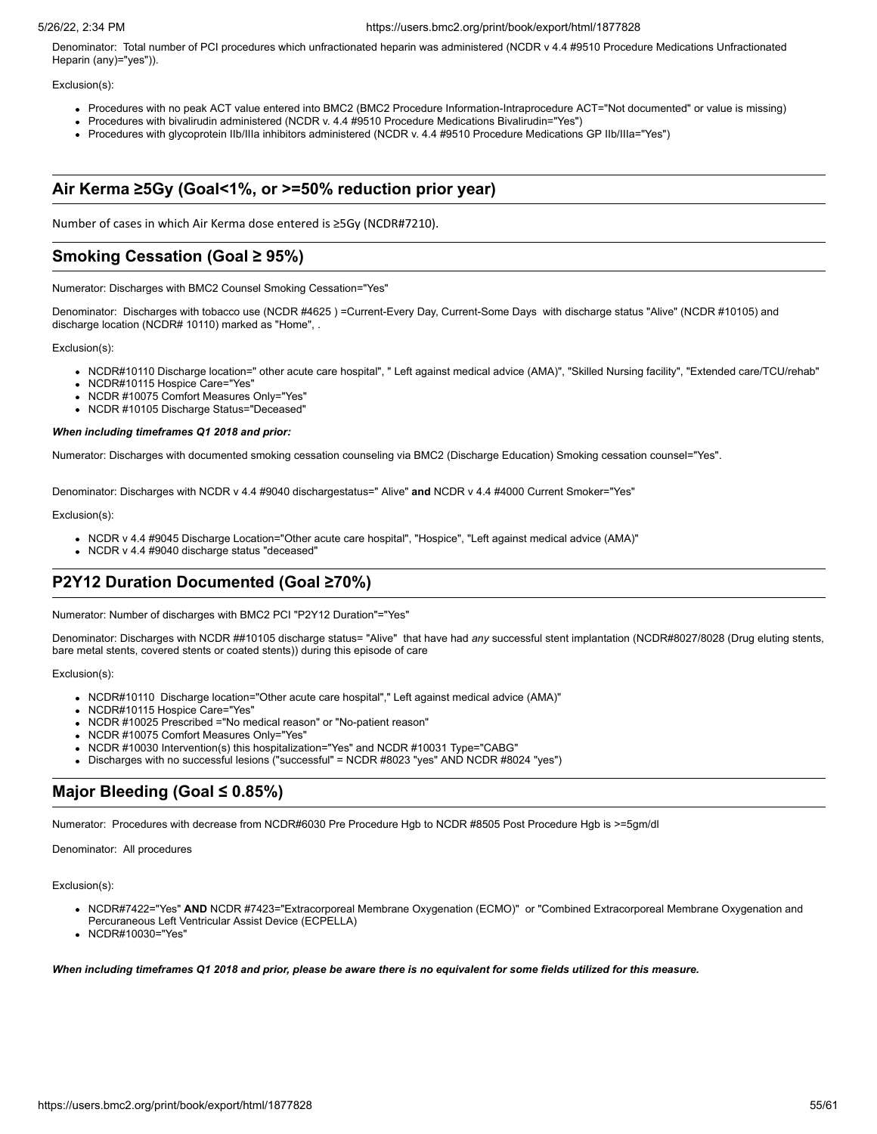Denominator: Total number of PCI procedures which unfractionated heparin was administered (NCDR v 4.4 #9510 Procedure Medications Unfractionated Heparin (any)="yes")).

## Exclusion(s):

- Procedures with no peak ACT value entered into BMC2 (BMC2 Procedure Information-Intraprocedure ACT="Not documented" or value is missing)
- Procedures with bivalirudin administered (NCDR v. 4.4 #9510 Procedure Medications Bivalirudin="Yes")
- Procedures with glycoprotein IIb/IIIa inhibitors administered (NCDR v. 4.4 #9510 Procedure Medications GP IIb/IIIa="Yes")

# **Air Kerma ≥5Gy (Goal<1%, or >=50% reduction prior year)**

Number of cases in which Air Kerma dose entered is ≥5Gy (NCDR#7210).

# **Smoking Cessation (Goal ≥ 95%)**

Numerator: Discharges with BMC2 Counsel Smoking Cessation="Yes"

Denominator: Discharges with tobacco use (NCDR #4625 ) =Current-Every Day, Current-Some Days with discharge status "Alive" (NCDR #10105) and discharge location (NCDR# 10110) marked as "Home", .

Exclusion(s):

- NCDR#10110 Discharge location=" other acute care hospital", " Left against medical advice (AMA)", "Skilled Nursing facility", "Extended care/TCU/rehab"
- NCDR#10115 Hospice Care="Yes"
- NCDR #10075 Comfort Measures Only="Yes"
- NCDR #10105 Discharge Status="Deceased"

## *When including timeframes Q1 2018 and prior:*

Numerator: Discharges with documented smoking cessation counseling via BMC2 (Discharge Education) Smoking cessation counsel="Yes".

Denominator: Discharges with NCDR v 4.4 #9040 dischargestatus=" Alive" **and** NCDR v 4.4 #4000 Current Smoker="Yes"

#### Exclusion(s):

- NCDR v 4.4 #9045 Discharge Location="Other acute care hospital", "Hospice", "Left against medical advice (AMA)"
- NCDR v 4.4 #9040 discharge status "deceased"

# **P2Y12 Duration Documented (Goal ≥70%)**

Numerator: Number of discharges with BMC2 PCI "P2Y12 Duration"="Yes"

Denominator: Discharges with NCDR ##10105 discharge status= "Alive" that have had *any* successful stent implantation (NCDR#8027/8028 (Drug eluting stents, bare metal stents, covered stents or coated stents)) during this episode of care

Exclusion(s):

- NCDR#10110 Discharge location="Other acute care hospital"," Left against medical advice (AMA)"
- NCDR#10115 Hospice Care="Yes"
- NCDR #10025 Prescribed ="No medical reason" or "No-patient reason"
- NCDR #10075 Comfort Measures Only="Yes"
- NCDR #10030 Intervention(s) this hospitalization="Yes" and NCDR #10031 Type="CABG'
- Discharges with no successful lesions ("successful" = NCDR #8023 "yes" AND NCDR #8024 "yes")

# **Major Bleeding (Goal ≤ 0.85%)**

Numerator: Procedures with decrease from NCDR#6030 Pre Procedure Hgb to NCDR #8505 Post Procedure Hgb is >=5gm/dl

Denominator: All procedures

Exclusion(s):

- NCDR#7422="Yes" AND NCDR #7423="Extracorporeal Membrane Oxygenation (ECMO)" or "Combined Extracorporeal Membrane Oxygenation and Percuraneous Left Ventricular Assist Device (ECPELLA)
- NCDR#10030="Yes"

*When including timeframes Q1 2018 and prior, please be aware there is no equivalent for some fields utilized for this measure.*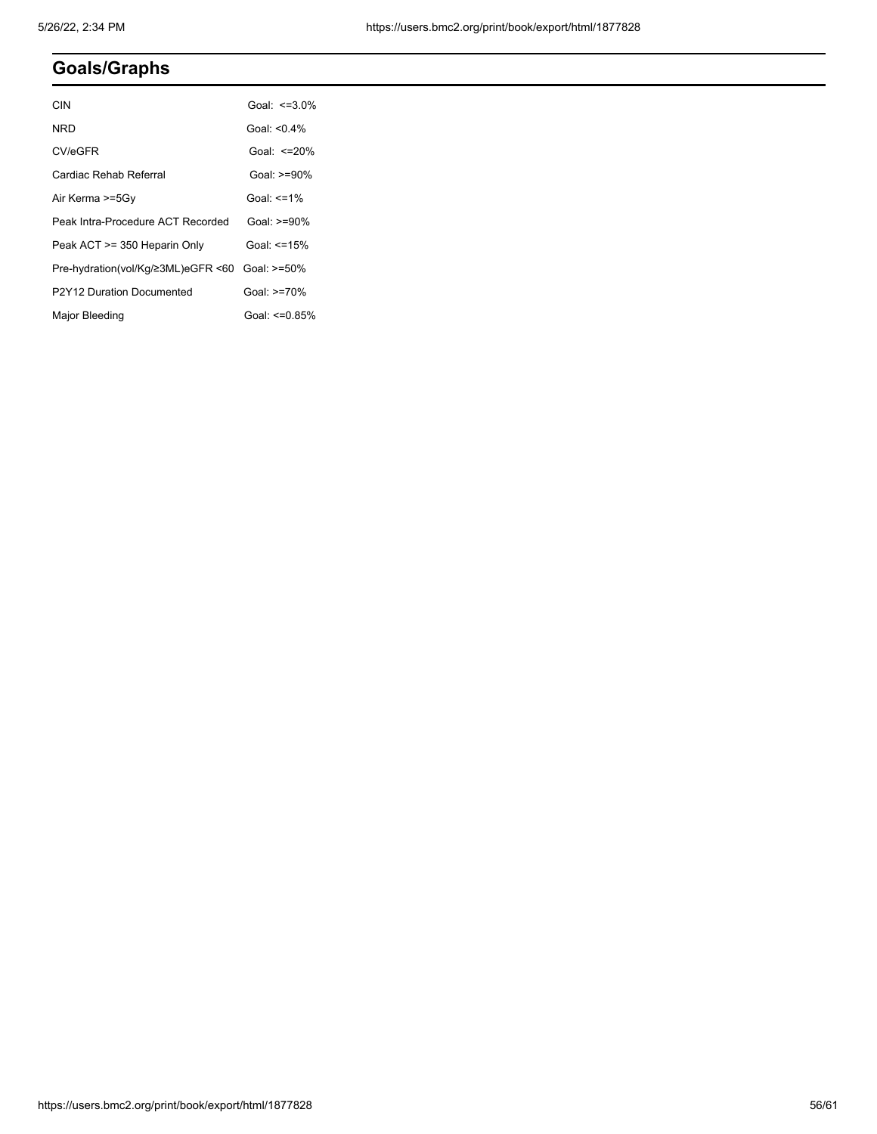# **Goals/Graphs**

| <b>CIN</b>                                     | Goal: $\leq$ =3.0%  |
|------------------------------------------------|---------------------|
| NRD                                            | Goal: $<$ 04%       |
| CV/eGFR                                        | Goal: $\leq$ =20%   |
| Cardiac Rehab Referral                         | Goal: $>=90%$       |
| Air Kerma >=5Gy                                | Goal: $\leq$ =1%    |
| Peak Intra-Procedure ACT Recorded              | Goal: $>=90\%$      |
| Peak ACT >= 350 Heparin Only                   | Goal: <=15%         |
| Pre-hydration(vol/Kg/≥3ML)eGFR <60 Goal: >=50% |                     |
| P2Y12 Duration Documented                      | Goal: $>=70%$       |
| Major Bleeding                                 | Goal: $\leq 0.85\%$ |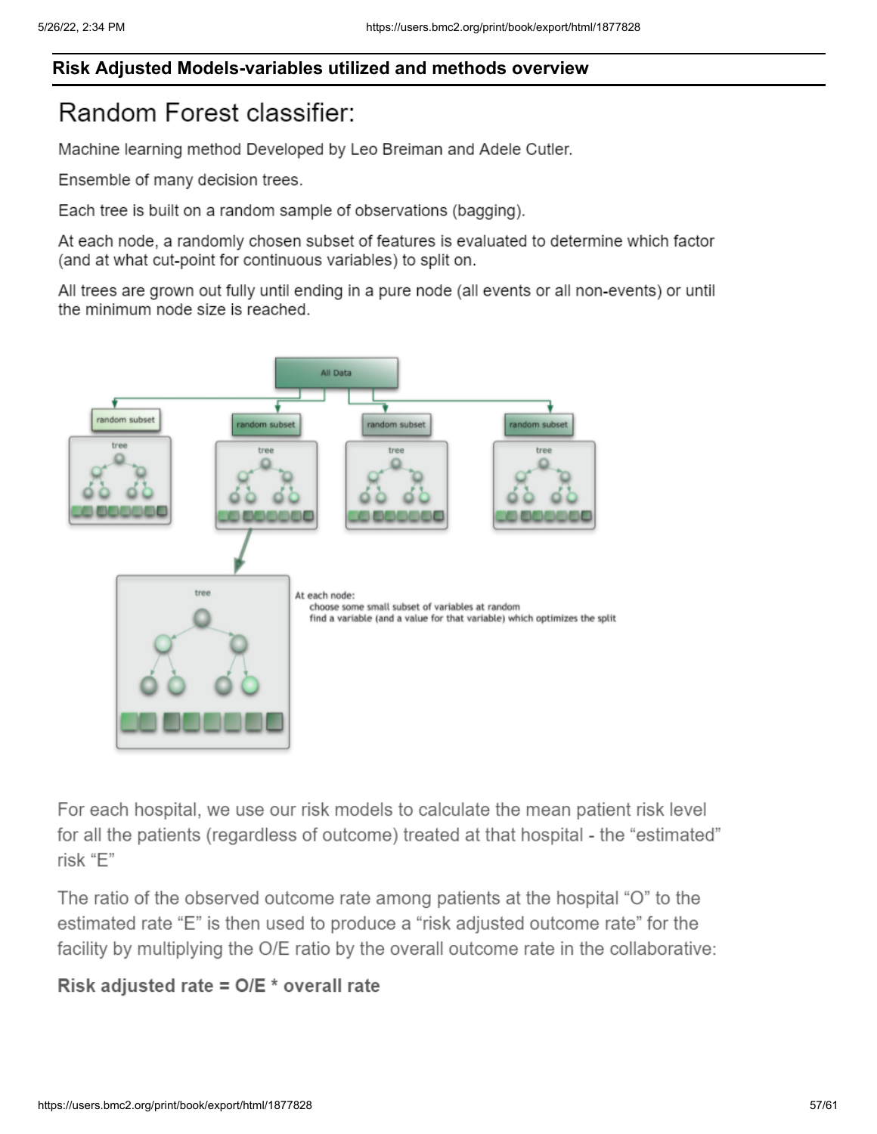# **Risk Adjusted Models-variables utilized and methods overview**

# Random Forest classifier:

Machine learning method Developed by Leo Breiman and Adele Cutler.

Ensemble of many decision trees.

Each tree is built on a random sample of observations (bagging).

At each node, a randomly chosen subset of features is evaluated to determine which factor (and at what cut-point for continuous variables) to split on.

All trees are grown out fully until ending in a pure node (all events or all non-events) or until the minimum node size is reached.



For each hospital, we use our risk models to calculate the mean patient risk level for all the patients (regardless of outcome) treated at that hospital - the "estimated" risk "E"

The ratio of the observed outcome rate among patients at the hospital "O" to the estimated rate "E" is then used to produce a "risk adjusted outcome rate" for the facility by multiplying the O/E ratio by the overall outcome rate in the collaborative:

# Risk adjusted rate =  $O/E *$  overall rate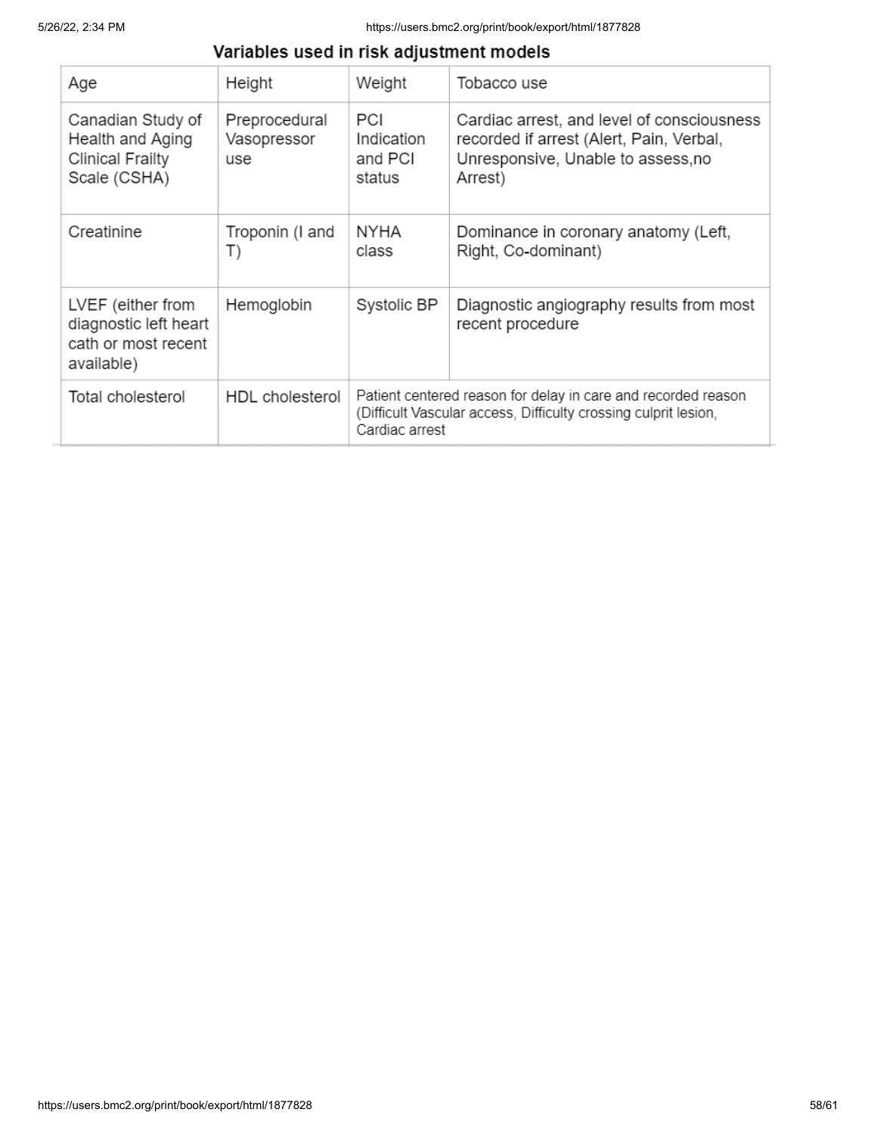# Variables used in risk adjustment models

| Age                                                                              | Height                              | Weight                                                                                                                                             | Tobacco use                                                                                                                             |  |  |
|----------------------------------------------------------------------------------|-------------------------------------|----------------------------------------------------------------------------------------------------------------------------------------------------|-----------------------------------------------------------------------------------------------------------------------------------------|--|--|
| Canadian Study of<br>Health and Aging<br><b>Clinical Frailty</b><br>Scale (CSHA) | Preprocedural<br>Vasopressor<br>use | PCI<br>Indication<br>and PCI<br>status                                                                                                             | Cardiac arrest, and level of consciousness<br>recorded if arrest (Alert, Pain, Verbal,<br>Unresponsive, Unable to assess, no<br>Arrest) |  |  |
| Creatinine                                                                       | Troponin (I and<br>T)               | <b>NYHA</b><br>class                                                                                                                               | Dominance in coronary anatomy (Left,<br>Right, Co-dominant)                                                                             |  |  |
| LVEF (either from<br>diagnostic left heart<br>cath or most recent<br>available)  | Hemoglobin                          | Systolic BP                                                                                                                                        | Diagnostic angiography results from most<br>recent procedure                                                                            |  |  |
| Total cholesterol                                                                | <b>HDL</b> cholesterol              | Patient centered reason for delay in care and recorded reason<br>(Difficult Vascular access, Difficulty crossing culprit lesion,<br>Cardiac arrest |                                                                                                                                         |  |  |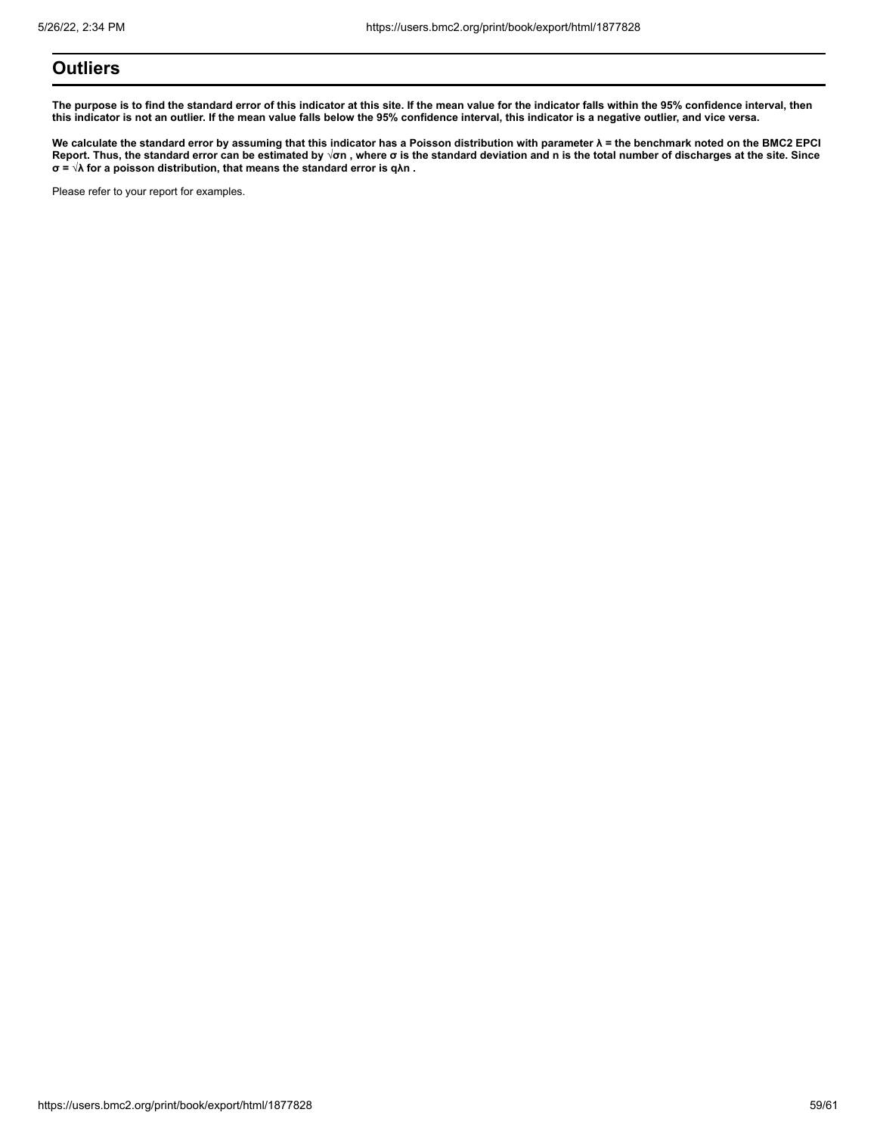# **Outliers**

**The purpose is to find the standard error of this indicator at this site. If the mean value for the indicator falls within the 95% confidence interval, then this indicator is not an outlier. If the mean value falls below the 95% confidence interval, this indicator is a negative outlier, and vice versa.**

**We calculate the standard error by assuming that this indicator has a Poisson distribution with parameter λ = the benchmark noted on the BMC2 EPCI Report. Thus, the standard error can be estimated by √σn , where σ is the standard deviation and n is the total number of discharges at the site. Since σ = √λ for a poisson distribution, that means the standard error is qλn .**

Please refer to your report for examples.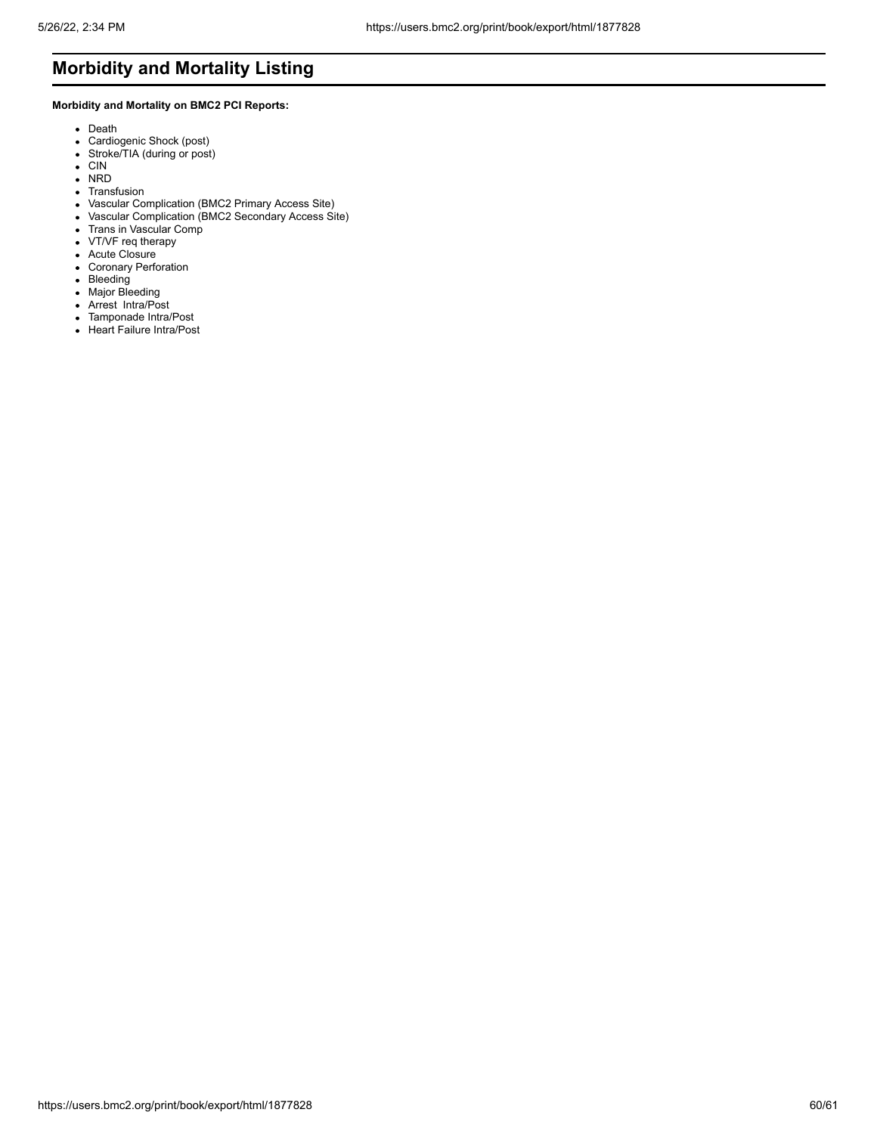# **Morbidity and Mortality Listing**

# **Morbidity and Mortality on BMC2 PCI Reports:**

- Death
- Cardiogenic Shock (post)
- Stroke/TIA (during or post)
- CIN
- NRD
- Transfusion
- Vascular Complication (BMC2 Primary Access Site)
- Vascular Complication (BMC2 Secondary Access Site)
- Trans in Vascular Comp
- VT/VF req therapy
- Acute Closure
- Coronary Perforation
- Bleeding
- Major Bleeding
- Arrest Intra/Post
- Tamponade Intra/Post
- Heart Failure Intra/Post